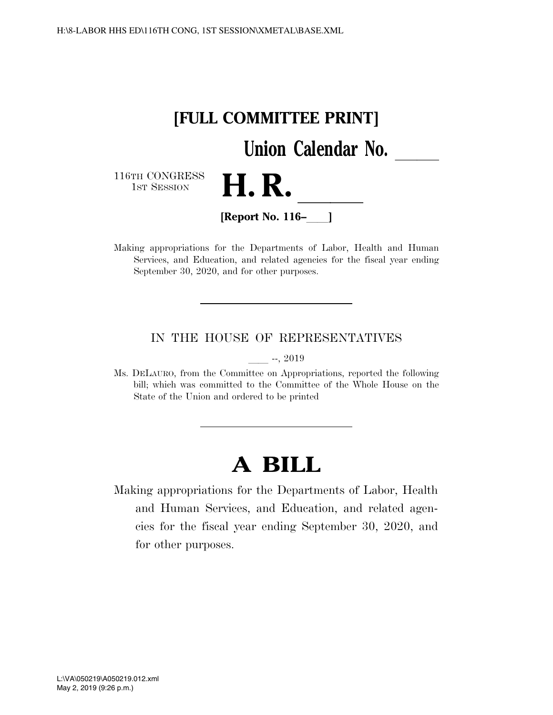

Making appropriations for the Departments of Labor, Health and Human Services, and Education, and related agencies for the fiscal year ending September 30, 2020, and for other purposes.

# IN THE HOUSE OF REPRESENTATIVES

 $-$ , 2019

Ms. DELAURO, from the Committee on Appropriations, reported the following bill; which was committed to the Committee of the Whole House on the State of the Union and ordered to be printed

# **A BILL**

Making appropriations for the Departments of Labor, Health and Human Services, and Education, and related agencies for the fiscal year ending September 30, 2020, and for other purposes.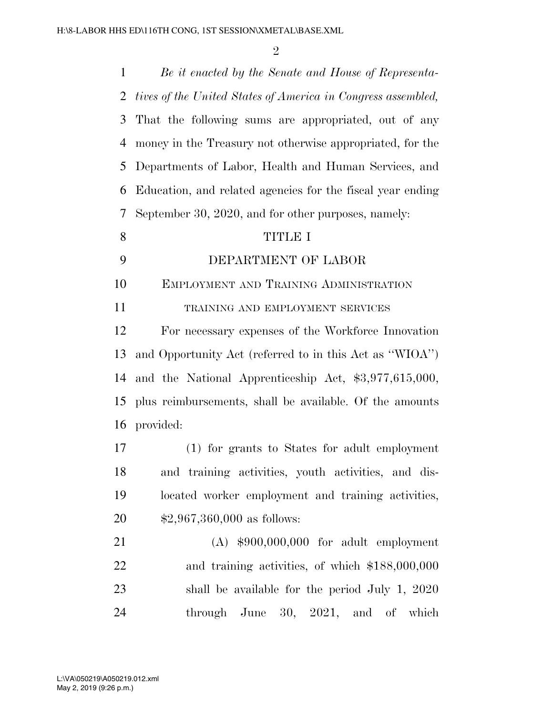$\mathfrak{D}$ 

 *Be it enacted by the Senate and House of Representa- tives of the United States of America in Congress assembled,*  That the following sums are appropriated, out of any money in the Treasury not otherwise appropriated, for the Departments of Labor, Health and Human Services, and Education, and related agencies for the fiscal year ending September 30, 2020, and for other purposes, namely: TITLE I DEPARTMENT OF LABOR EMPLOYMENT AND TRAINING ADMINISTRATION TRAINING AND EMPLOYMENT SERVICES For necessary expenses of the Workforce Innovation and Opportunity Act (referred to in this Act as ''WIOA'') and the National Apprenticeship Act, \$3,977,615,000, plus reimbursements, shall be available. Of the amounts provided: (1) for grants to States for adult employment and training activities, youth activities, and dis- located worker employment and training activities, \$2,967,360,000 as follows: (A) \$900,000,000 for adult employment and training activities, of which \$188,000,000 shall be available for the period July 1, 2020 through June 30, 2021, and of which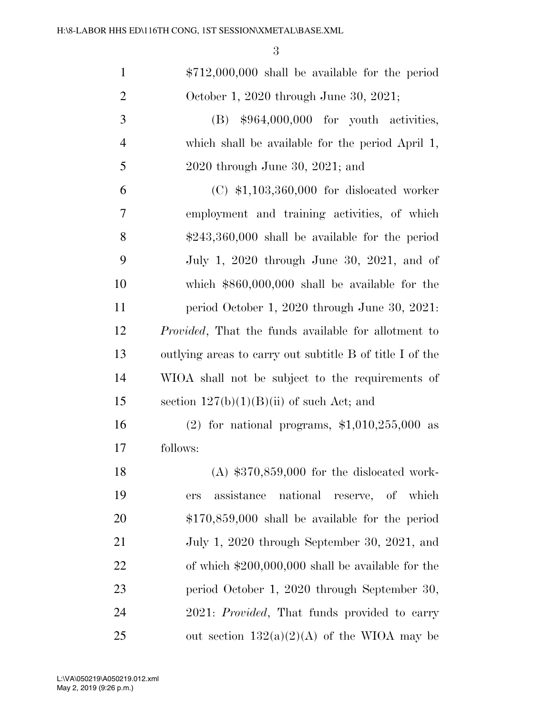| $\mathbf{1}$   | $$712,000,000$ shall be available for the period            |
|----------------|-------------------------------------------------------------|
| $\overline{2}$ | October 1, 2020 through June 30, 2021;                      |
| $\mathfrak{Z}$ | $$964,000,000$ for youth activities,<br>(B)                 |
| $\overline{4}$ | which shall be available for the period April 1,            |
| 5              | $2020$ through June 30, $2021$ ; and                        |
| 6              | $(C)$ \$1,103,360,000 for dislocated worker                 |
| $\tau$         | employment and training activities, of which                |
| 8              | $$243,360,000$ shall be available for the period            |
| 9              | July 1, 2020 through June 30, 2021, and of                  |
| 10             | which $$860,000,000$ shall be available for the             |
| 11             | period October 1, 2020 through June 30, 2021:               |
| 12             | <i>Provided</i> , That the funds available for allotment to |
| 13             | outlying areas to carry out subtitle B of title I of the    |
| 14             | WIOA shall not be subject to the requirements of            |
| 15             | section $127(b)(1)(B)(ii)$ of such Act; and                 |
| 16             | (2) for national programs, $$1,010,255,000$ as              |
| 17             | follows:                                                    |
| 18             | $(A)$ \$370,859,000 for the dislocated work-                |
| 19             | national reserve, of which<br>assistance<br>ers             |
| 20             | $$170,859,000$ shall be available for the period            |
| 21             | July 1, 2020 through September 30, 2021, and                |
| 22             | of which $$200,000,000$ shall be available for the          |
| 23             | period October 1, 2020 through September 30,                |
| 24             | 2021: <i>Provided</i> , That funds provided to carry        |
| 25             | out section $132(a)(2)(A)$ of the WIOA may be               |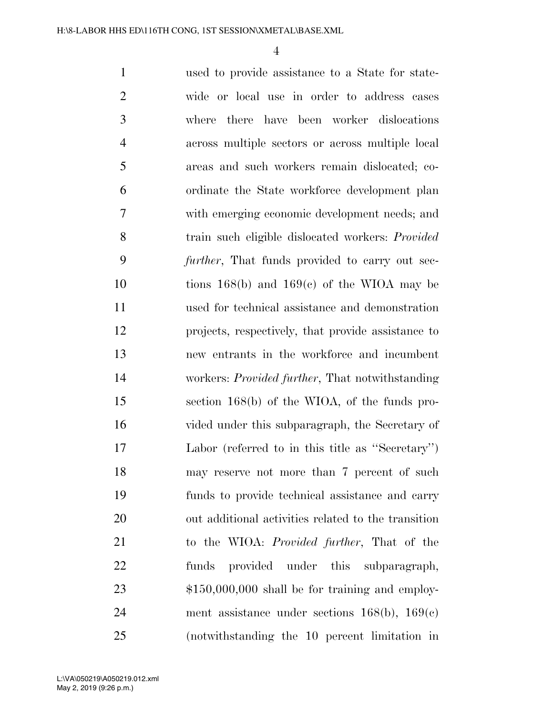used to provide assistance to a State for state- wide or local use in order to address cases where there have been worker dislocations across multiple sectors or across multiple local areas and such workers remain dislocated; co- ordinate the State workforce development plan with emerging economic development needs; and train such eligible dislocated workers: *Provided further*, That funds provided to carry out sec- tions 168(b) and 169(c) of the WIOA may be used for technical assistance and demonstration projects, respectively, that provide assistance to new entrants in the workforce and incumbent workers: *Provided further*, That notwithstanding section 168(b) of the WIOA, of the funds pro- vided under this subparagraph, the Secretary of Labor (referred to in this title as ''Secretary'') 18 may reserve not more than 7 percent of such funds to provide technical assistance and carry out additional activities related to the transition to the WIOA: *Provided further*, That of the funds provided under this subparagraph, \$150,000,000 shall be for training and employ- ment assistance under sections 168(b), 169(c) (notwithstanding the 10 percent limitation in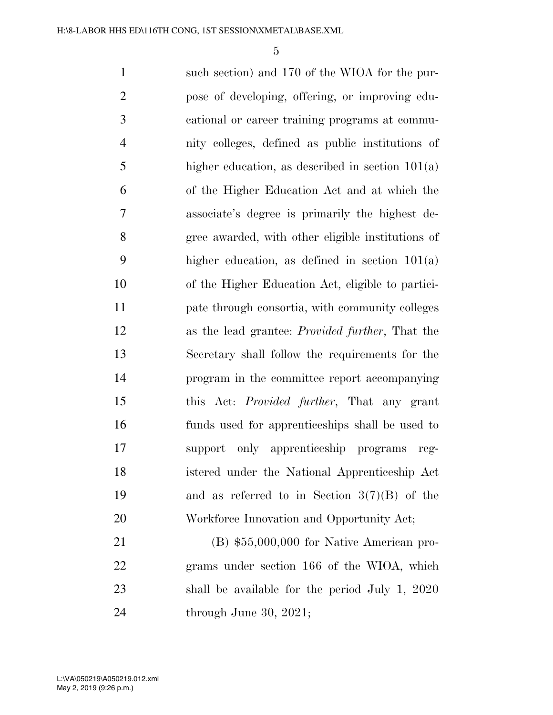such section) and 170 of the WIOA for the pur- pose of developing, offering, or improving edu- cational or career training programs at commu- nity colleges, defined as public institutions of higher education, as described in section 101(a) of the Higher Education Act and at which the associate's degree is primarily the highest de- gree awarded, with other eligible institutions of higher education, as defined in section 101(a) of the Higher Education Act, eligible to partici- pate through consortia, with community colleges as the lead grantee: *Provided further*, That the Secretary shall follow the requirements for the program in the committee report accompanying this Act: *Provided further*, That any grant funds used for apprenticeships shall be used to support only apprenticeship programs reg- istered under the National Apprenticeship Act and as referred to in Section 3(7)(B) of the 20 Workforce Innovation and Opportunity Act; (B) \$55,000,000 for Native American pro-grams under section 166 of the WIOA, which

 shall be available for the period July 1, 2020 through June 30, 2021;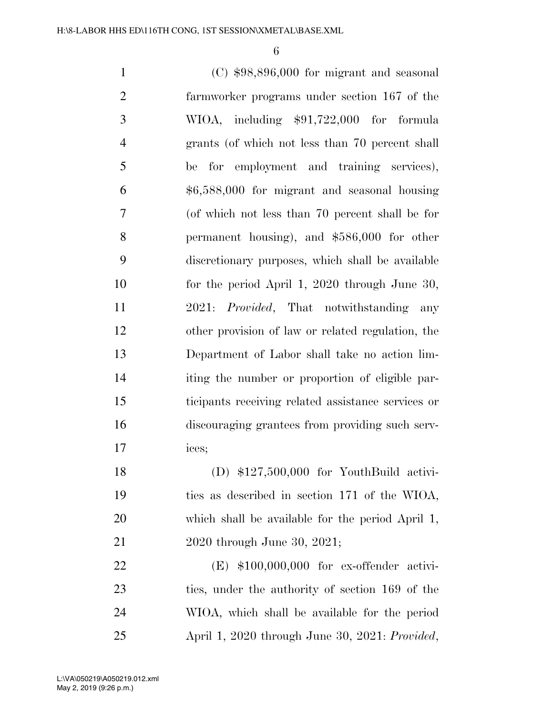(C) \$98,896,000 for migrant and seasonal farmworker programs under section 167 of the WIOA, including \$91,722,000 for formula grants (of which not less than 70 percent shall be for employment and training services), \$6,588,000 for migrant and seasonal housing (of which not less than 70 percent shall be for permanent housing), and \$586,000 for other discretionary purposes, which shall be available 10 for the period April 1, 2020 through June 30, 2021: *Provided*, That notwithstanding any other provision of law or related regulation, the Department of Labor shall take no action lim- iting the number or proportion of eligible par- ticipants receiving related assistance services or discouraging grantees from providing such serv- ices; (D) \$127,500,000 for YouthBuild activi- ties as described in section 171 of the WIOA, which shall be available for the period April 1, 2020 through June 30, 2021; (E) \$100,000,000 for ex-offender activi-ties, under the authority of section 169 of the

WIOA, which shall be available for the period

April 1, 2020 through June 30, 2021: *Provided*,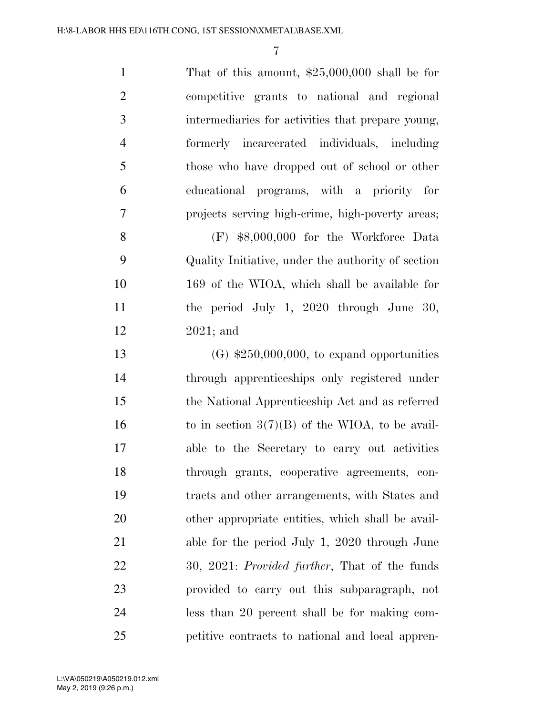That of this amount, \$25,000,000 shall be for competitive grants to national and regional intermediaries for activities that prepare young, formerly incarcerated individuals, including those who have dropped out of school or other educational programs, with a priority for projects serving high-crime, high-poverty areas; (F) \$8,000,000 for the Workforce Data Quality Initiative, under the authority of section 169 of the WIOA, which shall be available for the period July 1, 2020 through June 30, 2021; and (G) \$250,000,000, to expand opportunities through apprenticeships only registered under

 the National Apprenticeship Act and as referred 16 to in section  $3(7)(B)$  of the WIOA, to be avail- able to the Secretary to carry out activities through grants, cooperative agreements, con- tracts and other arrangements, with States and other appropriate entities, which shall be avail- able for the period July 1, 2020 through June 30, 2021: *Provided further*, That of the funds provided to carry out this subparagraph, not less than 20 percent shall be for making com-petitive contracts to national and local appren-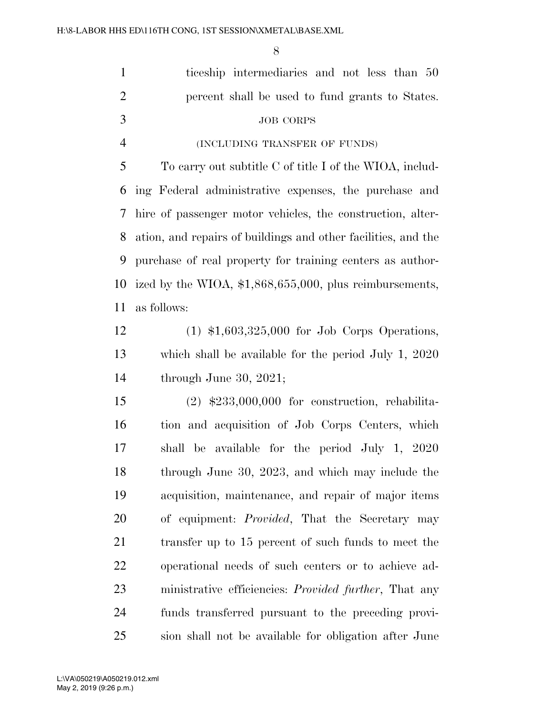| $\mathbf{1}$   | ticeship intermediaries and not less than 50                  |
|----------------|---------------------------------------------------------------|
| $\overline{2}$ | percent shall be used to fund grants to States.               |
| 3              | <b>JOB CORPS</b>                                              |
| $\overline{4}$ | (INCLUDING TRANSFER OF FUNDS)                                 |
| 5              | To carry out subtitle C of title I of the WIOA, includ-       |
| 6              | ing Federal administrative expenses, the purchase and         |
| 7              | hire of passenger motor vehicles, the construction, alter-    |
| 8              | ation, and repairs of buildings and other facilities, and the |
| 9              | purchase of real property for training centers as author-     |
| 10             | ized by the WIOA, $$1,868,655,000$ , plus reimbursements,     |
| 11             | as follows:                                                   |
| 12             | $(1)$ \$1,603,325,000 for Job Corps Operations,               |
| 13             | which shall be available for the period July 1, 2020          |
| 14             | through June 30, 2021;                                        |
| 15             | $(2)$ \$233,000,000 for construction, rehabilita-             |
| 16             | tion and acquisition of Job Corps Centers, which              |
| 17             | shall be available for the period July 1, 2020                |
| 18             | through June 30, 2023, and which may include the              |
| 19             | acquisition, maintenance, and repair of major items           |
| 20             | of equipment: <i>Provided</i> , That the Secretary may        |
| 21             | transfer up to 15 percent of such funds to meet the           |
| 22             | operational needs of such centers or to achieve ad-           |
| 23             | ministrative efficiencies: <i>Provided further</i> , That any |
| 24             | funds transferred pursuant to the preceding provi-            |
| 25             | sion shall not be available for obligation after June         |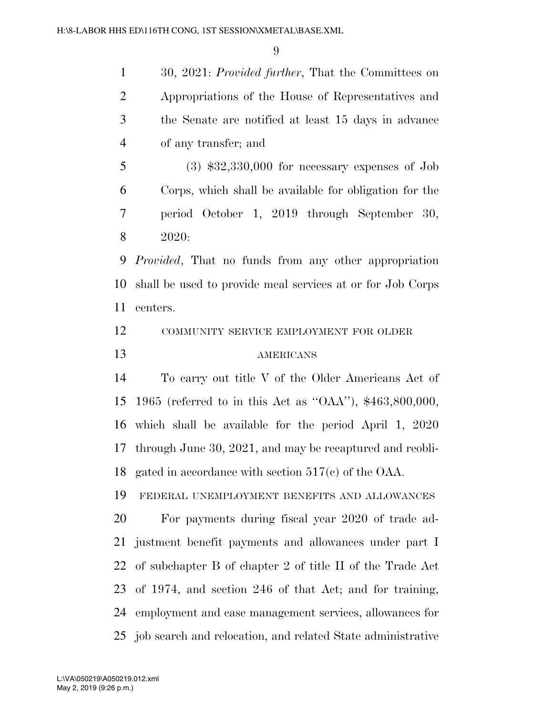30, 2021: *Provided further*, That the Committees on Appropriations of the House of Representatives and the Senate are notified at least 15 days in advance of any transfer; and (3) \$32,330,000 for necessary expenses of Job Corps, which shall be available for obligation for the

 period October 1, 2019 through September 30, 2020:

 *Provided*, That no funds from any other appropriation shall be used to provide meal services at or for Job Corps centers.

# COMMUNITY SERVICE EMPLOYMENT FOR OLDER AMERICANS

 To carry out title V of the Older Americans Act of 1965 (referred to in this Act as ''OAA''), \$463,800,000, which shall be available for the period April 1, 2020 through June 30, 2021, and may be recaptured and reobli-gated in accordance with section 517(c) of the OAA.

 FEDERAL UNEMPLOYMENT BENEFITS AND ALLOWANCES For payments during fiscal year 2020 of trade ad- justment benefit payments and allowances under part I of subchapter B of chapter 2 of title II of the Trade Act of 1974, and section 246 of that Act; and for training, employment and case management services, allowances for job search and relocation, and related State administrative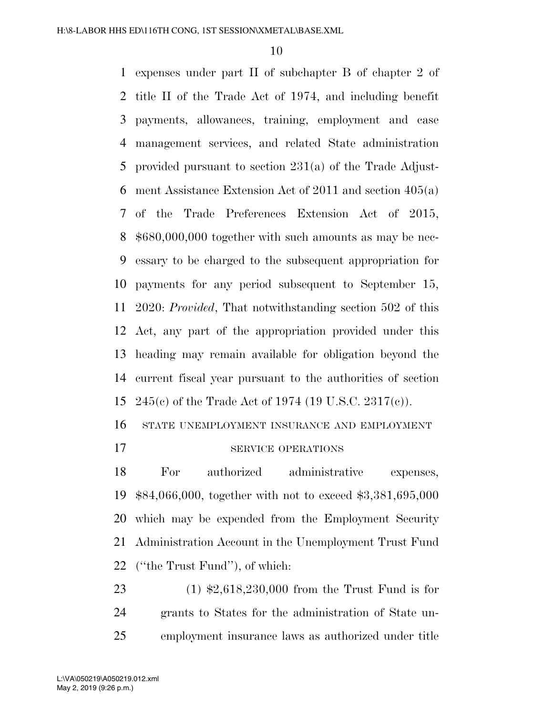expenses under part II of subchapter B of chapter 2 of title II of the Trade Act of 1974, and including benefit payments, allowances, training, employment and case management services, and related State administration provided pursuant to section 231(a) of the Trade Adjust- ment Assistance Extension Act of 2011 and section 405(a) of the Trade Preferences Extension Act of 2015, \$680,000,000 together with such amounts as may be nec- essary to be charged to the subsequent appropriation for payments for any period subsequent to September 15, 2020: *Provided*, That notwithstanding section 502 of this Act, any part of the appropriation provided under this heading may remain available for obligation beyond the current fiscal year pursuant to the authorities of section 245(c) of the Trade Act of 1974 (19 U.S.C. 2317(c)).

STATE UNEMPLOYMENT INSURANCE AND EMPLOYMENT

## 17 SERVICE OPERATIONS

 For authorized administrative expenses, \$84,066,000, together with not to exceed \$3,381,695,000 which may be expended from the Employment Security Administration Account in the Unemployment Trust Fund (''the Trust Fund''), of which:

 (1) \$2,618,230,000 from the Trust Fund is for grants to States for the administration of State un-employment insurance laws as authorized under title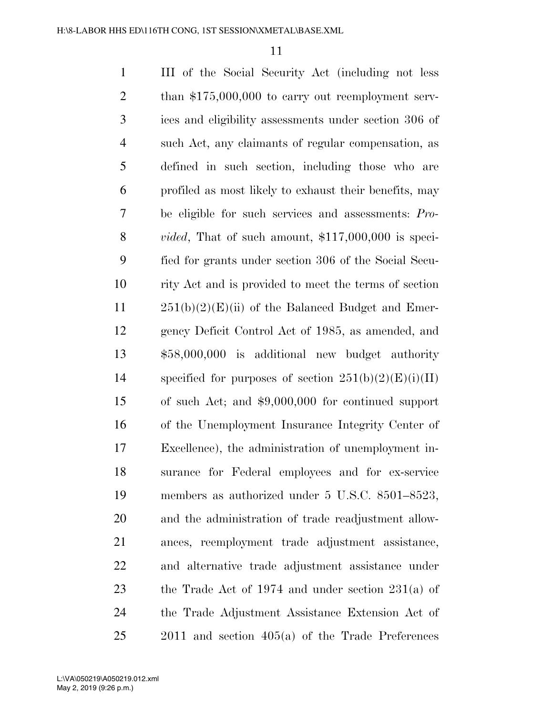III of the Social Security Act (including not less 2 than \$175,000,000 to carry out reemployment serv- ices and eligibility assessments under section 306 of such Act, any claimants of regular compensation, as defined in such section, including those who are profiled as most likely to exhaust their benefits, may be eligible for such services and assessments: *Pro- vided*, That of such amount, \$117,000,000 is speci- fied for grants under section 306 of the Social Secu- rity Act and is provided to meet the terms of section 251(b)(2)(E)(ii) of the Balanced Budget and Emer- gency Deficit Control Act of 1985, as amended, and \$58,000,000 is additional new budget authority 14 specified for purposes of section  $251(b)(2)(E)(i)(II)$  of such Act; and \$9,000,000 for continued support of the Unemployment Insurance Integrity Center of Excellence), the administration of unemployment in- surance for Federal employees and for ex-service members as authorized under 5 U.S.C. 8501–8523, and the administration of trade readjustment allow- ances, reemployment trade adjustment assistance, and alternative trade adjustment assistance under the Trade Act of 1974 and under section 231(a) of the Trade Adjustment Assistance Extension Act of 2011 and section 405(a) of the Trade Preferences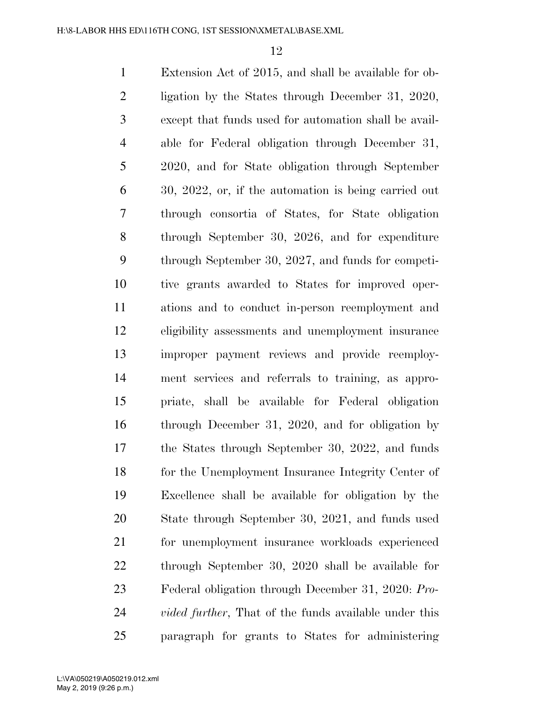Extension Act of 2015, and shall be available for ob- ligation by the States through December 31, 2020, except that funds used for automation shall be avail- able for Federal obligation through December 31, 2020, and for State obligation through September 30, 2022, or, if the automation is being carried out through consortia of States, for State obligation through September 30, 2026, and for expenditure through September 30, 2027, and funds for competi- tive grants awarded to States for improved oper- ations and to conduct in-person reemployment and eligibility assessments and unemployment insurance improper payment reviews and provide reemploy- ment services and referrals to training, as appro- priate, shall be available for Federal obligation through December 31, 2020, and for obligation by the States through September 30, 2022, and funds for the Unemployment Insurance Integrity Center of Excellence shall be available for obligation by the State through September 30, 2021, and funds used for unemployment insurance workloads experienced through September 30, 2020 shall be available for Federal obligation through December 31, 2020: *Pro- vided further*, That of the funds available under this paragraph for grants to States for administering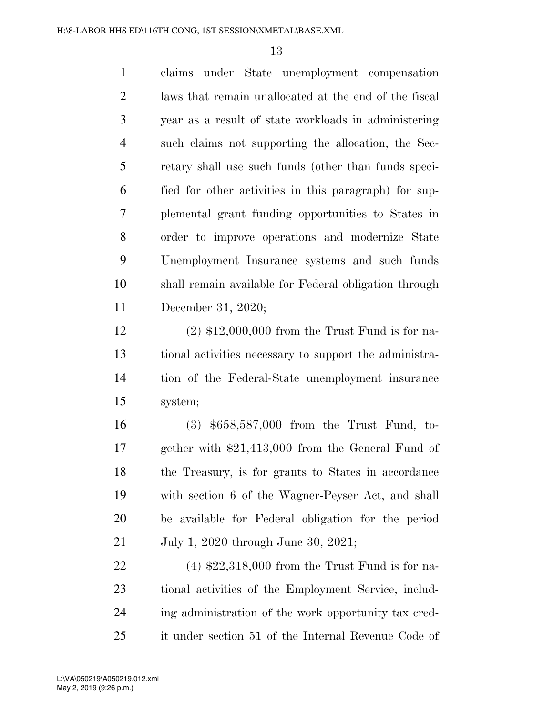claims under State unemployment compensation laws that remain unallocated at the end of the fiscal year as a result of state workloads in administering such claims not supporting the allocation, the Sec- retary shall use such funds (other than funds speci- fied for other activities in this paragraph) for sup- plemental grant funding opportunities to States in order to improve operations and modernize State Unemployment Insurance systems and such funds shall remain available for Federal obligation through December 31, 2020;

 (2) \$12,000,000 from the Trust Fund is for na- tional activities necessary to support the administra- tion of the Federal-State unemployment insurance system;

 (3) \$658,587,000 from the Trust Fund, to- gether with \$21,413,000 from the General Fund of the Treasury, is for grants to States in accordance with section 6 of the Wagner-Peyser Act, and shall be available for Federal obligation for the period July 1, 2020 through June 30, 2021;

 (4) \$22,318,000 from the Trust Fund is for na- tional activities of the Employment Service, includ- ing administration of the work opportunity tax cred-it under section 51 of the Internal Revenue Code of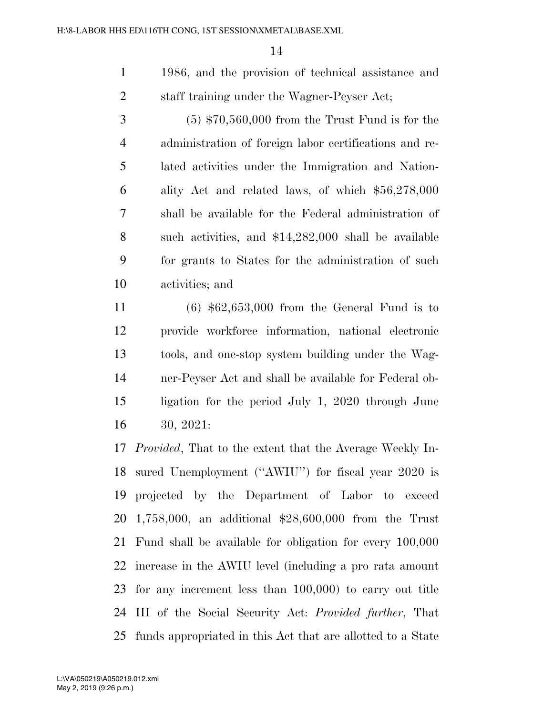1986, and the provision of technical assistance and staff training under the Wagner-Peyser Act;

 (5) \$70,560,000 from the Trust Fund is for the administration of foreign labor certifications and re- lated activities under the Immigration and Nation- ality Act and related laws, of which \$56,278,000 shall be available for the Federal administration of such activities, and \$14,282,000 shall be available for grants to States for the administration of such activities; and

 (6) \$62,653,000 from the General Fund is to provide workforce information, national electronic tools, and one-stop system building under the Wag- ner-Peyser Act and shall be available for Federal ob- ligation for the period July 1, 2020 through June 30, 2021:

 *Provided*, That to the extent that the Average Weekly In- sured Unemployment (''AWIU'') for fiscal year 2020 is projected by the Department of Labor to exceed 1,758,000, an additional \$28,600,000 from the Trust Fund shall be available for obligation for every 100,000 increase in the AWIU level (including a pro rata amount for any increment less than 100,000) to carry out title III of the Social Security Act: *Provided further*, That funds appropriated in this Act that are allotted to a State

May 2, 2019 (9:26 p.m.) L:\VA\050219\A050219.012.xml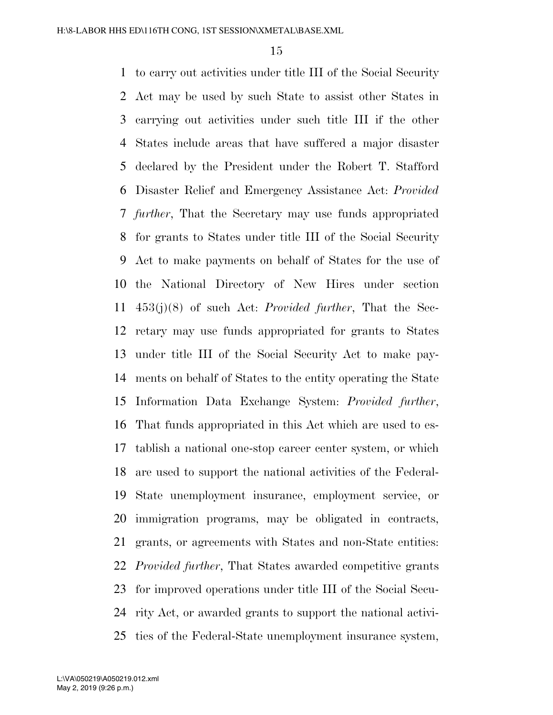to carry out activities under title III of the Social Security Act may be used by such State to assist other States in carrying out activities under such title III if the other States include areas that have suffered a major disaster declared by the President under the Robert T. Stafford Disaster Relief and Emergency Assistance Act: *Provided further*, That the Secretary may use funds appropriated for grants to States under title III of the Social Security Act to make payments on behalf of States for the use of the National Directory of New Hires under section 453(j)(8) of such Act: *Provided further*, That the Sec- retary may use funds appropriated for grants to States under title III of the Social Security Act to make pay- ments on behalf of States to the entity operating the State Information Data Exchange System: *Provided further*, That funds appropriated in this Act which are used to es- tablish a national one-stop career center system, or which are used to support the national activities of the Federal- State unemployment insurance, employment service, or immigration programs, may be obligated in contracts, grants, or agreements with States and non-State entities: *Provided further*, That States awarded competitive grants for improved operations under title III of the Social Secu- rity Act, or awarded grants to support the national activi-ties of the Federal-State unemployment insurance system,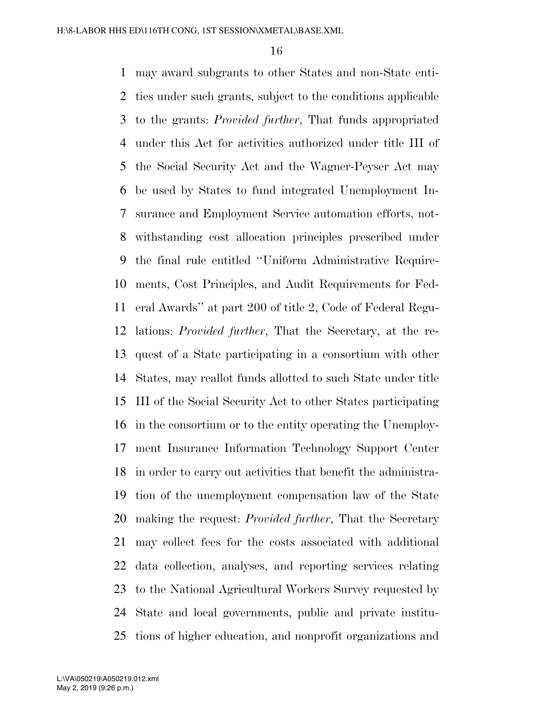may award subgrants to other States and non-State enti- ties under such grants, subject to the conditions applicable to the grants: *Provided further*, That funds appropriated under this Act for activities authorized under title III of the Social Security Act and the Wagner-Peyser Act may be used by States to fund integrated Unemployment In- surance and Employment Service automation efforts, not- withstanding cost allocation principles prescribed under the final rule entitled ''Uniform Administrative Require- ments, Cost Principles, and Audit Requirements for Fed- eral Awards'' at part 200 of title 2, Code of Federal Regu- lations: *Provided further*, That the Secretary, at the re- quest of a State participating in a consortium with other States, may reallot funds allotted to such State under title III of the Social Security Act to other States participating in the consortium or to the entity operating the Unemploy- ment Insurance Information Technology Support Center in order to carry out activities that benefit the administra- tion of the unemployment compensation law of the State making the request: *Provided further*, That the Secretary may collect fees for the costs associated with additional data collection, analyses, and reporting services relating to the National Agricultural Workers Survey requested by State and local governments, public and private institu-tions of higher education, and nonprofit organizations and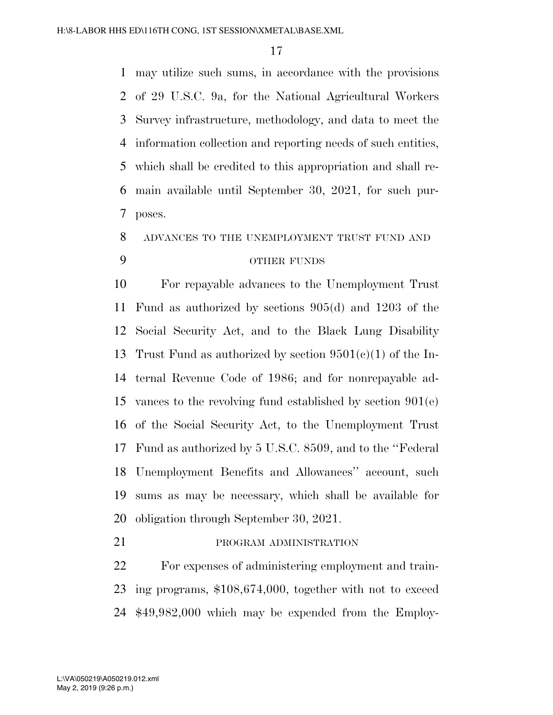may utilize such sums, in accordance with the provisions of 29 U.S.C. 9a, for the National Agricultural Workers Survey infrastructure, methodology, and data to meet the information collection and reporting needs of such entities, which shall be credited to this appropriation and shall re- main available until September 30, 2021, for such pur-poses.

# ADVANCES TO THE UNEMPLOYMENT TRUST FUND AND OTHER FUNDS

 For repayable advances to the Unemployment Trust Fund as authorized by sections 905(d) and 1203 of the Social Security Act, and to the Black Lung Disability 13 Trust Fund as authorized by section  $9501(c)(1)$  of the In- ternal Revenue Code of 1986; and for nonrepayable ad- vances to the revolving fund established by section 901(e) of the Social Security Act, to the Unemployment Trust Fund as authorized by 5 U.S.C. 8509, and to the ''Federal Unemployment Benefits and Allowances'' account, such sums as may be necessary, which shall be available for obligation through September 30, 2021.

21 PROGRAM ADMINISTRATION

 For expenses of administering employment and train- ing programs, \$108,674,000, together with not to exceed \$49,982,000 which may be expended from the Employ-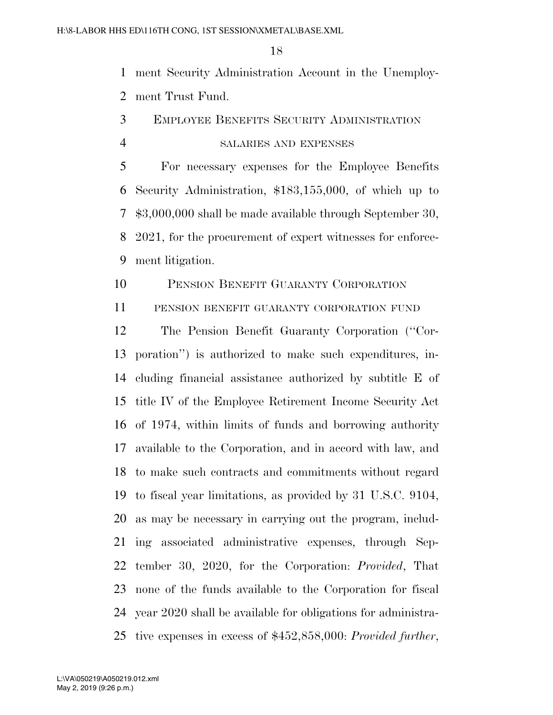ment Security Administration Account in the Unemploy-ment Trust Fund.

- EMPLOYEE BENEFITS SECURITY ADMINISTRATION
- 

## SALARIES AND EXPENSES

 For necessary expenses for the Employee Benefits Security Administration, \$183,155,000, of which up to \$3,000,000 shall be made available through September 30, 2021, for the procurement of expert witnesses for enforce-ment litigation.

PENSION BENEFIT GUARANTY CORPORATION

PENSION BENEFIT GUARANTY CORPORATION FUND

 The Pension Benefit Guaranty Corporation (''Cor- poration'') is authorized to make such expenditures, in- cluding financial assistance authorized by subtitle E of title IV of the Employee Retirement Income Security Act of 1974, within limits of funds and borrowing authority available to the Corporation, and in accord with law, and to make such contracts and commitments without regard to fiscal year limitations, as provided by 31 U.S.C. 9104, as may be necessary in carrying out the program, includ- ing associated administrative expenses, through Sep- tember 30, 2020, for the Corporation: *Provided*, That none of the funds available to the Corporation for fiscal year 2020 shall be available for obligations for administra-tive expenses in excess of \$452,858,000: *Provided further*,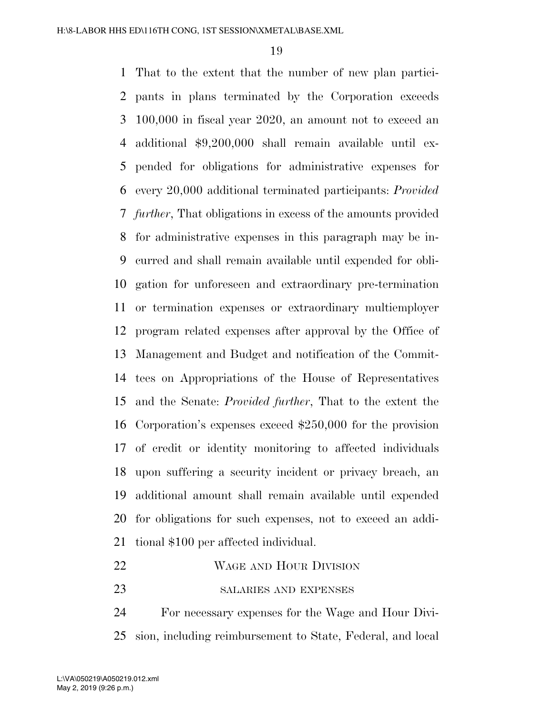That to the extent that the number of new plan partici- pants in plans terminated by the Corporation exceeds 100,000 in fiscal year 2020, an amount not to exceed an additional \$9,200,000 shall remain available until ex- pended for obligations for administrative expenses for every 20,000 additional terminated participants: *Provided further*, That obligations in excess of the amounts provided for administrative expenses in this paragraph may be in- curred and shall remain available until expended for obli- gation for unforeseen and extraordinary pre-termination or termination expenses or extraordinary multiemployer program related expenses after approval by the Office of Management and Budget and notification of the Commit- tees on Appropriations of the House of Representatives and the Senate: *Provided further*, That to the extent the Corporation's expenses exceed \$250,000 for the provision of credit or identity monitoring to affected individuals upon suffering a security incident or privacy breach, an additional amount shall remain available until expended for obligations for such expenses, not to exceed an addi-tional \$100 per affected individual.

22 WAGE AND HOUR DIVISION 23 SALARIES AND EXPENSES

 For necessary expenses for the Wage and Hour Divi-sion, including reimbursement to State, Federal, and local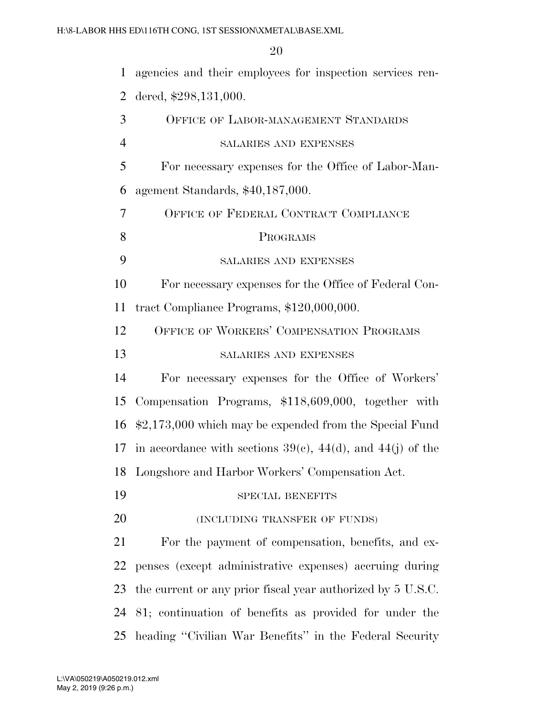| $\mathbf{1}$   | agencies and their employees for inspection services ren-             |
|----------------|-----------------------------------------------------------------------|
| $\overline{2}$ | dered, \$298,131,000.                                                 |
| 3              | OFFICE OF LABOR-MANAGEMENT STANDARDS                                  |
| $\overline{4}$ | SALARIES AND EXPENSES                                                 |
| 5              | For necessary expenses for the Office of Labor-Man-                   |
| 6              | agement Standards, \$40,187,000.                                      |
| 7              | OFFICE OF FEDERAL CONTRACT COMPLIANCE                                 |
| 8              | PROGRAMS                                                              |
| 9              | SALARIES AND EXPENSES                                                 |
| 10             | For necessary expenses for the Office of Federal Con-                 |
| 11             | tract Compliance Programs, \$120,000,000.                             |
| 12             | OFFICE OF WORKERS' COMPENSATION PROGRAMS                              |
| 13             | SALARIES AND EXPENSES                                                 |
| 14             | For necessary expenses for the Office of Workers'                     |
| 15             | Compensation Programs, \$118,609,000, together with                   |
| 16             | $$2,173,000$ which may be expended from the Special Fund              |
|                | 17 in accordance with sections $39(c)$ , $44(d)$ , and $44(j)$ of the |
| 18             | Longshore and Harbor Workers' Compensation Act.                       |
| 19             | SPECIAL BENEFITS                                                      |
| 20             | (INCLUDING TRANSFER OF FUNDS)                                         |
| 21             | For the payment of compensation, benefits, and ex-                    |
| 22             | penses (except administrative expenses) accruing during               |
| 23             | the current or any prior fiscal year authorized by 5 U.S.C.           |
| 24             | 81; continuation of benefits as provided for under the                |
| 25             | heading "Civilian War Benefits" in the Federal Security               |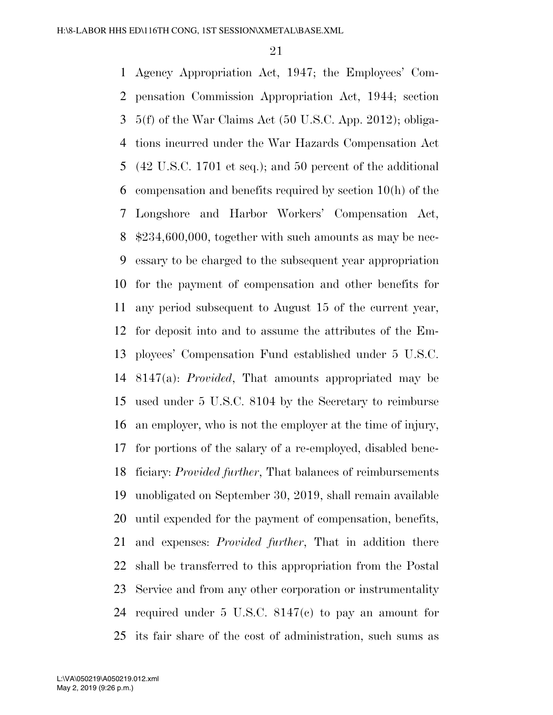Agency Appropriation Act, 1947; the Employees' Com- pensation Commission Appropriation Act, 1944; section 5(f) of the War Claims Act (50 U.S.C. App. 2012); obliga- tions incurred under the War Hazards Compensation Act (42 U.S.C. 1701 et seq.); and 50 percent of the additional compensation and benefits required by section 10(h) of the Longshore and Harbor Workers' Compensation Act, \$234,600,000, together with such amounts as may be nec- essary to be charged to the subsequent year appropriation for the payment of compensation and other benefits for any period subsequent to August 15 of the current year, for deposit into and to assume the attributes of the Em- ployees' Compensation Fund established under 5 U.S.C. 8147(a): *Provided*, That amounts appropriated may be used under 5 U.S.C. 8104 by the Secretary to reimburse an employer, who is not the employer at the time of injury, for portions of the salary of a re-employed, disabled bene- ficiary: *Provided further*, That balances of reimbursements unobligated on September 30, 2019, shall remain available until expended for the payment of compensation, benefits, and expenses: *Provided further*, That in addition there shall be transferred to this appropriation from the Postal Service and from any other corporation or instrumentality required under 5 U.S.C. 8147(c) to pay an amount for its fair share of the cost of administration, such sums as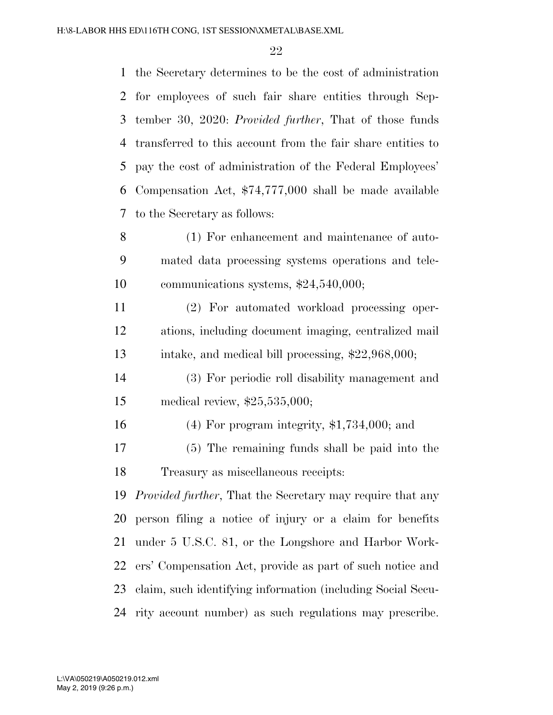the Secretary determines to be the cost of administration for employees of such fair share entities through Sep- tember 30, 2020: *Provided further*, That of those funds transferred to this account from the fair share entities to pay the cost of administration of the Federal Employees' Compensation Act, \$74,777,000 shall be made available to the Secretary as follows: (1) For enhancement and maintenance of auto- mated data processing systems operations and tele- communications systems, \$24,540,000; (2) For automated workload processing oper- ations, including document imaging, centralized mail intake, and medical bill processing, \$22,968,000; (3) For periodic roll disability management and medical review, \$25,535,000; (4) For program integrity, \$1,734,000; and (5) The remaining funds shall be paid into the Treasury as miscellaneous receipts:

 *Provided further*, That the Secretary may require that any person filing a notice of injury or a claim for benefits under 5 U.S.C. 81, or the Longshore and Harbor Work- ers' Compensation Act, provide as part of such notice and claim, such identifying information (including Social Secu-rity account number) as such regulations may prescribe.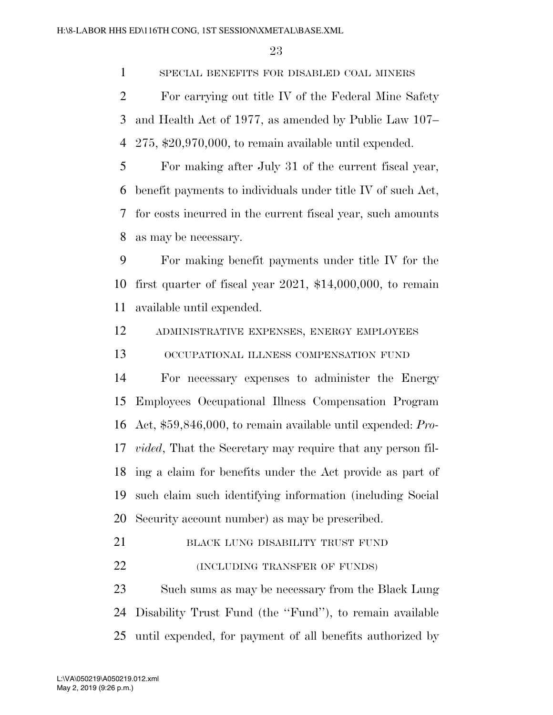SPECIAL BENEFITS FOR DISABLED COAL MINERS

 For carrying out title IV of the Federal Mine Safety and Health Act of 1977, as amended by Public Law 107– 275, \$20,970,000, to remain available until expended.

 For making after July 31 of the current fiscal year, benefit payments to individuals under title IV of such Act, for costs incurred in the current fiscal year, such amounts as may be necessary.

 For making benefit payments under title IV for the first quarter of fiscal year 2021, \$14,000,000, to remain available until expended.

ADMINISTRATIVE EXPENSES, ENERGY EMPLOYEES

OCCUPATIONAL ILLNESS COMPENSATION FUND

 For necessary expenses to administer the Energy Employees Occupational Illness Compensation Program Act, \$59,846,000, to remain available until expended: *Pro- vided*, That the Secretary may require that any person fil- ing a claim for benefits under the Act provide as part of such claim such identifying information (including Social Security account number) as may be prescribed.

21 BLACK LUNG DISABILITY TRUST FUND

**(INCLUDING TRANSFER OF FUNDS)** 

 Such sums as may be necessary from the Black Lung Disability Trust Fund (the ''Fund''), to remain available until expended, for payment of all benefits authorized by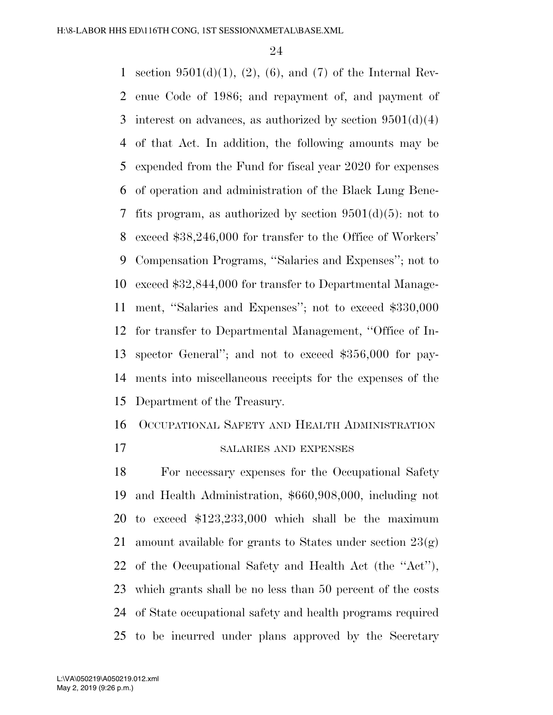1 section  $9501(d)(1)$ ,  $(2)$ ,  $(6)$ , and  $(7)$  of the Internal Rev- enue Code of 1986; and repayment of, and payment of 3 interest on advances, as authorized by section  $9501(d)(4)$  of that Act. In addition, the following amounts may be expended from the Fund for fiscal year 2020 for expenses of operation and administration of the Black Lung Bene- fits program, as authorized by section 9501(d)(5): not to exceed \$38,246,000 for transfer to the Office of Workers' Compensation Programs, ''Salaries and Expenses''; not to exceed \$32,844,000 for transfer to Departmental Manage- ment, ''Salaries and Expenses''; not to exceed \$330,000 for transfer to Departmental Management, ''Office of In- spector General''; and not to exceed \$356,000 for pay- ments into miscellaneous receipts for the expenses of the Department of the Treasury.

OCCUPATIONAL SAFETY AND HEALTH ADMINISTRATION

SALARIES AND EXPENSES

 For necessary expenses for the Occupational Safety and Health Administration, \$660,908,000, including not to exceed \$123,233,000 which shall be the maximum 21 amount available for grants to States under section  $23(g)$  of the Occupational Safety and Health Act (the ''Act''), which grants shall be no less than 50 percent of the costs of State occupational safety and health programs required to be incurred under plans approved by the Secretary

May 2, 2019 (9:26 p.m.) L:\VA\050219\A050219.012.xml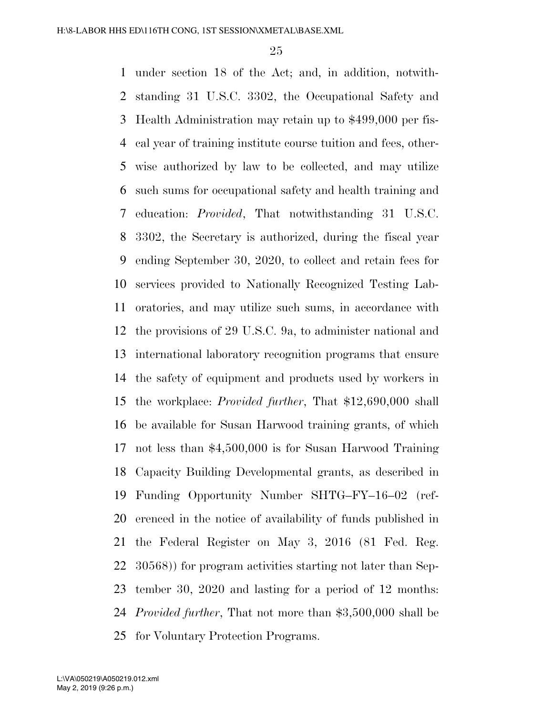under section 18 of the Act; and, in addition, notwith- standing 31 U.S.C. 3302, the Occupational Safety and Health Administration may retain up to \$499,000 per fis- cal year of training institute course tuition and fees, other- wise authorized by law to be collected, and may utilize such sums for occupational safety and health training and education: *Provided*, That notwithstanding 31 U.S.C. 3302, the Secretary is authorized, during the fiscal year ending September 30, 2020, to collect and retain fees for services provided to Nationally Recognized Testing Lab- oratories, and may utilize such sums, in accordance with the provisions of 29 U.S.C. 9a, to administer national and international laboratory recognition programs that ensure the safety of equipment and products used by workers in the workplace: *Provided further*, That \$12,690,000 shall be available for Susan Harwood training grants, of which not less than \$4,500,000 is for Susan Harwood Training Capacity Building Developmental grants, as described in Funding Opportunity Number SHTG–FY–16–02 (ref- erenced in the notice of availability of funds published in the Federal Register on May 3, 2016 (81 Fed. Reg. 30568)) for program activities starting not later than Sep- tember 30, 2020 and lasting for a period of 12 months: *Provided further*, That not more than \$3,500,000 shall be for Voluntary Protection Programs.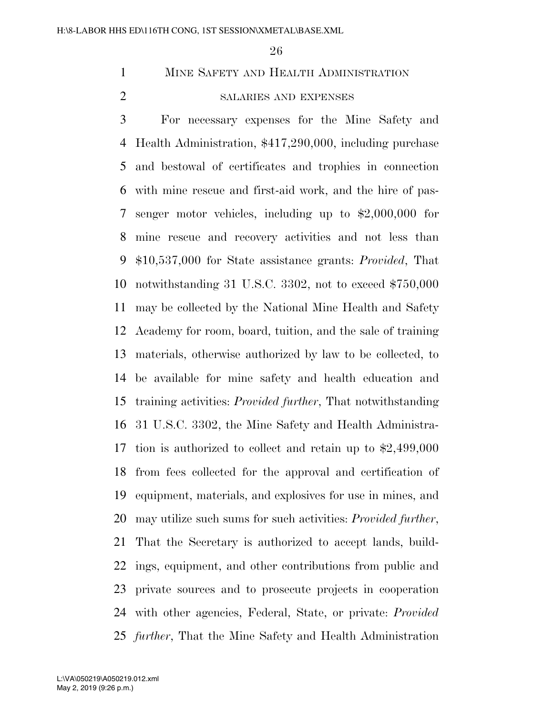MINE SAFETY AND HEALTH ADMINISTRATION

# SALARIES AND EXPENSES

 For necessary expenses for the Mine Safety and Health Administration, \$417,290,000, including purchase and bestowal of certificates and trophies in connection with mine rescue and first-aid work, and the hire of pas- senger motor vehicles, including up to \$2,000,000 for mine rescue and recovery activities and not less than \$10,537,000 for State assistance grants: *Provided*, That notwithstanding 31 U.S.C. 3302, not to exceed \$750,000 may be collected by the National Mine Health and Safety Academy for room, board, tuition, and the sale of training materials, otherwise authorized by law to be collected, to be available for mine safety and health education and training activities: *Provided further*, That notwithstanding 31 U.S.C. 3302, the Mine Safety and Health Administra- tion is authorized to collect and retain up to \$2,499,000 from fees collected for the approval and certification of equipment, materials, and explosives for use in mines, and may utilize such sums for such activities: *Provided further*, That the Secretary is authorized to accept lands, build- ings, equipment, and other contributions from public and private sources and to prosecute projects in cooperation with other agencies, Federal, State, or private: *Provided further*, That the Mine Safety and Health Administration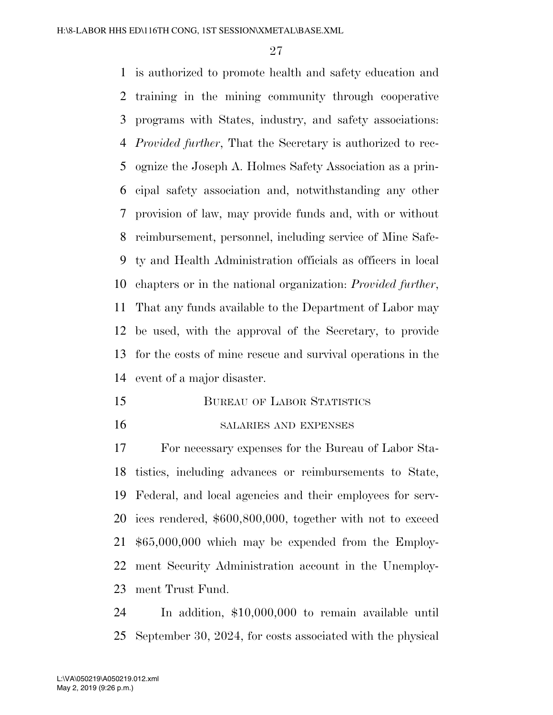is authorized to promote health and safety education and training in the mining community through cooperative programs with States, industry, and safety associations: *Provided further*, That the Secretary is authorized to rec- ognize the Joseph A. Holmes Safety Association as a prin- cipal safety association and, notwithstanding any other provision of law, may provide funds and, with or without reimbursement, personnel, including service of Mine Safe- ty and Health Administration officials as officers in local chapters or in the national organization: *Provided further*, That any funds available to the Department of Labor may be used, with the approval of the Secretary, to provide for the costs of mine rescue and survival operations in the event of a major disaster.

- BUREAU OF LABOR STATISTICS
- SALARIES AND EXPENSES

 For necessary expenses for the Bureau of Labor Sta- tistics, including advances or reimbursements to State, Federal, and local agencies and their employees for serv- ices rendered, \$600,800,000, together with not to exceed \$65,000,000 which may be expended from the Employ- ment Security Administration account in the Unemploy-ment Trust Fund.

 In addition, \$10,000,000 to remain available until September 30, 2024, for costs associated with the physical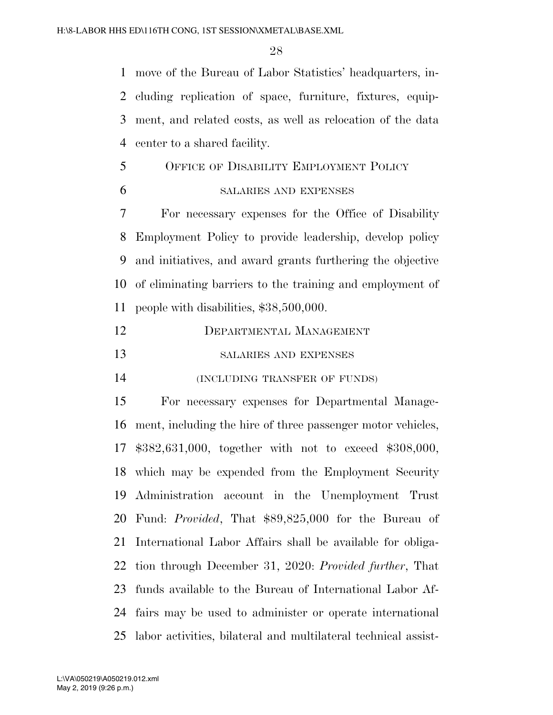move of the Bureau of Labor Statistics' headquarters, in- cluding replication of space, furniture, fixtures, equip- ment, and related costs, as well as relocation of the data center to a shared facility.

### SALARIES AND EXPENSES

OFFICE OF DISABILITY EMPLOYMENT POLICY

 For necessary expenses for the Office of Disability Employment Policy to provide leadership, develop policy and initiatives, and award grants furthering the objective of eliminating barriers to the training and employment of people with disabilities, \$38,500,000.

| 12 | DEPARTMENTAL MANAGEMENT      |
|----|------------------------------|
| 13 | <b>SALARIES AND EXPENSES</b> |

(INCLUDING TRANSFER OF FUNDS)

 For necessary expenses for Departmental Manage- ment, including the hire of three passenger motor vehicles, \$382,631,000, together with not to exceed \$308,000, which may be expended from the Employment Security Administration account in the Unemployment Trust Fund: *Provided*, That \$89,825,000 for the Bureau of International Labor Affairs shall be available for obliga- tion through December 31, 2020: *Provided further*, That funds available to the Bureau of International Labor Af- fairs may be used to administer or operate international labor activities, bilateral and multilateral technical assist-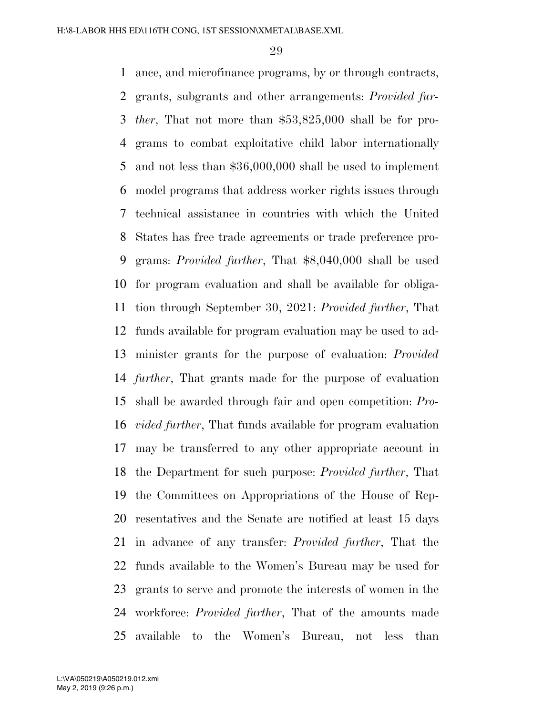ance, and microfinance programs, by or through contracts, grants, subgrants and other arrangements: *Provided fur- ther*, That not more than \$53,825,000 shall be for pro- grams to combat exploitative child labor internationally and not less than \$36,000,000 shall be used to implement model programs that address worker rights issues through technical assistance in countries with which the United States has free trade agreements or trade preference pro- grams: *Provided further*, That \$8,040,000 shall be used for program evaluation and shall be available for obliga- tion through September 30, 2021: *Provided further*, That funds available for program evaluation may be used to ad- minister grants for the purpose of evaluation: *Provided further*, That grants made for the purpose of evaluation shall be awarded through fair and open competition: *Pro- vided further*, That funds available for program evaluation may be transferred to any other appropriate account in the Department for such purpose: *Provided further*, That the Committees on Appropriations of the House of Rep- resentatives and the Senate are notified at least 15 days in advance of any transfer: *Provided further*, That the funds available to the Women's Bureau may be used for grants to serve and promote the interests of women in the workforce: *Provided further*, That of the amounts made available to the Women's Bureau, not less than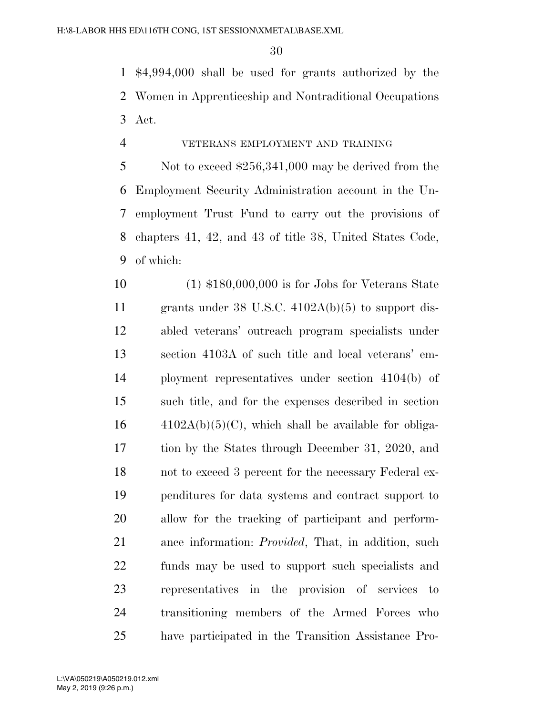\$4,994,000 shall be used for grants authorized by the Women in Apprenticeship and Nontraditional Occupations Act.

VETERANS EMPLOYMENT AND TRAINING

 Not to exceed \$256,341,000 may be derived from the Employment Security Administration account in the Un- employment Trust Fund to carry out the provisions of chapters 41, 42, and 43 of title 38, United States Code, of which:

 (1) \$180,000,000 is for Jobs for Veterans State grants under 38 U.S.C. 4102A(b)(5) to support dis- abled veterans' outreach program specialists under section 4103A of such title and local veterans' em- ployment representatives under section 4104(b) of such title, and for the expenses described in section  $16 \qquad \qquad 4102A(b)(5)(C)$ , which shall be available for obliga- tion by the States through December 31, 2020, and not to exceed 3 percent for the necessary Federal ex- penditures for data systems and contract support to allow for the tracking of participant and perform- ance information: *Provided*, That, in addition, such funds may be used to support such specialists and representatives in the provision of services to transitioning members of the Armed Forces who have participated in the Transition Assistance Pro-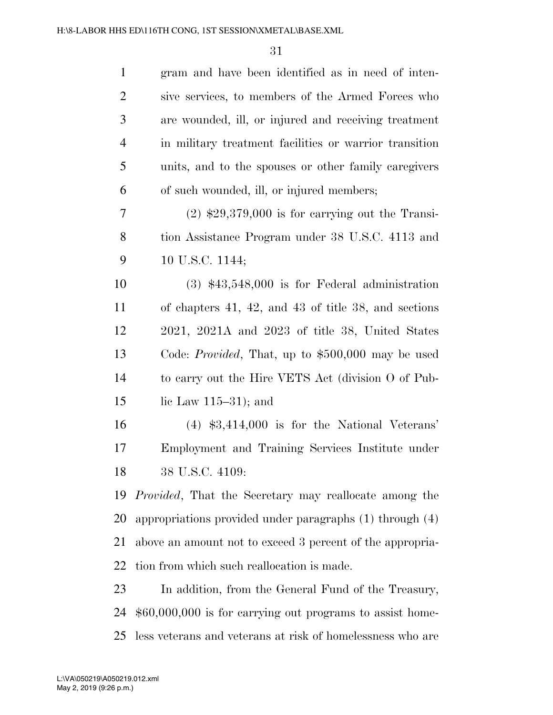| $\mathbf{1}$   | gram and have been identified as in need of inten-            |
|----------------|---------------------------------------------------------------|
| 2              | sive services, to members of the Armed Forces who             |
| 3              | are wounded, ill, or injured and receiving treatment          |
| $\overline{4}$ | in military treatment facilities or warrior transition        |
| 5              | units, and to the spouses or other family caregivers          |
| 6              | of such wounded, ill, or injured members;                     |
| 7              | $(2)$ \$29,379,000 is for carrying out the Transi-            |
| 8              | tion Assistance Program under 38 U.S.C. 4113 and              |
| 9              | 10 U.S.C. 1144;                                               |
| 10             | $(3)$ \$43,548,000 is for Federal administration              |
| 11             | of chapters $41, 42,$ and $43$ of title $38$ , and sections   |
| 12             | 2021, 2021A and 2023 of title 38, United States               |
| 13             | Code: <i>Provided</i> , That, up to \$500,000 may be used     |
| 14             | to carry out the Hire VETS Act (division O of Pub-            |
| 15             | lic Law $115-31$ ; and                                        |
| 16             | $(4)$ \$3,414,000 is for the National Veterans'               |
| 17             | Employment and Training Services Institute under              |
| 18             | 38 U.S.C. 4109:                                               |
| 19             | <i>Provided</i> , That the Secretary may reallocate among the |
| 20             | appropriations provided under paragraphs $(1)$ through $(4)$  |
| 21             | above an amount not to exceed 3 percent of the appropria-     |
| 22             | tion from which such reallocation is made.                    |
| 23             | In addition, from the General Fund of the Treasury,           |
| 24             | $$60,000,000$ is for carrying out programs to assist home-    |
|                | 25 less veterans and veterans at risk of homelessness who are |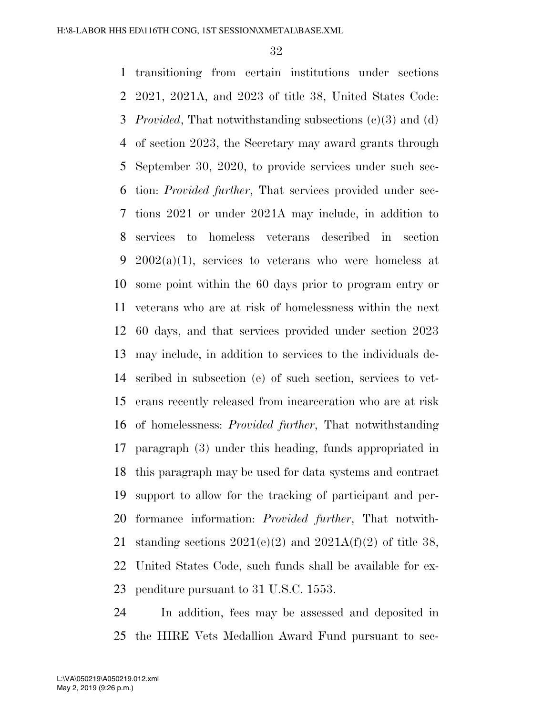transitioning from certain institutions under sections 2021, 2021A, and 2023 of title 38, United States Code: *Provided*, That notwithstanding subsections (c)(3) and (d) of section 2023, the Secretary may award grants through September 30, 2020, to provide services under such sec- tion: *Provided further*, That services provided under sec- tions 2021 or under 2021A may include, in addition to services to homeless veterans described in section 9 2002(a)(1), services to veterans who were homeless at some point within the 60 days prior to program entry or veterans who are at risk of homelessness within the next 60 days, and that services provided under section 2023 may include, in addition to services to the individuals de- scribed in subsection (e) of such section, services to vet- erans recently released from incarceration who are at risk of homelessness: *Provided further*, That notwithstanding paragraph (3) under this heading, funds appropriated in this paragraph may be used for data systems and contract support to allow for the tracking of participant and per- formance information: *Provided further*, That notwith-21 standing sections  $2021(e)(2)$  and  $2021A(f)(2)$  of title 38, United States Code, such funds shall be available for ex-penditure pursuant to 31 U.S.C. 1553.

 In addition, fees may be assessed and deposited in the HIRE Vets Medallion Award Fund pursuant to sec-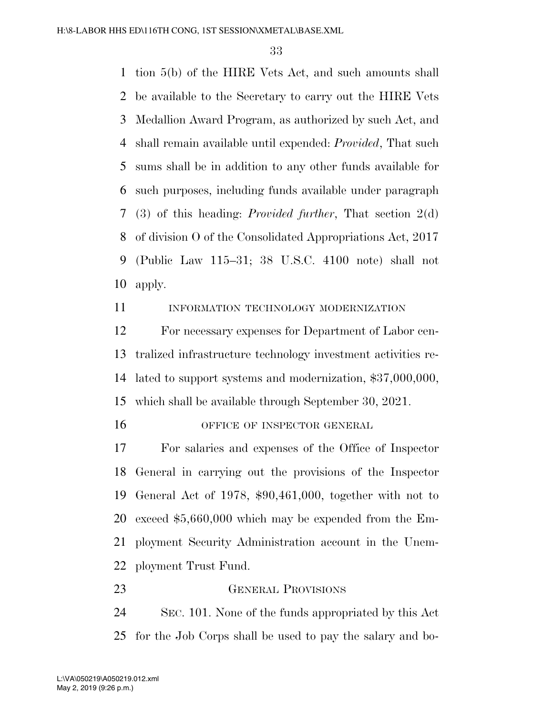tion 5(b) of the HIRE Vets Act, and such amounts shall be available to the Secretary to carry out the HIRE Vets Medallion Award Program, as authorized by such Act, and shall remain available until expended: *Provided*, That such sums shall be in addition to any other funds available for such purposes, including funds available under paragraph (3) of this heading: *Provided further*, That section 2(d) of division O of the Consolidated Appropriations Act, 2017 (Public Law 115–31; 38 U.S.C. 4100 note) shall not apply.

11 INFORMATION TECHNOLOGY MODERNIZATION

 For necessary expenses for Department of Labor cen- tralized infrastructure technology investment activities re- lated to support systems and modernization, \$37,000,000, which shall be available through September 30, 2021.

16 OFFICE OF INSPECTOR GENERAL

 For salaries and expenses of the Office of Inspector General in carrying out the provisions of the Inspector General Act of 1978, \$90,461,000, together with not to exceed \$5,660,000 which may be expended from the Em- ployment Security Administration account in the Unem-ployment Trust Fund.

#### GENERAL PROVISIONS

 SEC. 101. None of the funds appropriated by this Act for the Job Corps shall be used to pay the salary and bo-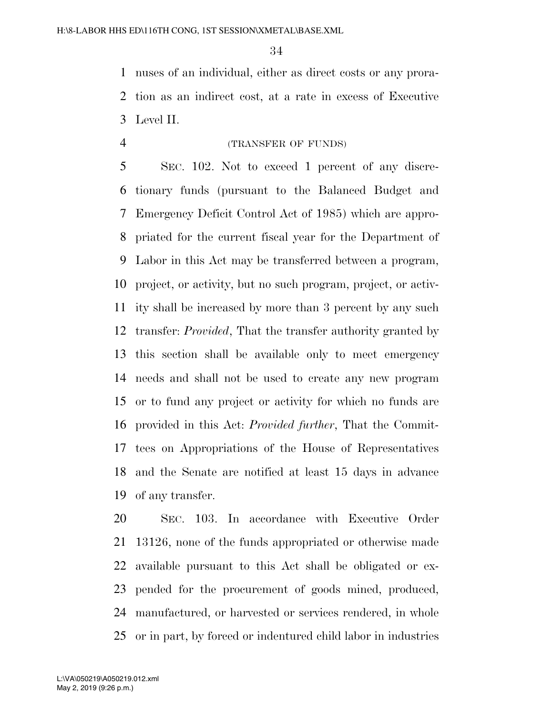nuses of an individual, either as direct costs or any prora- tion as an indirect cost, at a rate in excess of Executive Level II.

## (TRANSFER OF FUNDS)

 SEC. 102. Not to exceed 1 percent of any discre- tionary funds (pursuant to the Balanced Budget and Emergency Deficit Control Act of 1985) which are appro- priated for the current fiscal year for the Department of Labor in this Act may be transferred between a program, project, or activity, but no such program, project, or activ- ity shall be increased by more than 3 percent by any such transfer: *Provided*, That the transfer authority granted by this section shall be available only to meet emergency needs and shall not be used to create any new program or to fund any project or activity for which no funds are provided in this Act: *Provided further*, That the Commit- tees on Appropriations of the House of Representatives and the Senate are notified at least 15 days in advance of any transfer.

 SEC. 103. In accordance with Executive Order 13126, none of the funds appropriated or otherwise made available pursuant to this Act shall be obligated or ex- pended for the procurement of goods mined, produced, manufactured, or harvested or services rendered, in whole or in part, by forced or indentured child labor in industries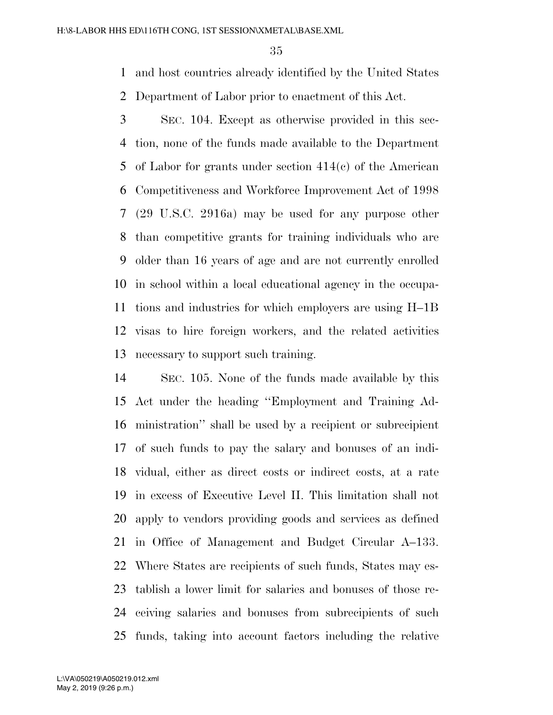and host countries already identified by the United States Department of Labor prior to enactment of this Act.

 SEC. 104. Except as otherwise provided in this sec- tion, none of the funds made available to the Department of Labor for grants under section 414(c) of the American Competitiveness and Workforce Improvement Act of 1998 (29 U.S.C. 2916a) may be used for any purpose other than competitive grants for training individuals who are older than 16 years of age and are not currently enrolled in school within a local educational agency in the occupa- tions and industries for which employers are using H–1B visas to hire foreign workers, and the related activities necessary to support such training.

 SEC. 105. None of the funds made available by this Act under the heading ''Employment and Training Ad- ministration'' shall be used by a recipient or subrecipient of such funds to pay the salary and bonuses of an indi- vidual, either as direct costs or indirect costs, at a rate in excess of Executive Level II. This limitation shall not apply to vendors providing goods and services as defined in Office of Management and Budget Circular A–133. Where States are recipients of such funds, States may es- tablish a lower limit for salaries and bonuses of those re- ceiving salaries and bonuses from subrecipients of such funds, taking into account factors including the relative

May 2, 2019 (9:26 p.m.) L:\VA\050219\A050219.012.xml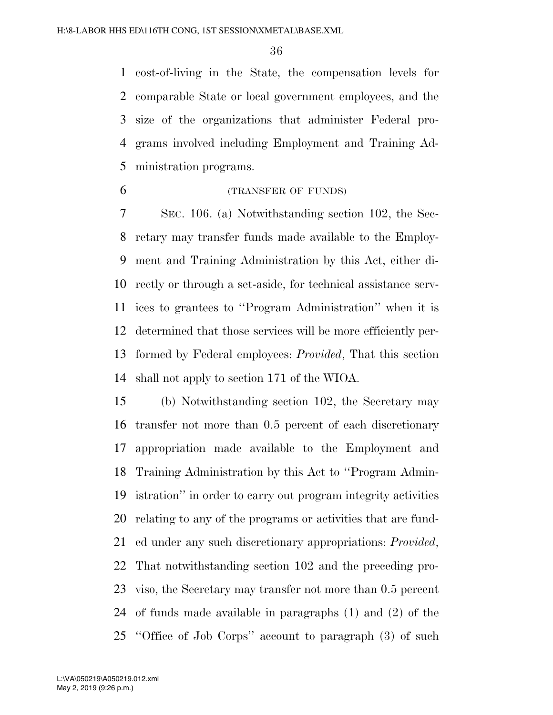cost-of-living in the State, the compensation levels for comparable State or local government employees, and the size of the organizations that administer Federal pro- grams involved including Employment and Training Ad-ministration programs.

#### (TRANSFER OF FUNDS)

 SEC. 106. (a) Notwithstanding section 102, the Sec- retary may transfer funds made available to the Employ- ment and Training Administration by this Act, either di- rectly or through a set-aside, for technical assistance serv- ices to grantees to ''Program Administration'' when it is determined that those services will be more efficiently per- formed by Federal employees: *Provided*, That this section shall not apply to section 171 of the WIOA.

 (b) Notwithstanding section 102, the Secretary may transfer not more than 0.5 percent of each discretionary appropriation made available to the Employment and Training Administration by this Act to ''Program Admin- istration'' in order to carry out program integrity activities relating to any of the programs or activities that are fund- ed under any such discretionary appropriations: *Provided*, That notwithstanding section 102 and the preceding pro- viso, the Secretary may transfer not more than 0.5 percent of funds made available in paragraphs (1) and (2) of the ''Office of Job Corps'' account to paragraph (3) of such

May 2, 2019 (9:26 p.m.) L:\VA\050219\A050219.012.xml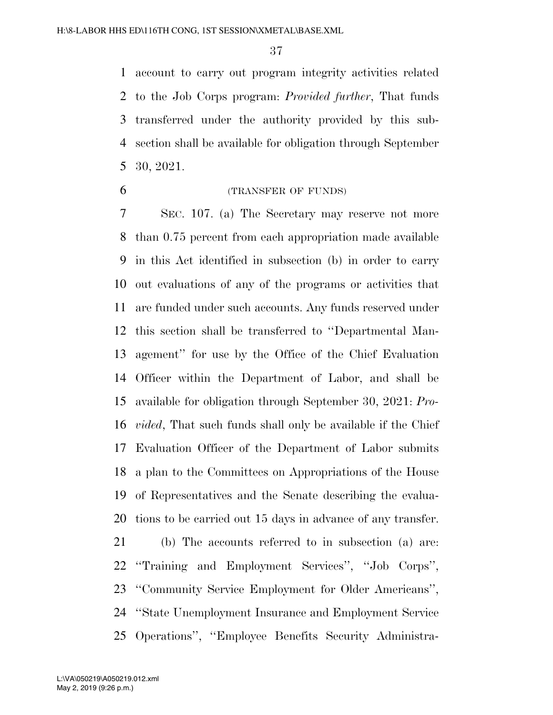account to carry out program integrity activities related to the Job Corps program: *Provided further*, That funds transferred under the authority provided by this sub- section shall be available for obligation through September 30, 2021.

### (TRANSFER OF FUNDS)

 SEC. 107. (a) The Secretary may reserve not more than 0.75 percent from each appropriation made available in this Act identified in subsection (b) in order to carry out evaluations of any of the programs or activities that are funded under such accounts. Any funds reserved under this section shall be transferred to ''Departmental Man- agement'' for use by the Office of the Chief Evaluation Officer within the Department of Labor, and shall be available for obligation through September 30, 2021: *Pro- vided*, That such funds shall only be available if the Chief Evaluation Officer of the Department of Labor submits a plan to the Committees on Appropriations of the House of Representatives and the Senate describing the evalua-tions to be carried out 15 days in advance of any transfer.

 (b) The accounts referred to in subsection (a) are: ''Training and Employment Services'', ''Job Corps'', ''Community Service Employment for Older Americans'', ''State Unemployment Insurance and Employment Service Operations'', ''Employee Benefits Security Administra-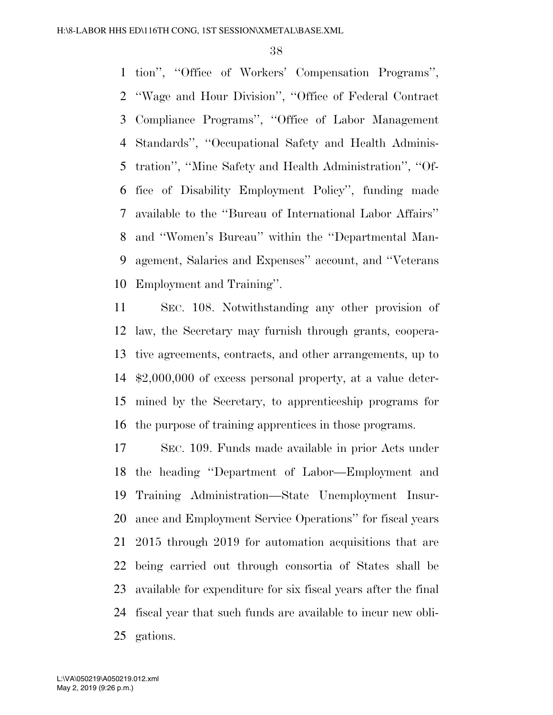tion'', ''Office of Workers' Compensation Programs'', ''Wage and Hour Division'', ''Office of Federal Contract Compliance Programs'', ''Office of Labor Management Standards'', ''Occupational Safety and Health Adminis- tration'', ''Mine Safety and Health Administration'', ''Of- fice of Disability Employment Policy'', funding made available to the ''Bureau of International Labor Affairs'' and ''Women's Bureau'' within the ''Departmental Man- agement, Salaries and Expenses'' account, and ''Veterans Employment and Training''.

 SEC. 108. Notwithstanding any other provision of law, the Secretary may furnish through grants, coopera- tive agreements, contracts, and other arrangements, up to \$2,000,000 of excess personal property, at a value deter- mined by the Secretary, to apprenticeship programs for the purpose of training apprentices in those programs.

 SEC. 109. Funds made available in prior Acts under the heading ''Department of Labor—Employment and Training Administration—State Unemployment Insur- ance and Employment Service Operations'' for fiscal years 2015 through 2019 for automation acquisitions that are being carried out through consortia of States shall be available for expenditure for six fiscal years after the final fiscal year that such funds are available to incur new obli-gations.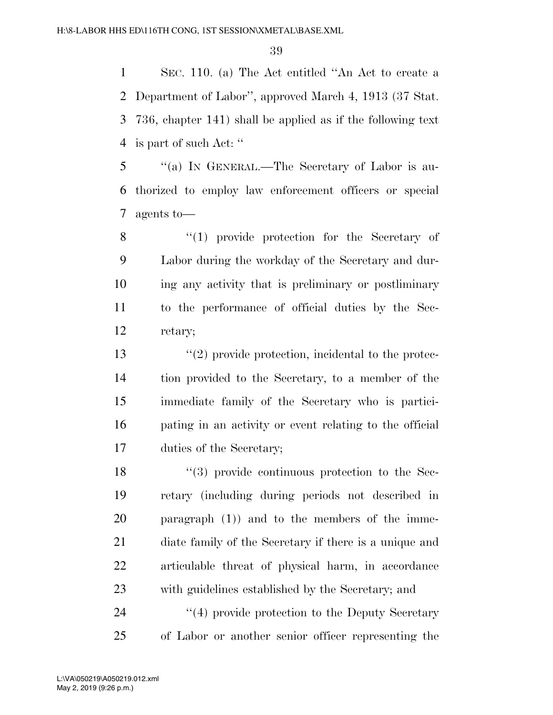SEC. 110. (a) The Act entitled ''An Act to create a Department of Labor'', approved March 4, 1913 (37 Stat. 736, chapter 141) shall be applied as if the following text is part of such Act: ''

 ''(a) IN GENERAL.—The Secretary of Labor is au- thorized to employ law enforcement officers or special agents to—

 ''(1) provide protection for the Secretary of Labor during the workday of the Secretary and dur- ing any activity that is preliminary or postliminary to the performance of official duties by the Sec-retary;

 $\frac{13}{2}$  ''(2) provide protection, incidental to the protec- tion provided to the Secretary, to a member of the immediate family of the Secretary who is partici- pating in an activity or event relating to the official duties of the Secretary;

18 ''(3) provide continuous protection to the Sec- retary (including during periods not described in paragraph (1)) and to the members of the imme- diate family of the Secretary if there is a unique and articulable threat of physical harm, in accordance with guidelines established by the Secretary; and

24 ''(4) provide protection to the Deputy Secretary of Labor or another senior officer representing the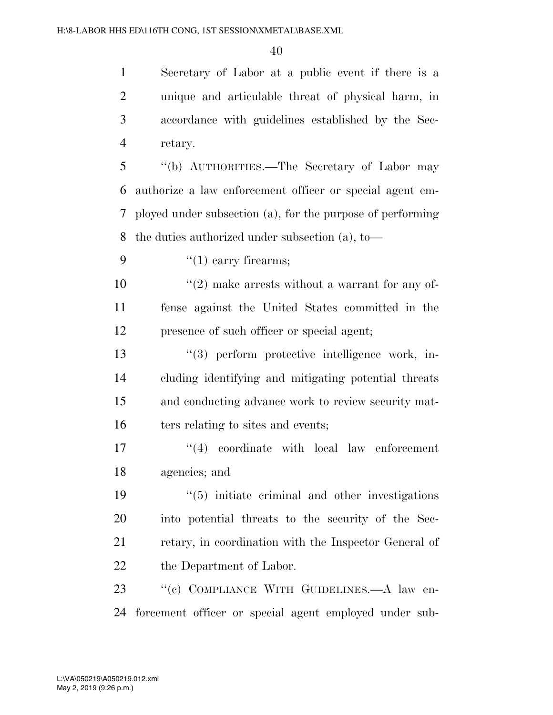Secretary of Labor at a public event if there is a unique and articulable threat of physical harm, in accordance with guidelines established by the Sec- retary. ''(b) AUTHORITIES.—The Secretary of Labor may authorize a law enforcement officer or special agent em-

 ployed under subsection (a), for the purpose of performing the duties authorized under subsection (a), to—

9  $"(1)$  carry firearms;

 ''(2) make arrests without a warrant for any of- fense against the United States committed in the presence of such officer or special agent;

 ''(3) perform protective intelligence work, in- cluding identifying and mitigating potential threats and conducting advance work to review security mat-16 ters relating to sites and events;

17  $\frac{17}{2}$  coordinate with local law enforcement agencies; and

 $\frac{19}{19}$  ''(5) initiate criminal and other investigations into potential threats to the security of the Sec-21 retary, in coordination with the Inspector General of 22 the Department of Labor.

23 "(c) COMPLIANCE WITH GUIDELINES.—A law en-forcement officer or special agent employed under sub-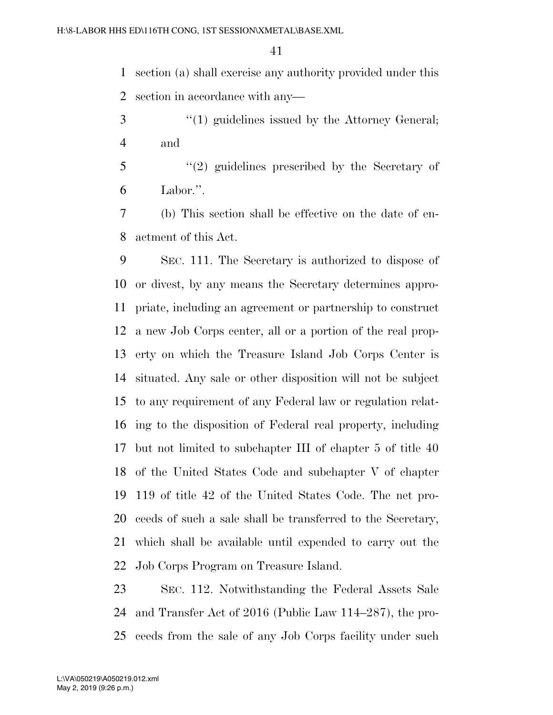section (a) shall exercise any authority provided under this section in accordance with any—

- 3 ''(1) guidelines issued by the Attorney General; and
- ''(2) guidelines prescribed by the Secretary of Labor.''.

 (b) This section shall be effective on the date of en-actment of this Act.

 SEC. 111. The Secretary is authorized to dispose of or divest, by any means the Secretary determines appro- priate, including an agreement or partnership to construct a new Job Corps center, all or a portion of the real prop- erty on which the Treasure Island Job Corps Center is situated. Any sale or other disposition will not be subject to any requirement of any Federal law or regulation relat- ing to the disposition of Federal real property, including but not limited to subchapter III of chapter 5 of title 40 of the United States Code and subchapter V of chapter 119 of title 42 of the United States Code. The net pro- ceeds of such a sale shall be transferred to the Secretary, which shall be available until expended to carry out the Job Corps Program on Treasure Island.

 SEC. 112. Notwithstanding the Federal Assets Sale and Transfer Act of 2016 (Public Law 114–287), the pro-ceeds from the sale of any Job Corps facility under such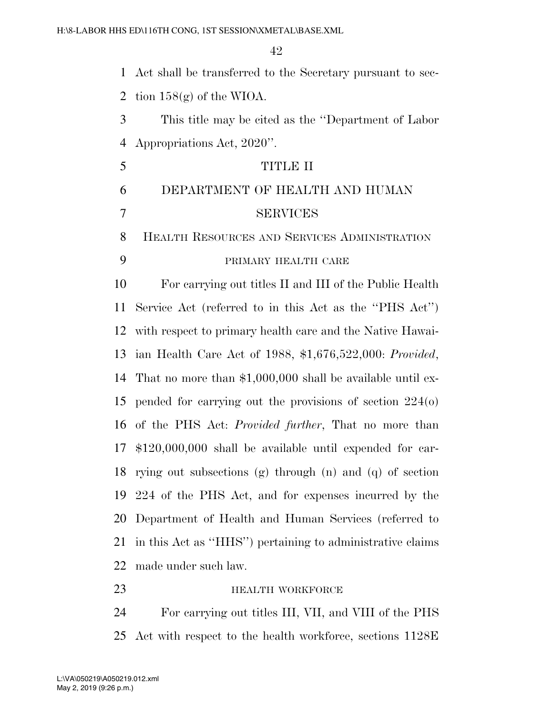Act shall be transferred to the Secretary pursuant to sec-2 tion  $158(g)$  of the WIOA. This title may be cited as the ''Department of Labor Appropriations Act, 2020''. TITLE II DEPARTMENT OF HEALTH AND HUMAN SERVICES HEALTH RESOURCES AND SERVICES ADMINISTRATION PRIMARY HEALTH CARE For carrying out titles II and III of the Public Health Service Act (referred to in this Act as the ''PHS Act'') with respect to primary health care and the Native Hawai- ian Health Care Act of 1988, \$1,676,522,000: *Provided*, That no more than \$1,000,000 shall be available until ex- pended for carrying out the provisions of section 224(o) of the PHS Act: *Provided further*, That no more than \$120,000,000 shall be available until expended for car- rying out subsections (g) through (n) and (q) of section 224 of the PHS Act, and for expenses incurred by the Department of Health and Human Services (referred to in this Act as ''HHS'') pertaining to administrative claims made under such law.

### **HEALTH WORKFORCE**

 For carrying out titles III, VII, and VIII of the PHS Act with respect to the health workforce, sections 1128E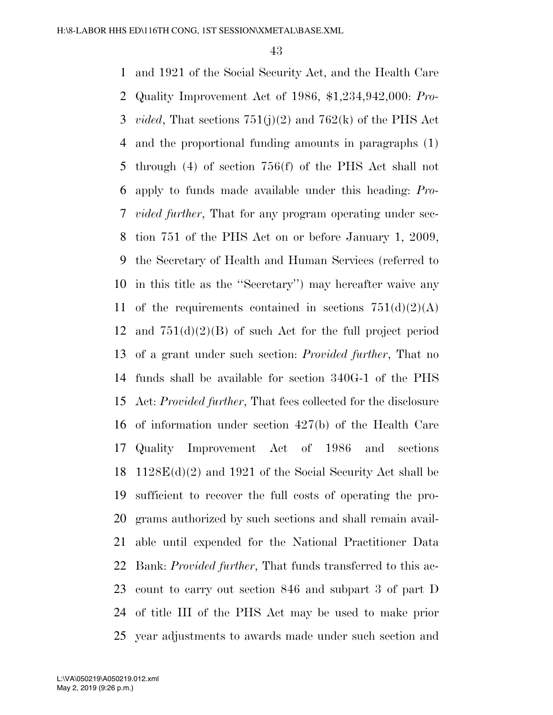and 1921 of the Social Security Act, and the Health Care Quality Improvement Act of 1986, \$1,234,942,000: *Pro- vided*, That sections 751(j)(2) and 762(k) of the PHS Act and the proportional funding amounts in paragraphs (1) through (4) of section 756(f) of the PHS Act shall not apply to funds made available under this heading: *Pro- vided further*, That for any program operating under sec- tion 751 of the PHS Act on or before January 1, 2009, the Secretary of Health and Human Services (referred to in this title as the ''Secretary'') may hereafter waive any 11 of the requirements contained in sections  $751(d)(2)(A)$ 12 and  $751(d)(2)(B)$  of such Act for the full project period of a grant under such section: *Provided further*, That no funds shall be available for section 340G-1 of the PHS Act: *Provided further*, That fees collected for the disclosure of information under section 427(b) of the Health Care Quality Improvement Act of 1986 and sections 1128E(d)(2) and 1921 of the Social Security Act shall be sufficient to recover the full costs of operating the pro- grams authorized by such sections and shall remain avail- able until expended for the National Practitioner Data Bank: *Provided further*, That funds transferred to this ac- count to carry out section 846 and subpart 3 of part D of title III of the PHS Act may be used to make prior year adjustments to awards made under such section and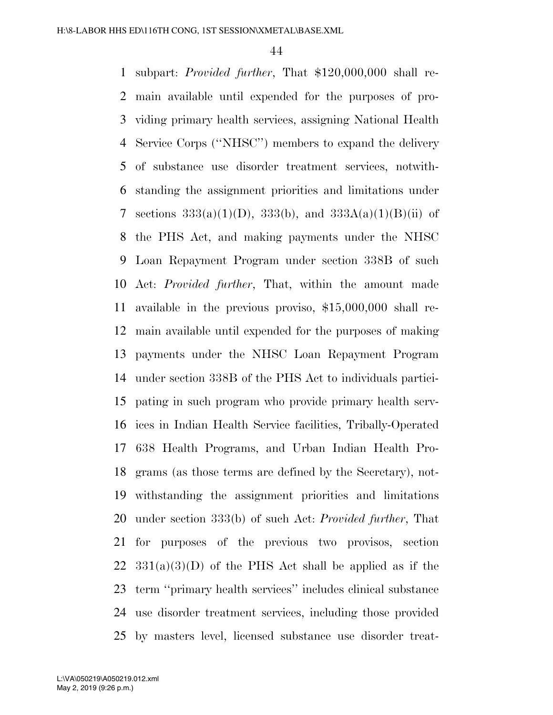subpart: *Provided further*, That \$120,000,000 shall re- main available until expended for the purposes of pro- viding primary health services, assigning National Health Service Corps (''NHSC'') members to expand the delivery of substance use disorder treatment services, notwith- standing the assignment priorities and limitations under 7 sections  $333(a)(1)(D)$ ,  $333(b)$ , and  $333A(a)(1)(B)(ii)$  of the PHS Act, and making payments under the NHSC Loan Repayment Program under section 338B of such Act: *Provided further*, That, within the amount made available in the previous proviso, \$15,000,000 shall re- main available until expended for the purposes of making payments under the NHSC Loan Repayment Program under section 338B of the PHS Act to individuals partici- pating in such program who provide primary health serv- ices in Indian Health Service facilities, Tribally-Operated 638 Health Programs, and Urban Indian Health Pro- grams (as those terms are defined by the Secretary), not- withstanding the assignment priorities and limitations under section 333(b) of such Act: *Provided further*, That for purposes of the previous two provisos, section  $331(a)(3)(D)$  of the PHS Act shall be applied as if the term ''primary health services'' includes clinical substance use disorder treatment services, including those provided by masters level, licensed substance use disorder treat-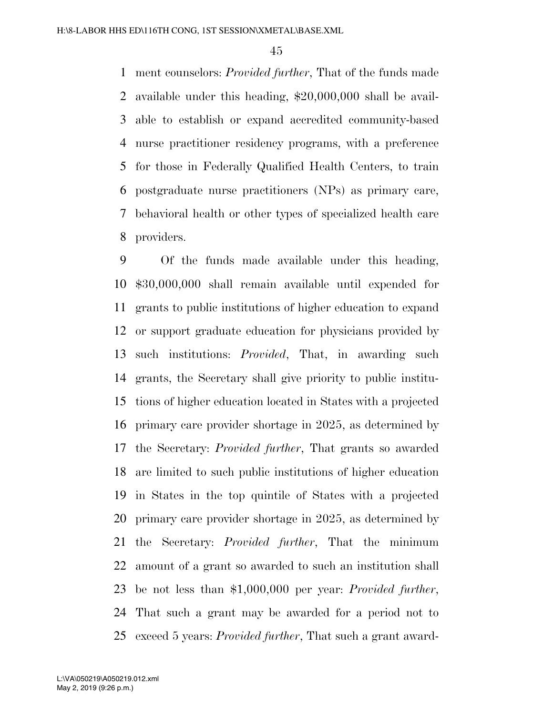ment counselors: *Provided further*, That of the funds made available under this heading, \$20,000,000 shall be avail- able to establish or expand accredited community-based nurse practitioner residency programs, with a preference for those in Federally Qualified Health Centers, to train postgraduate nurse practitioners (NPs) as primary care, behavioral health or other types of specialized health care providers.

 Of the funds made available under this heading, \$30,000,000 shall remain available until expended for grants to public institutions of higher education to expand or support graduate education for physicians provided by such institutions: *Provided*, That, in awarding such grants, the Secretary shall give priority to public institu- tions of higher education located in States with a projected primary care provider shortage in 2025, as determined by the Secretary: *Provided further*, That grants so awarded are limited to such public institutions of higher education in States in the top quintile of States with a projected primary care provider shortage in 2025, as determined by the Secretary: *Provided further*, That the minimum amount of a grant so awarded to such an institution shall be not less than \$1,000,000 per year: *Provided further*, That such a grant may be awarded for a period not to exceed 5 years: *Provided further*, That such a grant award-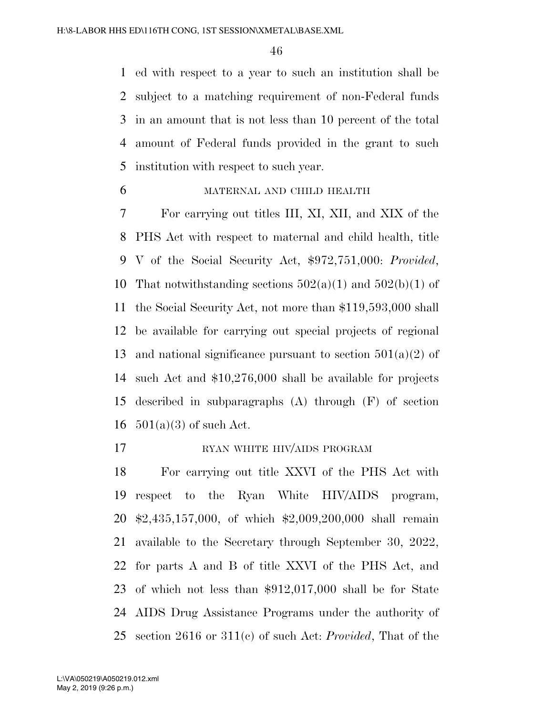ed with respect to a year to such an institution shall be subject to a matching requirement of non-Federal funds in an amount that is not less than 10 percent of the total amount of Federal funds provided in the grant to such institution with respect to such year.

MATERNAL AND CHILD HEALTH

 For carrying out titles III, XI, XII, and XIX of the PHS Act with respect to maternal and child health, title V of the Social Security Act, \$972,751,000: *Provided*, 10 That notwithstanding sections  $502(a)(1)$  and  $502(b)(1)$  of the Social Security Act, not more than \$119,593,000 shall be available for carrying out special projects of regional 13 and national significance pursuant to section  $501(a)(2)$  of such Act and \$10,276,000 shall be available for projects described in subparagraphs (A) through (F) of section  $501(a)(3)$  of such Act.

#### 17 RYAN WHITE HIV/AIDS PROGRAM

 For carrying out title XXVI of the PHS Act with respect to the Ryan White HIV/AIDS program, \$2,435,157,000, of which \$2,009,200,000 shall remain available to the Secretary through September 30, 2022, for parts A and B of title XXVI of the PHS Act, and of which not less than \$912,017,000 shall be for State AIDS Drug Assistance Programs under the authority of section 2616 or 311(c) of such Act: *Provided*, That of the

May 2, 2019 (9:26 p.m.) L:\VA\050219\A050219.012.xml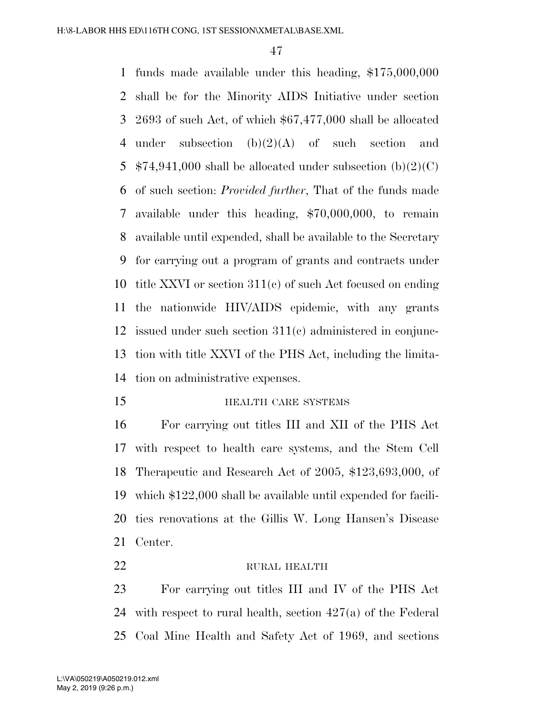funds made available under this heading, \$175,000,000 shall be for the Minority AIDS Initiative under section 2693 of such Act, of which \$67,477,000 shall be allocated under subsection (b)(2)(A) of such section and  $$74,941,000$  shall be allocated under subsection (b)(2)(C) of such section: *Provided further*, That of the funds made available under this heading, \$70,000,000, to remain available until expended, shall be available to the Secretary for carrying out a program of grants and contracts under title XXVI or section 311(c) of such Act focused on ending the nationwide HIV/AIDS epidemic, with any grants issued under such section 311(c) administered in conjunc- tion with title XXVI of the PHS Act, including the limita-tion on administrative expenses.

**HEALTH CARE SYSTEMS** 

# For carrying out titles III and XII of the PHS Act with respect to health care systems, and the Stem Cell Therapeutic and Research Act of 2005, \$123,693,000, of which \$122,000 shall be available until expended for facili- ties renovations at the Gillis W. Long Hansen's Disease Center.

# RURAL HEALTH

 For carrying out titles III and IV of the PHS Act with respect to rural health, section 427(a) of the Federal Coal Mine Health and Safety Act of 1969, and sections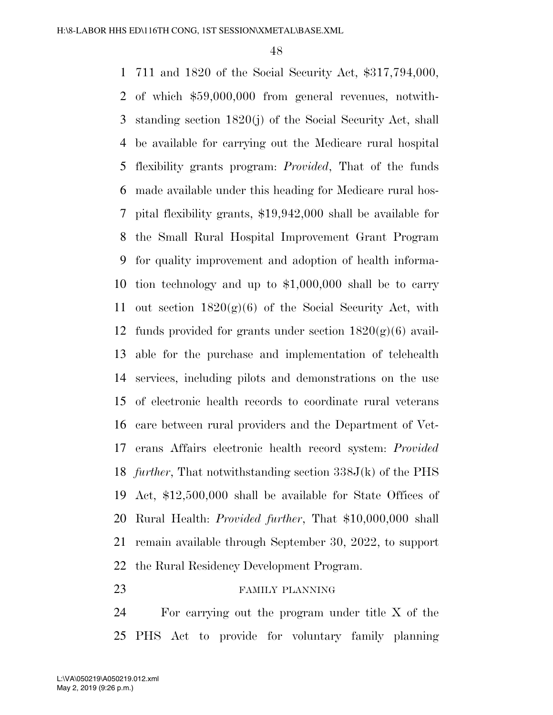711 and 1820 of the Social Security Act, \$317,794,000, of which \$59,000,000 from general revenues, notwith- standing section 1820(j) of the Social Security Act, shall be available for carrying out the Medicare rural hospital flexibility grants program: *Provided*, That of the funds made available under this heading for Medicare rural hos- pital flexibility grants, \$19,942,000 shall be available for the Small Rural Hospital Improvement Grant Program for quality improvement and adoption of health informa- tion technology and up to \$1,000,000 shall be to carry 11 out section  $1820(g)(6)$  of the Social Security Act, with 12 funds provided for grants under section  $1820(g)(6)$  avail- able for the purchase and implementation of telehealth services, including pilots and demonstrations on the use of electronic health records to coordinate rural veterans care between rural providers and the Department of Vet- erans Affairs electronic health record system: *Provided further*, That notwithstanding section 338J(k) of the PHS Act, \$12,500,000 shall be available for State Offices of Rural Health: *Provided further*, That \$10,000,000 shall remain available through September 30, 2022, to support the Rural Residency Development Program.

#### 23 FAMILY PLANNING

 For carrying out the program under title X of the PHS Act to provide for voluntary family planning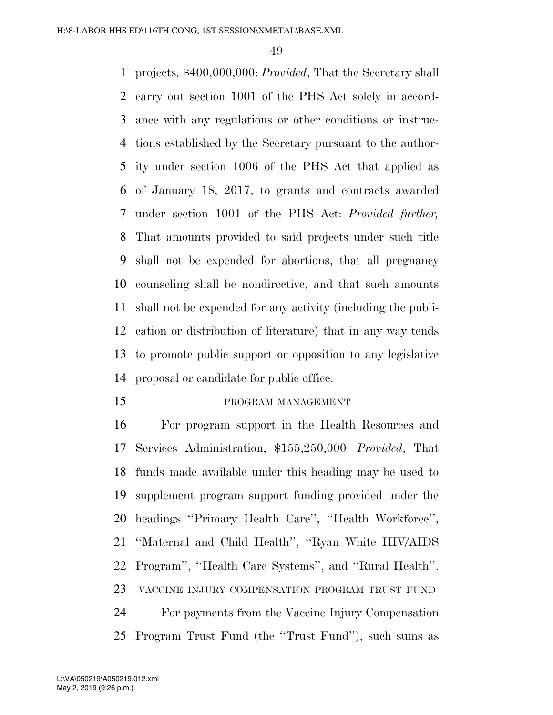projects, \$400,000,000: *Provided*, That the Secretary shall carry out section 1001 of the PHS Act solely in accord- ance with any regulations or other conditions or instruc- tions established by the Secretary pursuant to the author- ity under section 1006 of the PHS Act that applied as of January 18, 2017, to grants and contracts awarded under section 1001 of the PHS Act: *Provided further,*  That amounts provided to said projects under such title shall not be expended for abortions, that all pregnancy counseling shall be nondirective, and that such amounts shall not be expended for any activity (including the publi- cation or distribution of literature) that in any way tends to promote public support or opposition to any legislative proposal or candidate for public office.

PROGRAM MANAGEMENT

# For program support in the Health Resources and Services Administration, \$155,250,000: *Provided*, That funds made available under this heading may be used to supplement program support funding provided under the headings ''Primary Health Care'', ''Health Workforce'', ''Maternal and Child Health'', ''Ryan White HIV/AIDS Program'', ''Health Care Systems'', and ''Rural Health''. VACCINE INJURY COMPENSATION PROGRAM TRUST FUND For payments from the Vaccine Injury Compensation Program Trust Fund (the ''Trust Fund''), such sums as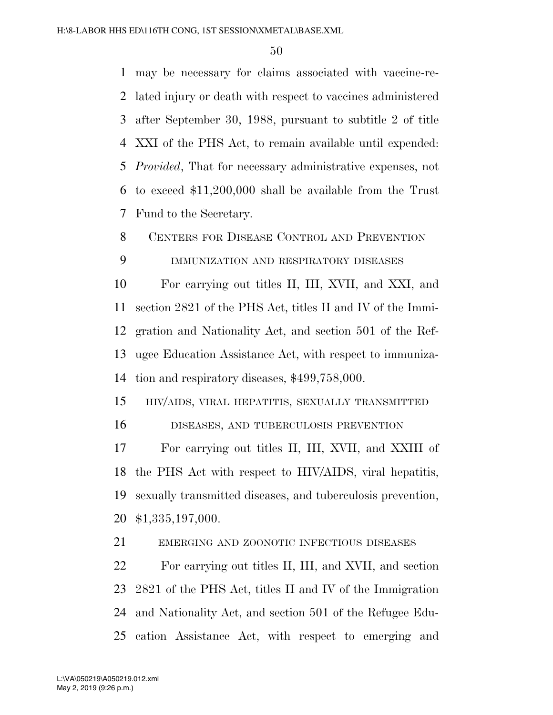may be necessary for claims associated with vaccine-re- lated injury or death with respect to vaccines administered after September 30, 1988, pursuant to subtitle 2 of title XXI of the PHS Act, to remain available until expended: *Provided*, That for necessary administrative expenses, not to exceed \$11,200,000 shall be available from the Trust Fund to the Secretary.

CENTERS FOR DISEASE CONTROL AND PREVENTION

# IMMUNIZATION AND RESPIRATORY DISEASES

 For carrying out titles II, III, XVII, and XXI, and section 2821 of the PHS Act, titles II and IV of the Immi- gration and Nationality Act, and section 501 of the Ref- ugee Education Assistance Act, with respect to immuniza-tion and respiratory diseases, \$499,758,000.

 HIV/AIDS, VIRAL HEPATITIS, SEXUALLY TRANSMITTED DISEASES, AND TUBERCULOSIS PREVENTION

 For carrying out titles II, III, XVII, and XXIII of the PHS Act with respect to HIV/AIDS, viral hepatitis, sexually transmitted diseases, and tuberculosis prevention, \$1,335,197,000.

EMERGING AND ZOONOTIC INFECTIOUS DISEASES

 For carrying out titles II, III, and XVII, and section 2821 of the PHS Act, titles II and IV of the Immigration and Nationality Act, and section 501 of the Refugee Edu-cation Assistance Act, with respect to emerging and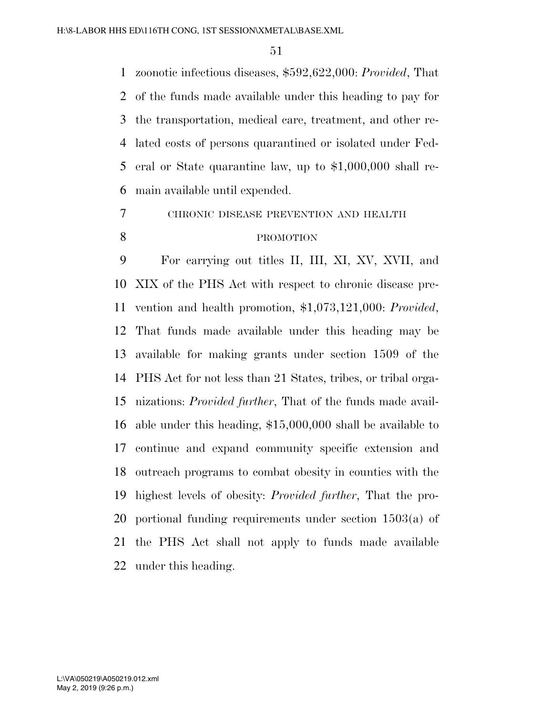zoonotic infectious diseases, \$592,622,000: *Provided*, That of the funds made available under this heading to pay for the transportation, medical care, treatment, and other re- lated costs of persons quarantined or isolated under Fed- eral or State quarantine law, up to \$1,000,000 shall re-main available until expended.

# CHRONIC DISEASE PREVENTION AND HEALTH 8 PROMOTION

 For carrying out titles II, III, XI, XV, XVII, and XIX of the PHS Act with respect to chronic disease pre- vention and health promotion, \$1,073,121,000: *Provided*, That funds made available under this heading may be available for making grants under section 1509 of the PHS Act for not less than 21 States, tribes, or tribal orga- nizations: *Provided further*, That of the funds made avail- able under this heading, \$15,000,000 shall be available to continue and expand community specific extension and outreach programs to combat obesity in counties with the highest levels of obesity: *Provided further*, That the pro- portional funding requirements under section 1503(a) of the PHS Act shall not apply to funds made available under this heading.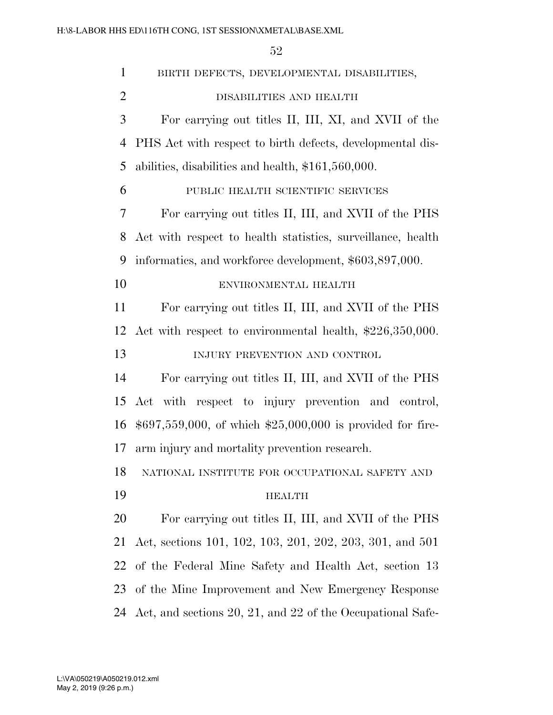| $\mathbf{1}$   | BIRTH DEFECTS, DEVELOPMENTAL DISABILITIES,                    |
|----------------|---------------------------------------------------------------|
| $\overline{2}$ | DISABILITIES AND HEALTH                                       |
| 3              | For carrying out titles II, III, XI, and XVII of the          |
| $\overline{4}$ | PHS Act with respect to birth defects, developmental dis-     |
| 5              | abilities, disabilities and health, \$161,560,000.            |
| 6              | PUBLIC HEALTH SCIENTIFIC SERVICES                             |
| 7              | For carrying out titles II, III, and XVII of the PHS          |
| 8              | Act with respect to health statistics, surveillance, health   |
| 9              | informatics, and workforce development, \$603,897,000.        |
| 10             | ENVIRONMENTAL HEALTH                                          |
| 11             | For carrying out titles II, III, and XVII of the PHS          |
| 12             | Act with respect to environmental health, $$226,350,000$ .    |
| 13             | INJURY PREVENTION AND CONTROL                                 |
| 14             | For carrying out titles II, III, and XVII of the PHS          |
| 15             | Act with respect to injury prevention and control,            |
| 16             | $$697,559,000$ , of which $$25,000,000$ is provided for fire- |
| 17             | arm injury and mortality prevention research.                 |
| 18             | NATIONAL INSTITUTE FOR OCCUPATIONAL SAFETY AND                |
| 19             | <b>HEALTH</b>                                                 |
| 20             | For carrying out titles II, III, and XVII of the PHS          |
| 21             | Act, sections 101, 102, 103, 201, 202, 203, 301, and 501      |
| 22             | of the Federal Mine Safety and Health Act, section 13         |
| 23             | of the Mine Improvement and New Emergency Response            |
| 24             | Act, and sections 20, 21, and 22 of the Occupational Safe-    |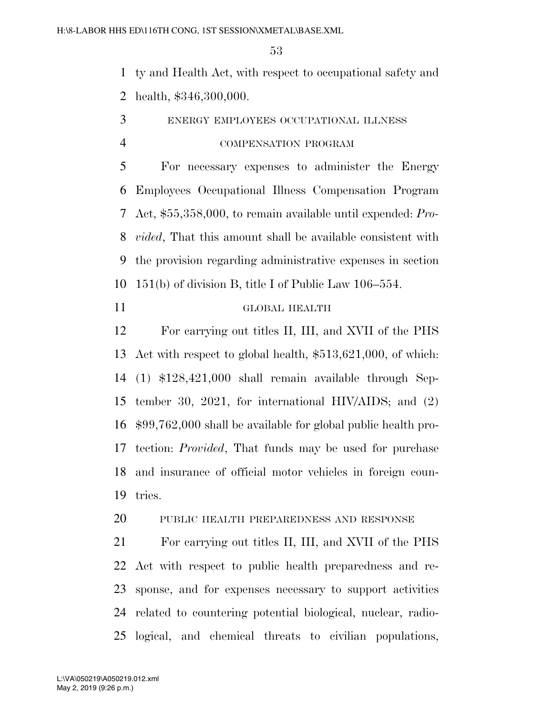ty and Health Act, with respect to occupational safety and health, \$346,300,000.

 ENERGY EMPLOYEES OCCUPATIONAL ILLNESS COMPENSATION PROGRAM

 For necessary expenses to administer the Energy Employees Occupational Illness Compensation Program Act, \$55,358,000, to remain available until expended: *Pro- vided*, That this amount shall be available consistent with the provision regarding administrative expenses in section 151(b) of division B, title I of Public Law 106–554.

#### GLOBAL HEALTH

 For carrying out titles II, III, and XVII of the PHS Act with respect to global health, \$513,621,000, of which: (1) \$128,421,000 shall remain available through Sep- tember 30, 2021, for international HIV/AIDS; and (2) \$99,762,000 shall be available for global public health pro- tection: *Provided*, That funds may be used for purchase and insurance of official motor vehicles in foreign coun-tries.

# PUBLIC HEALTH PREPAREDNESS AND RESPONSE

 For carrying out titles II, III, and XVII of the PHS Act with respect to public health preparedness and re- sponse, and for expenses necessary to support activities related to countering potential biological, nuclear, radio-logical, and chemical threats to civilian populations,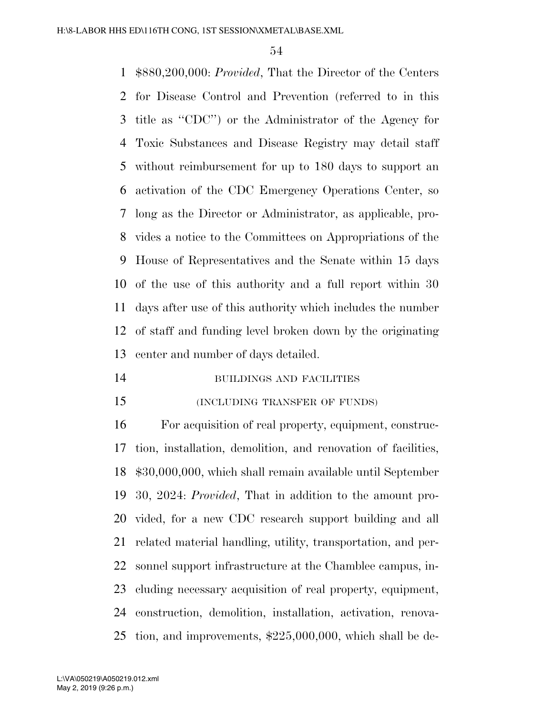\$880,200,000: *Provided*, That the Director of the Centers for Disease Control and Prevention (referred to in this title as ''CDC'') or the Administrator of the Agency for Toxic Substances and Disease Registry may detail staff without reimbursement for up to 180 days to support an activation of the CDC Emergency Operations Center, so long as the Director or Administrator, as applicable, pro- vides a notice to the Committees on Appropriations of the House of Representatives and the Senate within 15 days of the use of this authority and a full report within 30 days after use of this authority which includes the number of staff and funding level broken down by the originating center and number of days detailed.

- BUILDINGS AND FACILITIES
- (INCLUDING TRANSFER OF FUNDS)

 For acquisition of real property, equipment, construc- tion, installation, demolition, and renovation of facilities, \$30,000,000, which shall remain available until September 30, 2024: *Provided*, That in addition to the amount pro- vided, for a new CDC research support building and all related material handling, utility, transportation, and per- sonnel support infrastructure at the Chamblee campus, in- cluding necessary acquisition of real property, equipment, construction, demolition, installation, activation, renova-tion, and improvements, \$225,000,000, which shall be de-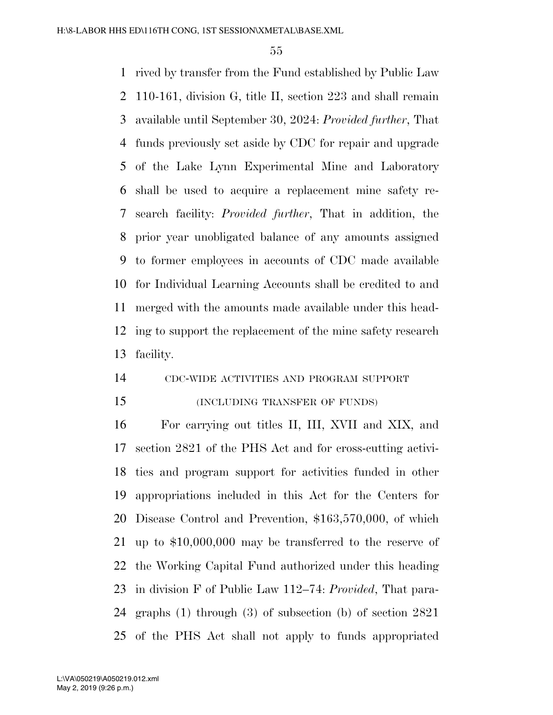rived by transfer from the Fund established by Public Law 110-161, division G, title II, section 223 and shall remain available until September 30, 2024: *Provided further*, That funds previously set aside by CDC for repair and upgrade of the Lake Lynn Experimental Mine and Laboratory shall be used to acquire a replacement mine safety re- search facility: *Provided further*, That in addition, the prior year unobligated balance of any amounts assigned to former employees in accounts of CDC made available for Individual Learning Accounts shall be credited to and merged with the amounts made available under this head- ing to support the replacement of the mine safety research facility.

#### CDC-WIDE ACTIVITIES AND PROGRAM SUPPORT

#### (INCLUDING TRANSFER OF FUNDS)

 For carrying out titles II, III, XVII and XIX, and section 2821 of the PHS Act and for cross-cutting activi- ties and program support for activities funded in other appropriations included in this Act for the Centers for Disease Control and Prevention, \$163,570,000, of which up to \$10,000,000 may be transferred to the reserve of the Working Capital Fund authorized under this heading in division F of Public Law 112–74: *Provided*, That para- graphs (1) through (3) of subsection (b) of section 2821 of the PHS Act shall not apply to funds appropriated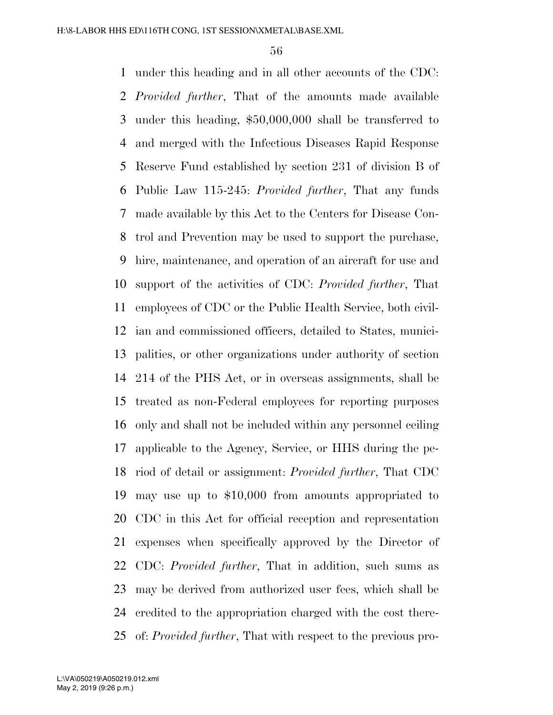under this heading and in all other accounts of the CDC: *Provided further*, That of the amounts made available under this heading, \$50,000,000 shall be transferred to and merged with the Infectious Diseases Rapid Response Reserve Fund established by section 231 of division B of Public Law 115-245: *Provided further*, That any funds made available by this Act to the Centers for Disease Con- trol and Prevention may be used to support the purchase, hire, maintenance, and operation of an aircraft for use and support of the activities of CDC: *Provided further*, That employees of CDC or the Public Health Service, both civil- ian and commissioned officers, detailed to States, munici- palities, or other organizations under authority of section 214 of the PHS Act, or in overseas assignments, shall be treated as non-Federal employees for reporting purposes only and shall not be included within any personnel ceiling applicable to the Agency, Service, or HHS during the pe- riod of detail or assignment: *Provided further*, That CDC may use up to \$10,000 from amounts appropriated to CDC in this Act for official reception and representation expenses when specifically approved by the Director of CDC: *Provided further*, That in addition, such sums as may be derived from authorized user fees, which shall be credited to the appropriation charged with the cost there-of: *Provided further*, That with respect to the previous pro-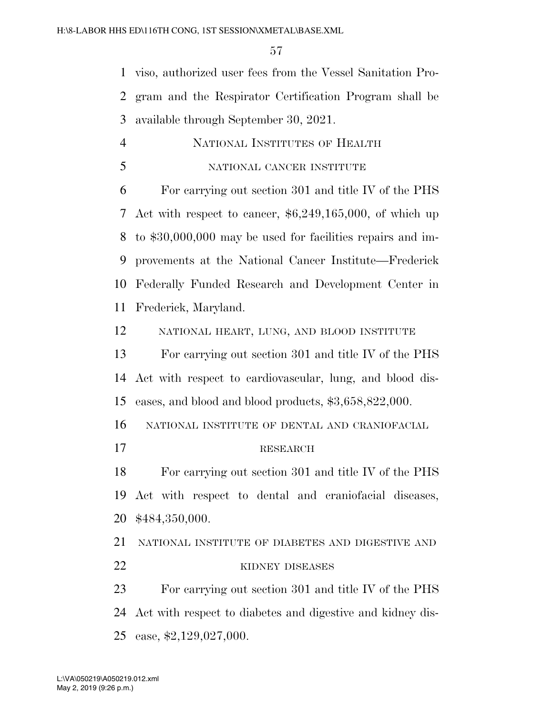viso, authorized user fees from the Vessel Sanitation Pro- gram and the Respirator Certification Program shall be available through September 30, 2021.

| NATIONAL INSTITUTES OF HEALTH |
|-------------------------------|
| NATIONAL CANCER INSTITUTE     |

 For carrying out section 301 and title IV of the PHS Act with respect to cancer, \$6,249,165,000, of which up to \$30,000,000 may be used for facilities repairs and im- provements at the National Cancer Institute—Frederick Federally Funded Research and Development Center in Frederick, Maryland.

NATIONAL HEART, LUNG, AND BLOOD INSTITUTE

 For carrying out section 301 and title IV of the PHS Act with respect to cardiovascular, lung, and blood dis-eases, and blood and blood products, \$3,658,822,000.

NATIONAL INSTITUTE OF DENTAL AND CRANIOFACIAL

17 RESEARCH

 For carrying out section 301 and title IV of the PHS Act with respect to dental and craniofacial diseases, \$484,350,000.

NATIONAL INSTITUTE OF DIABETES AND DIGESTIVE AND

22 KIDNEY DISEASES

 For carrying out section 301 and title IV of the PHS Act with respect to diabetes and digestive and kidney dis-ease, \$2,129,027,000.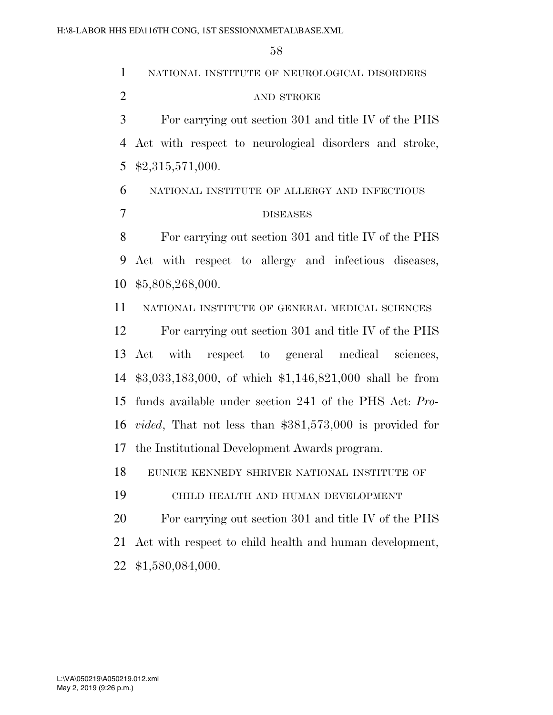| $\mathbf{1}$   | NATIONAL INSTITUTE OF NEUROLOGICAL DISORDERS                       |
|----------------|--------------------------------------------------------------------|
| $\overline{2}$ | AND STROKE                                                         |
| 3              | For carrying out section 301 and title IV of the PHS               |
| $\overline{4}$ | Act with respect to neurological disorders and stroke,             |
| 5              | \$2,315,571,000.                                                   |
| 6              | NATIONAL INSTITUTE OF ALLERGY AND INFECTIOUS                       |
| $\overline{7}$ | <b>DISEASES</b>                                                    |
| 8              | For carrying out section 301 and title IV of the PHS               |
| 9              | Act with respect to allergy and infectious diseases,               |
| 10             | \$5,808,268,000.                                                   |
| 11             | NATIONAL INSTITUTE OF GENERAL MEDICAL SCIENCES                     |
| 12             | For carrying out section 301 and title IV of the PHS               |
|                | 13 Act with respect to general medical sciences,                   |
| 14             | $$3,033,183,000$ , of which $$1,146,821,000$ shall be from         |
| 15             | funds available under section 241 of the PHS Act: Pro-             |
|                | 16 <i>vided</i> , That not less than \$381,573,000 is provided for |
|                | 17 the Institutional Development Awards program.                   |
| 18             | EUNICE KENNEDY SHRIVER NATIONAL INSTITUTE OF                       |
| 19             | CHILD HEALTH AND HUMAN DEVELOPMENT                                 |
| 20             | For carrying out section 301 and title IV of the PHS               |
| 21             | Act with respect to child health and human development,            |
| 22             | \$1,580,084,000.                                                   |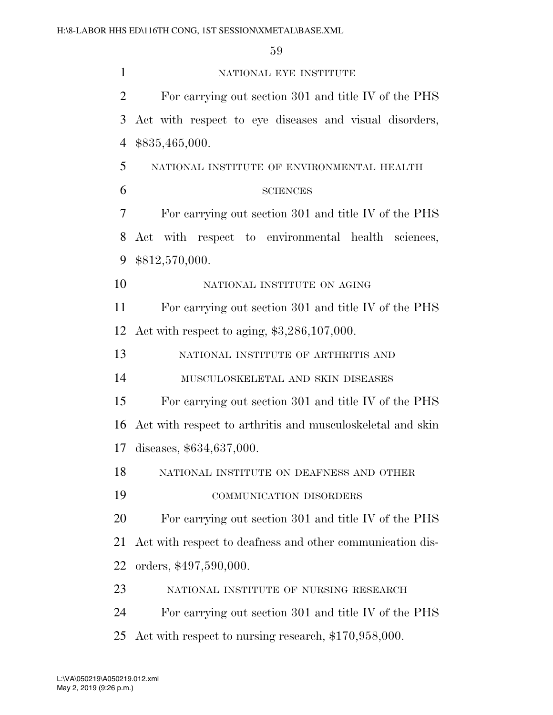| $\mathbf{1}$   | NATIONAL EYE INSTITUTE                                     |
|----------------|------------------------------------------------------------|
| $\overline{2}$ | For carrying out section 301 and title IV of the PHS       |
| 3              | Act with respect to eye diseases and visual disorders,     |
| $\overline{4}$ | \$835,465,000.                                             |
| 5              | NATIONAL INSTITUTE OF ENVIRONMENTAL HEALTH                 |
| 6              | <b>SCIENCES</b>                                            |
| 7              | For carrying out section 301 and title IV of the PHS       |
| 8              | Act with respect to environmental health sciences,         |
| 9              | \$812,570,000.                                             |
| 10             | NATIONAL INSTITUTE ON AGING                                |
| 11             | For carrying out section 301 and title IV of the PHS       |
| 12             | Act with respect to aging, $$3,286,107,000$ .              |
| 13             | NATIONAL INSTITUTE OF ARTHRITIS AND                        |
| 14             | MUSCULOSKELETAL AND SKIN DISEASES                          |
| 15             | For carrying out section 301 and title IV of the PHS       |
| 16             | Act with respect to arthritis and musculoskeletal and skin |
| 17             | diseases, \$634,637,000.                                   |
| 18             | NATIONAL INSTITUTE ON DEAFNESS AND OTHER                   |
| 19             | COMMUNICATION DISORDERS                                    |
| 20             | For carrying out section 301 and title IV of the PHS       |
| 21             | Act with respect to deafness and other communication dis-  |
| 22             | orders, \$497,590,000.                                     |
| 23             | NATIONAL INSTITUTE OF NURSING RESEARCH                     |
| 24             | For carrying out section 301 and title IV of the PHS       |
| 25             | Act with respect to nursing research, \$170,958,000.       |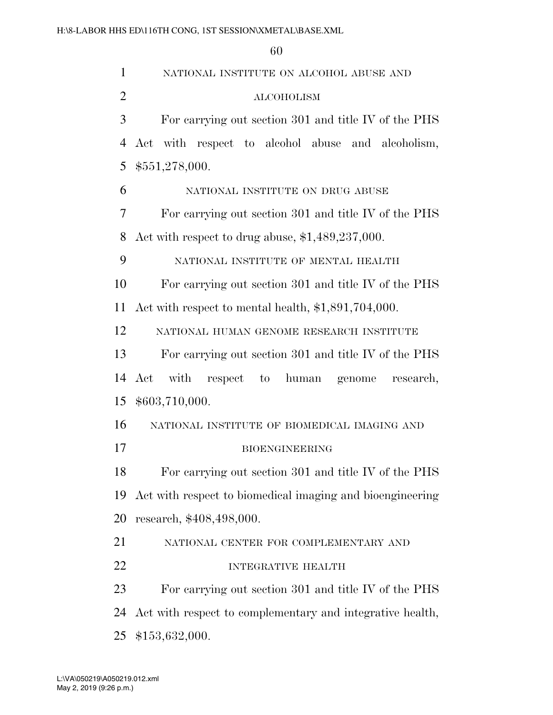| 1              | NATIONAL INSTITUTE ON ALCOHOL ABUSE AND                   |
|----------------|-----------------------------------------------------------|
| $\overline{2}$ | <b>ALCOHOLISM</b>                                         |
| 3              | For carrying out section 301 and title IV of the PHS      |
| $\overline{4}$ | Act with respect to alcohol abuse and alcoholism,         |
| 5              | \$551,278,000.                                            |
| 6              | NATIONAL INSTITUTE ON DRUG ABUSE                          |
| 7              | For carrying out section 301 and title IV of the PHS      |
| 8              | Act with respect to drug abuse, $$1,489,237,000$ .        |
| 9              | NATIONAL INSTITUTE OF MENTAL HEALTH                       |
| 10             | For carrying out section 301 and title IV of the PHS      |
| 11             | Act with respect to mental health, $$1,891,704,000$ .     |
| 12             | NATIONAL HUMAN GENOME RESEARCH INSTITUTE                  |
| 13             | For carrying out section 301 and title IV of the PHS      |
| 14             | Act with respect to human genome research,                |
| 15             | \$603,710,000.                                            |
| 16             | NATIONAL INSTITUTE OF BIOMEDICAL IMAGING AND              |
| 17             | <b>BIOENGINEERING</b>                                     |
| 18             | For carrying out section 301 and title IV of the PHS      |
| 19             | Act with respect to biomedical imaging and bioengineering |
| 20             | research, \$408,498,000.                                  |
| 21             | NATIONAL CENTER FOR COMPLEMENTARY AND                     |
| 22             | <b>INTEGRATIVE HEALTH</b>                                 |
| 23             | For carrying out section 301 and title IV of the PHS      |
| 24             | Act with respect to complementary and integrative health, |
| 25             | \$153,632,000.                                            |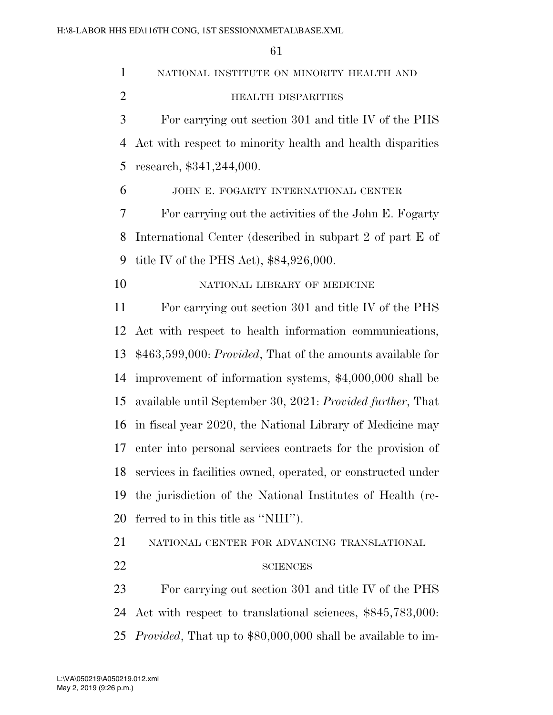| $\mathbf{1}$   | NATIONAL INSTITUTE ON MINORITY HEALTH AND                           |
|----------------|---------------------------------------------------------------------|
| 2              | HEALTH DISPARITIES                                                  |
| 3              | For carrying out section 301 and title IV of the PHS                |
| $\overline{4}$ | Act with respect to minority health and health disparities          |
| 5              | research, \$341,244,000.                                            |
| 6              | JOHN E. FOGARTY INTERNATIONAL CENTER                                |
| 7              | For carrying out the activities of the John E. Fogarty              |
| 8              | International Center (described in subpart 2 of part E of           |
| 9              | title IV of the PHS Act), $$84,926,000$ .                           |
| 10             | NATIONAL LIBRARY OF MEDICINE                                        |
| 11             | For carrying out section 301 and title IV of the PHS                |
| 12             | Act with respect to health information communications,              |
| 13             | \$463,599,000: <i>Provided</i> , That of the amounts available for  |
| 14             | improvement of information systems, \$4,000,000 shall be            |
| 15             | available until September 30, 2021: Provided further, That          |
| 16             | in fiscal year 2020, the National Library of Medicine may           |
| 17             | enter into personal services contracts for the provision of         |
| 18             | services in facilities owned, operated, or constructed under        |
| 19             | the jurisdiction of the National Institutes of Health (re-          |
| 20             | ferred to in this title as "NIH").                                  |
| 21             | NATIONAL CENTER FOR ADVANCING TRANSLATIONAL                         |
| 22             | <b>SCIENCES</b>                                                     |
| 23             | For carrying out section 301 and title IV of the PHS                |
| 24             | Act with respect to translational sciences, \$845,783,000:          |
| 25             | <i>Provided</i> , That up to \$80,000,000 shall be available to im- |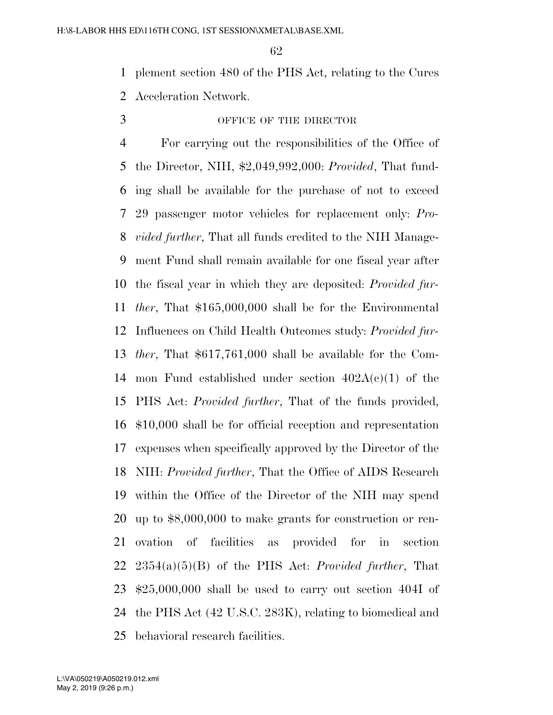plement section 480 of the PHS Act, relating to the Cures

Acceleration Network.

#### OFFICE OF THE DIRECTOR

 For carrying out the responsibilities of the Office of the Director, NIH, \$2,049,992,000: *Provided*, That fund- ing shall be available for the purchase of not to exceed 29 passenger motor vehicles for replacement only: *Pro- vided further*, That all funds credited to the NIH Manage- ment Fund shall remain available for one fiscal year after the fiscal year in which they are deposited: *Provided fur- ther*, That \$165,000,000 shall be for the Environmental Influences on Child Health Outcomes study: *Provided fur- ther*, That \$617,761,000 shall be available for the Com-14 mon Fund established under section  $402A(c)(1)$  of the PHS Act: *Provided further*, That of the funds provided, \$10,000 shall be for official reception and representation expenses when specifically approved by the Director of the NIH: *Provided further*, That the Office of AIDS Research within the Office of the Director of the NIH may spend up to \$8,000,000 to make grants for construction or ren- ovation of facilities as provided for in section 2354(a)(5)(B) of the PHS Act: *Provided further*, That \$25,000,000 shall be used to carry out section 404I of the PHS Act (42 U.S.C. 283K), relating to biomedical and behavioral research facilities.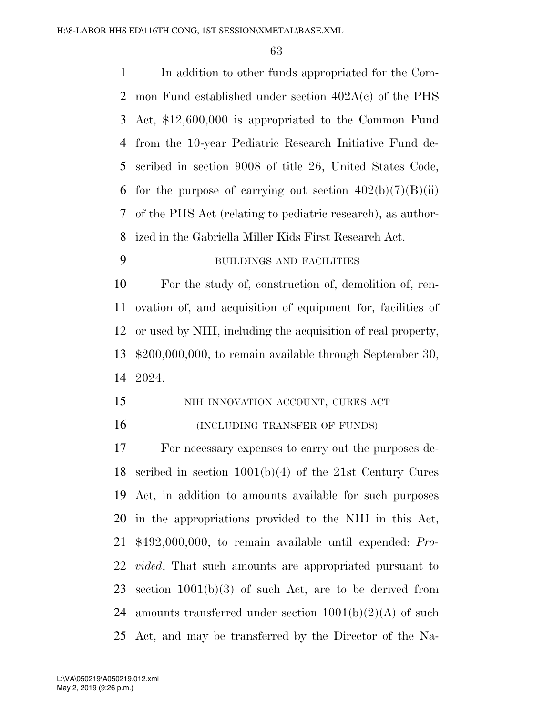In addition to other funds appropriated for the Com- mon Fund established under section 402A(c) of the PHS Act, \$12,600,000 is appropriated to the Common Fund from the 10-year Pediatric Research Initiative Fund de- scribed in section 9008 of title 26, United States Code, 6 for the purpose of carrying out section  $402(b)(7)(B)(ii)$  of the PHS Act (relating to pediatric research), as author-ized in the Gabriella Miller Kids First Research Act.

BUILDINGS AND FACILITIES

 For the study of, construction of, demolition of, ren- ovation of, and acquisition of equipment for, facilities of or used by NIH, including the acquisition of real property, \$200,000,000, to remain available through September 30, 2024.

- 15 NIH INNOVATION ACCOUNT, CURES ACT
- 16 (INCLUDING TRANSFER OF FUNDS)

 For necessary expenses to carry out the purposes de- scribed in section 1001(b)(4) of the 21st Century Cures Act, in addition to amounts available for such purposes in the appropriations provided to the NIH in this Act, \$492,000,000, to remain available until expended: *Pro- vided*, That such amounts are appropriated pursuant to section 1001(b)(3) of such Act, are to be derived from 24 amounts transferred under section  $1001(b)(2)(A)$  of such Act, and may be transferred by the Director of the Na-

May 2, 2019 (9:26 p.m.) L:\VA\050219\A050219.012.xml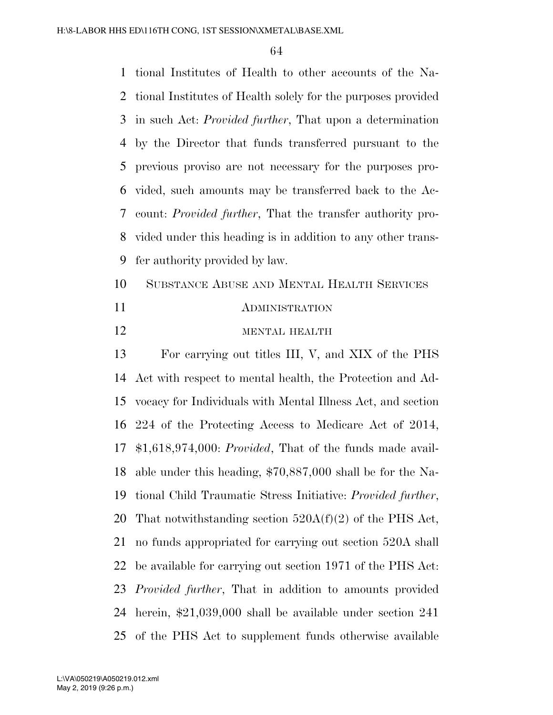tional Institutes of Health to other accounts of the Na- tional Institutes of Health solely for the purposes provided in such Act: *Provided further*, That upon a determination by the Director that funds transferred pursuant to the previous proviso are not necessary for the purposes pro- vided, such amounts may be transferred back to the Ac- count: *Provided further*, That the transfer authority pro- vided under this heading is in addition to any other trans-fer authority provided by law.

- SUBSTANCE ABUSE AND MENTAL HEALTH SERVICES
- ADMINISTRATION
- MENTAL HEALTH

 For carrying out titles III, V, and XIX of the PHS Act with respect to mental health, the Protection and Ad- vocacy for Individuals with Mental Illness Act, and section 224 of the Protecting Access to Medicare Act of 2014, \$1,618,974,000: *Provided*, That of the funds made avail- able under this heading, \$70,887,000 shall be for the Na- tional Child Traumatic Stress Initiative: *Provided further*, 20 That notwithstanding section  $520A(f)(2)$  of the PHS Act, no funds appropriated for carrying out section 520A shall be available for carrying out section 1971 of the PHS Act: *Provided further*, That in addition to amounts provided herein, \$21,039,000 shall be available under section 241 of the PHS Act to supplement funds otherwise available

May 2, 2019 (9:26 p.m.) L:\VA\050219\A050219.012.xml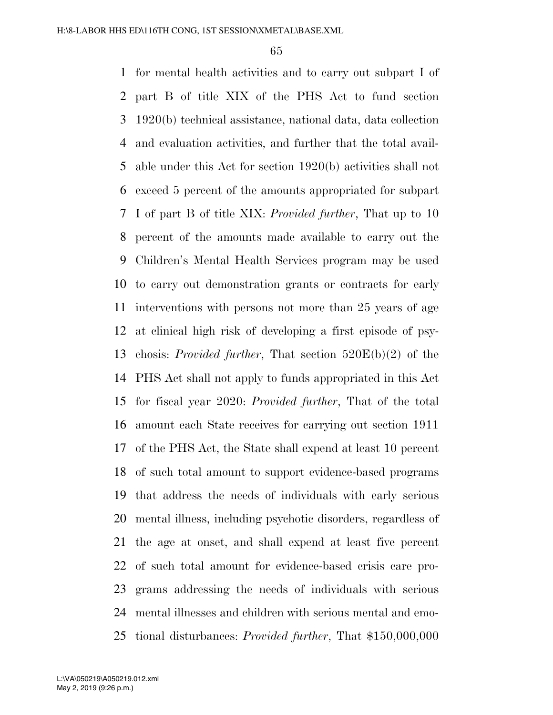for mental health activities and to carry out subpart I of part B of title XIX of the PHS Act to fund section 1920(b) technical assistance, national data, data collection and evaluation activities, and further that the total avail- able under this Act for section 1920(b) activities shall not exceed 5 percent of the amounts appropriated for subpart I of part B of title XIX: *Provided further*, That up to 10 percent of the amounts made available to carry out the Children's Mental Health Services program may be used to carry out demonstration grants or contracts for early interventions with persons not more than 25 years of age at clinical high risk of developing a first episode of psy- chosis: *Provided further*, That section 520E(b)(2) of the PHS Act shall not apply to funds appropriated in this Act for fiscal year 2020: *Provided further*, That of the total amount each State receives for carrying out section 1911 of the PHS Act, the State shall expend at least 10 percent of such total amount to support evidence-based programs that address the needs of individuals with early serious mental illness, including psychotic disorders, regardless of the age at onset, and shall expend at least five percent of such total amount for evidence-based crisis care pro- grams addressing the needs of individuals with serious mental illnesses and children with serious mental and emo-tional disturbances: *Provided further*, That \$150,000,000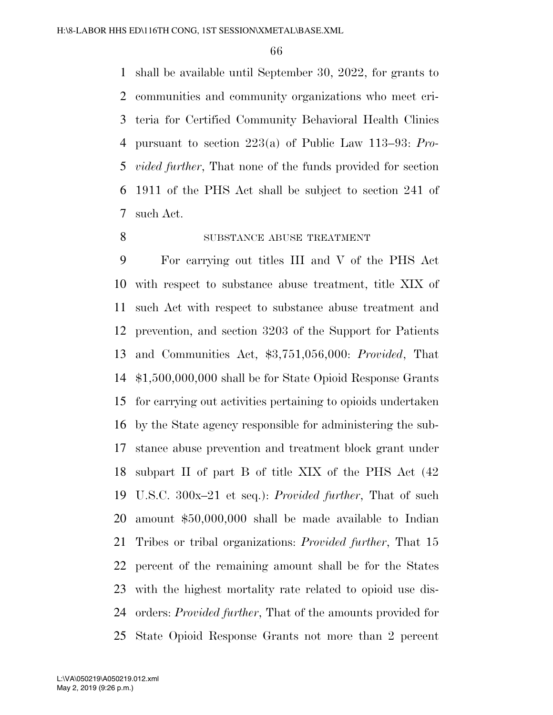shall be available until September 30, 2022, for grants to communities and community organizations who meet cri- teria for Certified Community Behavioral Health Clinics pursuant to section 223(a) of Public Law 113–93: *Pro- vided further*, That none of the funds provided for section 1911 of the PHS Act shall be subject to section 241 of such Act.

#### 8 SUBSTANCE ABUSE TREATMENT

 For carrying out titles III and V of the PHS Act with respect to substance abuse treatment, title XIX of such Act with respect to substance abuse treatment and prevention, and section 3203 of the Support for Patients and Communities Act, \$3,751,056,000: *Provided*, That \$1,500,000,000 shall be for State Opioid Response Grants for carrying out activities pertaining to opioids undertaken by the State agency responsible for administering the sub- stance abuse prevention and treatment block grant under subpart II of part B of title XIX of the PHS Act (42 U.S.C. 300x–21 et seq.): *Provided further*, That of such amount \$50,000,000 shall be made available to Indian Tribes or tribal organizations: *Provided further*, That 15 percent of the remaining amount shall be for the States with the highest mortality rate related to opioid use dis- orders: *Provided further*, That of the amounts provided for State Opioid Response Grants not more than 2 percent

May 2, 2019 (9:26 p.m.) L:\VA\050219\A050219.012.xml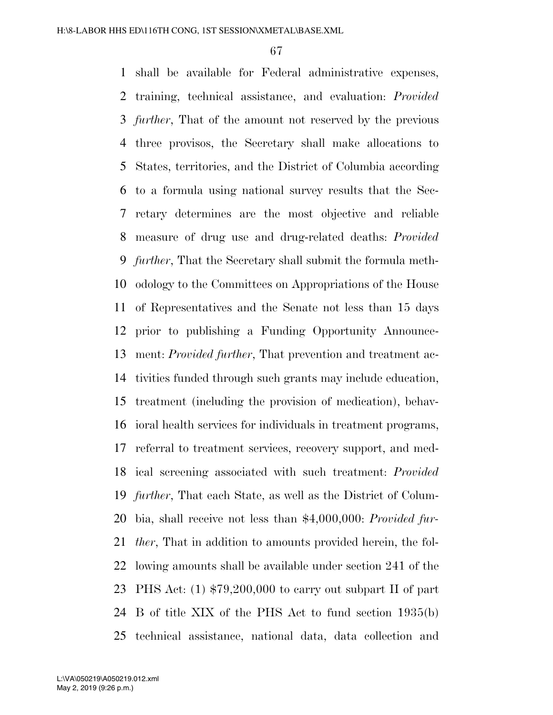shall be available for Federal administrative expenses, training, technical assistance, and evaluation: *Provided further*, That of the amount not reserved by the previous three provisos, the Secretary shall make allocations to States, territories, and the District of Columbia according to a formula using national survey results that the Sec- retary determines are the most objective and reliable measure of drug use and drug-related deaths: *Provided further*, That the Secretary shall submit the formula meth- odology to the Committees on Appropriations of the House of Representatives and the Senate not less than 15 days prior to publishing a Funding Opportunity Announce- ment: *Provided further*, That prevention and treatment ac- tivities funded through such grants may include education, treatment (including the provision of medication), behav- ioral health services for individuals in treatment programs, referral to treatment services, recovery support, and med- ical screening associated with such treatment: *Provided further*, That each State, as well as the District of Colum- bia, shall receive not less than \$4,000,000: *Provided fur- ther*, That in addition to amounts provided herein, the fol- lowing amounts shall be available under section 241 of the PHS Act: (1) \$79,200,000 to carry out subpart II of part B of title XIX of the PHS Act to fund section 1935(b) technical assistance, national data, data collection and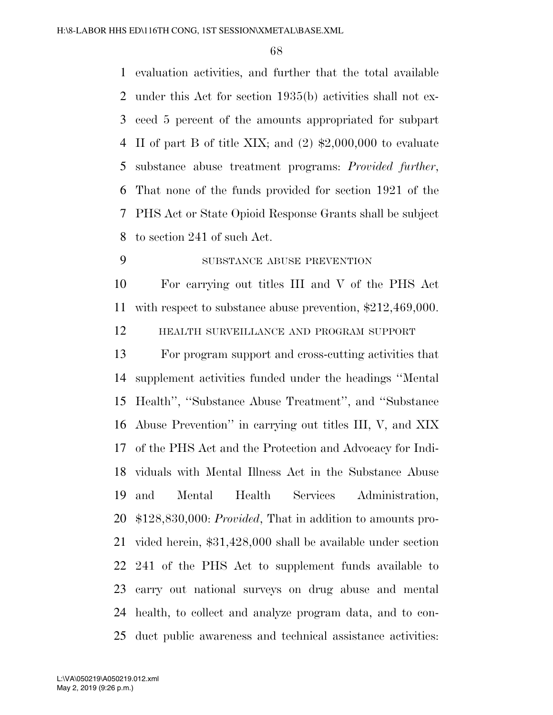evaluation activities, and further that the total available under this Act for section 1935(b) activities shall not ex- ceed 5 percent of the amounts appropriated for subpart II of part B of title XIX; and (2) \$2,000,000 to evaluate substance abuse treatment programs: *Provided further*, That none of the funds provided for section 1921 of the PHS Act or State Opioid Response Grants shall be subject to section 241 of such Act.

# SUBSTANCE ABUSE PREVENTION

 For carrying out titles III and V of the PHS Act with respect to substance abuse prevention, \$212,469,000.

HEALTH SURVEILLANCE AND PROGRAM SUPPORT

 For program support and cross-cutting activities that supplement activities funded under the headings ''Mental Health'', ''Substance Abuse Treatment'', and ''Substance Abuse Prevention'' in carrying out titles III, V, and XIX of the PHS Act and the Protection and Advocacy for Indi- viduals with Mental Illness Act in the Substance Abuse and Mental Health Services Administration, \$128,830,000: *Provided*, That in addition to amounts pro- vided herein, \$31,428,000 shall be available under section 241 of the PHS Act to supplement funds available to carry out national surveys on drug abuse and mental health, to collect and analyze program data, and to con-duct public awareness and technical assistance activities: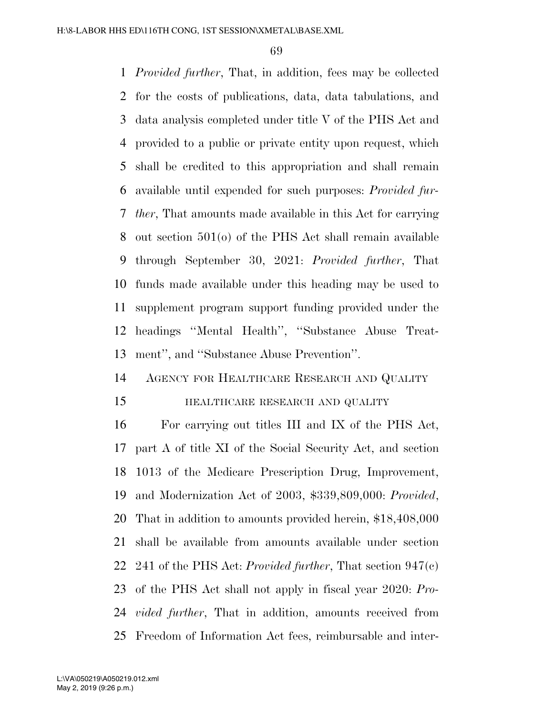*Provided further*, That, in addition, fees may be collected for the costs of publications, data, data tabulations, and data analysis completed under title V of the PHS Act and provided to a public or private entity upon request, which shall be credited to this appropriation and shall remain available until expended for such purposes: *Provided fur- ther*, That amounts made available in this Act for carrying out section 501(o) of the PHS Act shall remain available through September 30, 2021: *Provided further*, That funds made available under this heading may be used to supplement program support funding provided under the headings ''Mental Health'', ''Substance Abuse Treat-ment'', and ''Substance Abuse Prevention''.

AGENCY FOR HEALTHCARE RESEARCH AND QUALITY

#### **HEALTHCARE RESEARCH AND QUALITY**

 For carrying out titles III and IX of the PHS Act, part A of title XI of the Social Security Act, and section 1013 of the Medicare Prescription Drug, Improvement, and Modernization Act of 2003, \$339,809,000: *Provided*, That in addition to amounts provided herein, \$18,408,000 shall be available from amounts available under section 241 of the PHS Act: *Provided further*, That section 947(c) of the PHS Act shall not apply in fiscal year 2020: *Pro- vided further*, That in addition, amounts received from Freedom of Information Act fees, reimbursable and inter-

May 2, 2019 (9:26 p.m.) L:\VA\050219\A050219.012.xml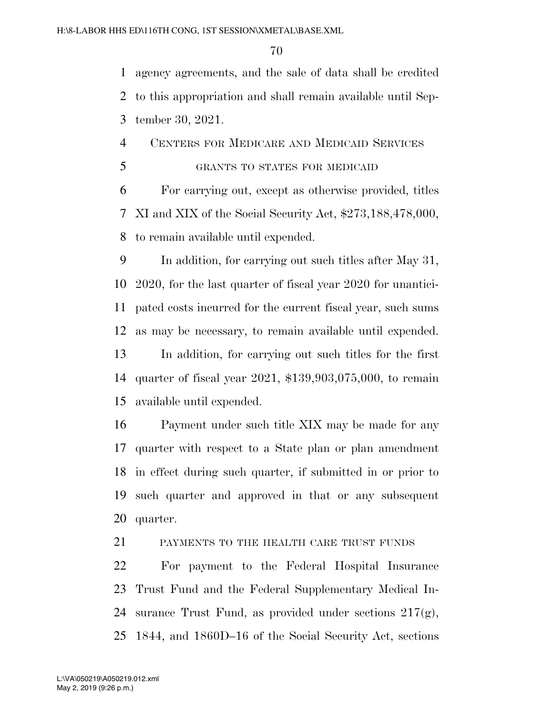agency agreements, and the sale of data shall be credited to this appropriation and shall remain available until Sep-tember 30, 2021.

# CENTERS FOR MEDICARE AND MEDICAID SERVICES GRANTS TO STATES FOR MEDICAID

 For carrying out, except as otherwise provided, titles XI and XIX of the Social Security Act, \$273,188,478,000, to remain available until expended.

 In addition, for carrying out such titles after May 31, 2020, for the last quarter of fiscal year 2020 for unantici- pated costs incurred for the current fiscal year, such sums as may be necessary, to remain available until expended. In addition, for carrying out such titles for the first quarter of fiscal year 2021, \$139,903,075,000, to remain available until expended.

 Payment under such title XIX may be made for any quarter with respect to a State plan or plan amendment in effect during such quarter, if submitted in or prior to such quarter and approved in that or any subsequent quarter.

PAYMENTS TO THE HEALTH CARE TRUST FUNDS

 For payment to the Federal Hospital Insurance Trust Fund and the Federal Supplementary Medical In-24 surance Trust Fund, as provided under sections  $217(g)$ , 1844, and 1860D–16 of the Social Security Act, sections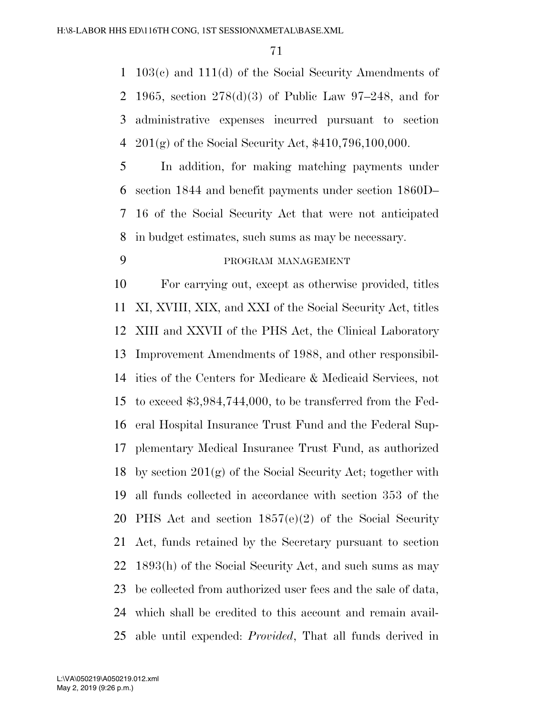103(c) and 111(d) of the Social Security Amendments of 1965, section 278(d)(3) of Public Law 97–248, and for administrative expenses incurred pursuant to section 201(g) of the Social Security Act, \$410,796,100,000.

 In addition, for making matching payments under section 1844 and benefit payments under section 1860D– 16 of the Social Security Act that were not anticipated in budget estimates, such sums as may be necessary.

# PROGRAM MANAGEMENT

 For carrying out, except as otherwise provided, titles XI, XVIII, XIX, and XXI of the Social Security Act, titles XIII and XXVII of the PHS Act, the Clinical Laboratory Improvement Amendments of 1988, and other responsibil- ities of the Centers for Medicare & Medicaid Services, not to exceed \$3,984,744,000, to be transferred from the Fed- eral Hospital Insurance Trust Fund and the Federal Sup- plementary Medical Insurance Trust Fund, as authorized by section 201(g) of the Social Security Act; together with all funds collected in accordance with section 353 of the PHS Act and section 1857(e)(2) of the Social Security Act, funds retained by the Secretary pursuant to section 1893(h) of the Social Security Act, and such sums as may be collected from authorized user fees and the sale of data, which shall be credited to this account and remain avail-able until expended: *Provided*, That all funds derived in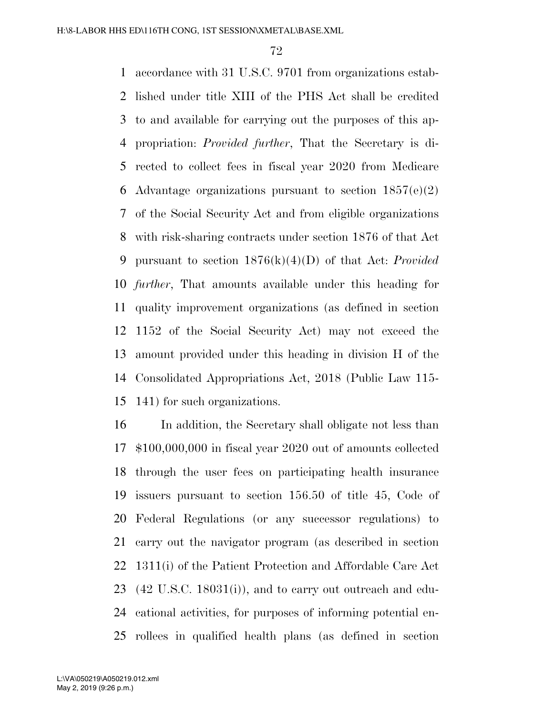accordance with 31 U.S.C. 9701 from organizations estab- lished under title XIII of the PHS Act shall be credited to and available for carrying out the purposes of this ap- propriation: *Provided further*, That the Secretary is di- rected to collect fees in fiscal year 2020 from Medicare 6 Advantage organizations pursuant to section  $1857(e)(2)$  of the Social Security Act and from eligible organizations with risk-sharing contracts under section 1876 of that Act pursuant to section 1876(k)(4)(D) of that Act: *Provided further*, That amounts available under this heading for quality improvement organizations (as defined in section 1152 of the Social Security Act) may not exceed the amount provided under this heading in division H of the Consolidated Appropriations Act, 2018 (Public Law 115- 141) for such organizations.

 In addition, the Secretary shall obligate not less than \$100,000,000 in fiscal year 2020 out of amounts collected through the user fees on participating health insurance issuers pursuant to section 156.50 of title 45, Code of Federal Regulations (or any successor regulations) to carry out the navigator program (as described in section 1311(i) of the Patient Protection and Affordable Care Act (42 U.S.C. 18031(i)), and to carry out outreach and edu- cational activities, for purposes of informing potential en-rollees in qualified health plans (as defined in section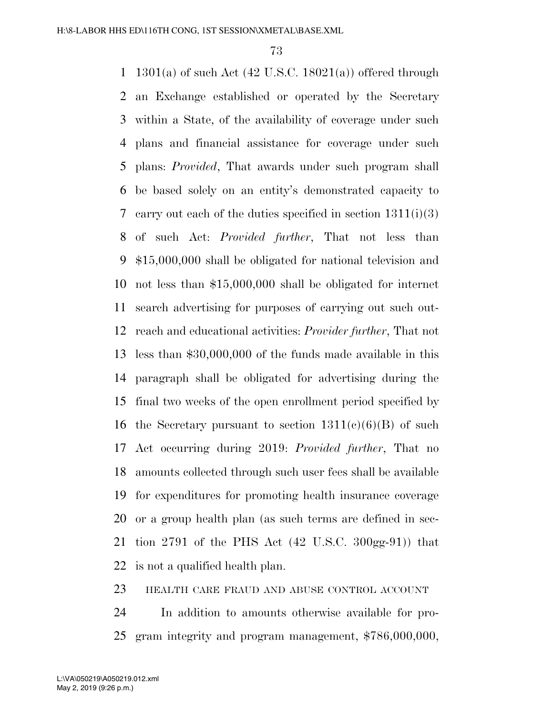1 1301(a) of such Act  $(42 \text{ U.S.C. } 18021(a))$  offered through an Exchange established or operated by the Secretary within a State, of the availability of coverage under such plans and financial assistance for coverage under such plans: *Provided*, That awards under such program shall be based solely on an entity's demonstrated capacity to carry out each of the duties specified in section 1311(i)(3) of such Act: *Provided further*, That not less than \$15,000,000 shall be obligated for national television and not less than \$15,000,000 shall be obligated for internet search advertising for purposes of carrying out such out- reach and educational activities: *Provider further*, That not less than \$30,000,000 of the funds made available in this paragraph shall be obligated for advertising during the final two weeks of the open enrollment period specified by 16 the Secretary pursuant to section  $1311(c)(6)(B)$  of such Act occurring during 2019: *Provided further*, That no amounts collected through such user fees shall be available for expenditures for promoting health insurance coverage or a group health plan (as such terms are defined in sec- tion 2791 of the PHS Act (42 U.S.C. 300gg-91)) that is not a qualified health plan.

HEALTH CARE FRAUD AND ABUSE CONTROL ACCOUNT

 In addition to amounts otherwise available for pro-gram integrity and program management, \$786,000,000,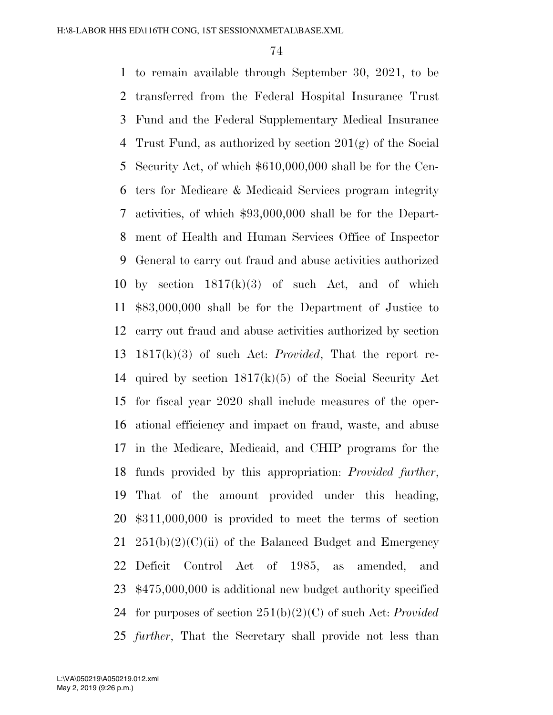to remain available through September 30, 2021, to be transferred from the Federal Hospital Insurance Trust Fund and the Federal Supplementary Medical Insurance Trust Fund, as authorized by section 201(g) of the Social Security Act, of which \$610,000,000 shall be for the Cen- ters for Medicare & Medicaid Services program integrity activities, of which \$93,000,000 shall be for the Depart- ment of Health and Human Services Office of Inspector General to carry out fraud and abuse activities authorized 10 by section  $1817(k)(3)$  of such Act, and of which \$83,000,000 shall be for the Department of Justice to carry out fraud and abuse activities authorized by section 1817(k)(3) of such Act: *Provided*, That the report re- quired by section 1817(k)(5) of the Social Security Act for fiscal year 2020 shall include measures of the oper- ational efficiency and impact on fraud, waste, and abuse in the Medicare, Medicaid, and CHIP programs for the funds provided by this appropriation: *Provided further*, That of the amount provided under this heading, \$311,000,000 is provided to meet the terms of section  $251(b)(2)(C)(ii)$  of the Balanced Budget and Emergency Deficit Control Act of 1985, as amended, and \$475,000,000 is additional new budget authority specified for purposes of section 251(b)(2)(C) of such Act: *Provided further*, That the Secretary shall provide not less than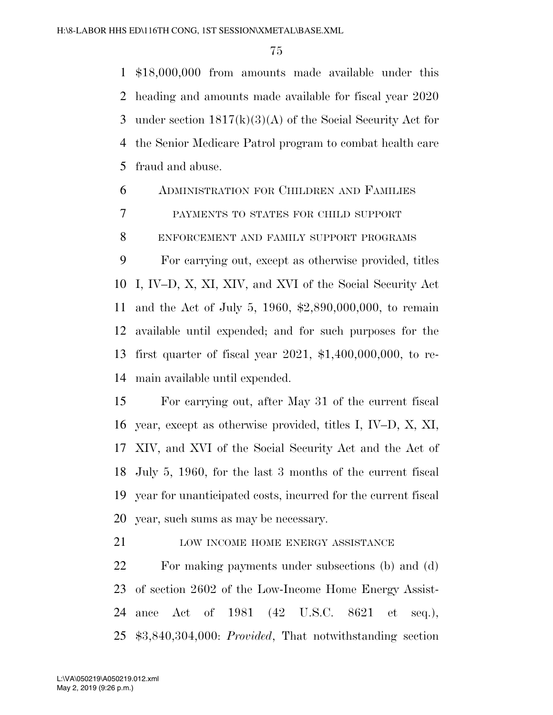\$18,000,000 from amounts made available under this heading and amounts made available for fiscal year 2020 3 under section  $1817(k)(3)(A)$  of the Social Security Act for the Senior Medicare Patrol program to combat health care fraud and abuse.

# ADMINISTRATION FOR CHILDREN AND FAMILIES PAYMENTS TO STATES FOR CHILD SUPPORT

ENFORCEMENT AND FAMILY SUPPORT PROGRAMS

 For carrying out, except as otherwise provided, titles I, IV–D, X, XI, XIV, and XVI of the Social Security Act and the Act of July 5, 1960, \$2,890,000,000, to remain available until expended; and for such purposes for the first quarter of fiscal year 2021, \$1,400,000,000, to re-main available until expended.

 For carrying out, after May 31 of the current fiscal year, except as otherwise provided, titles I, IV–D, X, XI, XIV, and XVI of the Social Security Act and the Act of July 5, 1960, for the last 3 months of the current fiscal year for unanticipated costs, incurred for the current fiscal year, such sums as may be necessary.

21 LOW INCOME HOME ENERGY ASSISTANCE

 For making payments under subsections (b) and (d) of section 2602 of the Low-Income Home Energy Assist- ance Act of 1981 (42 U.S.C. 8621 et seq.), \$3,840,304,000: *Provided*, That notwithstanding section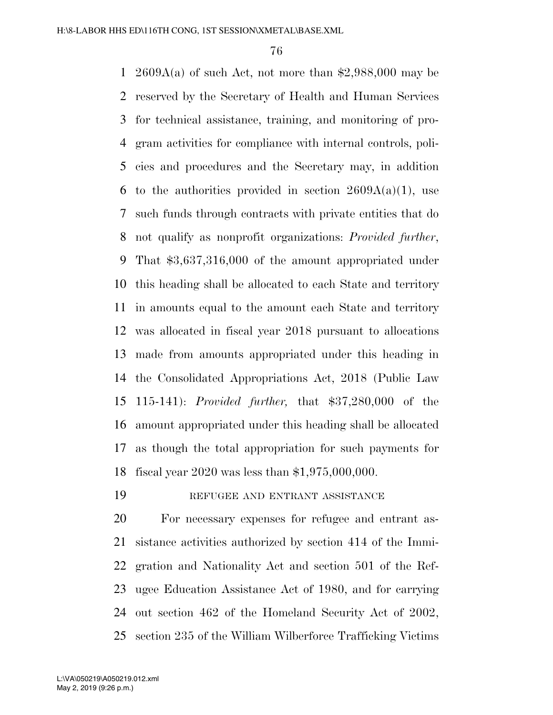1 2609A(a) of such Act, not more than  $$2,988,000$  may be reserved by the Secretary of Health and Human Services for technical assistance, training, and monitoring of pro- gram activities for compliance with internal controls, poli- cies and procedures and the Secretary may, in addition 6 to the authorities provided in section  $2609A(a)(1)$ , use such funds through contracts with private entities that do not qualify as nonprofit organizations: *Provided further*, That \$3,637,316,000 of the amount appropriated under this heading shall be allocated to each State and territory in amounts equal to the amount each State and territory was allocated in fiscal year 2018 pursuant to allocations made from amounts appropriated under this heading in the Consolidated Appropriations Act, 2018 (Public Law 115-141): *Provided further,* that \$37,280,000 of the amount appropriated under this heading shall be allocated as though the total appropriation for such payments for fiscal year 2020 was less than \$1,975,000,000.

**REFUGEE AND ENTRANT ASSISTANCE** 

 For necessary expenses for refugee and entrant as- sistance activities authorized by section 414 of the Immi- gration and Nationality Act and section 501 of the Ref- ugee Education Assistance Act of 1980, and for carrying out section 462 of the Homeland Security Act of 2002, section 235 of the William Wilberforce Trafficking Victims

May 2, 2019 (9:26 p.m.) L:\VA\050219\A050219.012.xml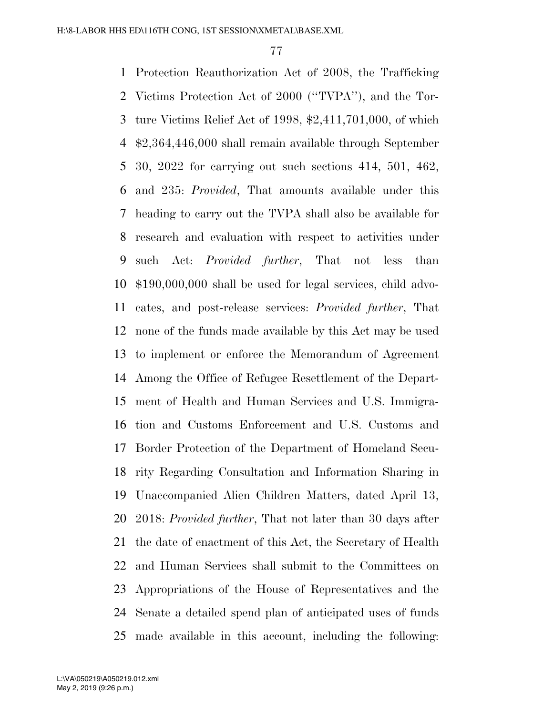Protection Reauthorization Act of 2008, the Trafficking Victims Protection Act of 2000 (''TVPA''), and the Tor- ture Victims Relief Act of 1998, \$2,411,701,000, of which \$2,364,446,000 shall remain available through September 30, 2022 for carrying out such sections 414, 501, 462, and 235: *Provided*, That amounts available under this heading to carry out the TVPA shall also be available for research and evaluation with respect to activities under such Act: *Provided further*, That not less than \$190,000,000 shall be used for legal services, child advo- cates, and post-release services: *Provided further*, That none of the funds made available by this Act may be used to implement or enforce the Memorandum of Agreement Among the Office of Refugee Resettlement of the Depart- ment of Health and Human Services and U.S. Immigra- tion and Customs Enforcement and U.S. Customs and Border Protection of the Department of Homeland Secu- rity Regarding Consultation and Information Sharing in Unaccompanied Alien Children Matters, dated April 13, 2018: *Provided further*, That not later than 30 days after the date of enactment of this Act, the Secretary of Health and Human Services shall submit to the Committees on Appropriations of the House of Representatives and the Senate a detailed spend plan of anticipated uses of funds made available in this account, including the following: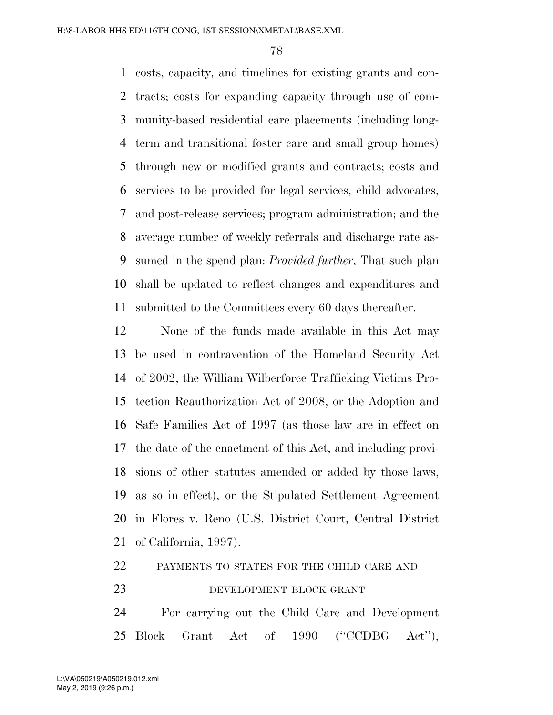costs, capacity, and timelines for existing grants and con- tracts; costs for expanding capacity through use of com- munity-based residential care placements (including long- term and transitional foster care and small group homes) through new or modified grants and contracts; costs and services to be provided for legal services, child advocates, and post-release services; program administration; and the average number of weekly referrals and discharge rate as- sumed in the spend plan: *Provided further*, That such plan shall be updated to reflect changes and expenditures and submitted to the Committees every 60 days thereafter.

 None of the funds made available in this Act may be used in contravention of the Homeland Security Act of 2002, the William Wilberforce Trafficking Victims Pro- tection Reauthorization Act of 2008, or the Adoption and Safe Families Act of 1997 (as those law are in effect on the date of the enactment of this Act, and including provi- sions of other statutes amended or added by those laws, as so in effect), or the Stipulated Settlement Agreement in Flores v. Reno (U.S. District Court, Central District of California, 1997).

## PAYMENTS TO STATES FOR THE CHILD CARE AND

## 23 DEVELOPMENT BLOCK GRANT

 For carrying out the Child Care and Development Block Grant Act of 1990 (''CCDBG Act''),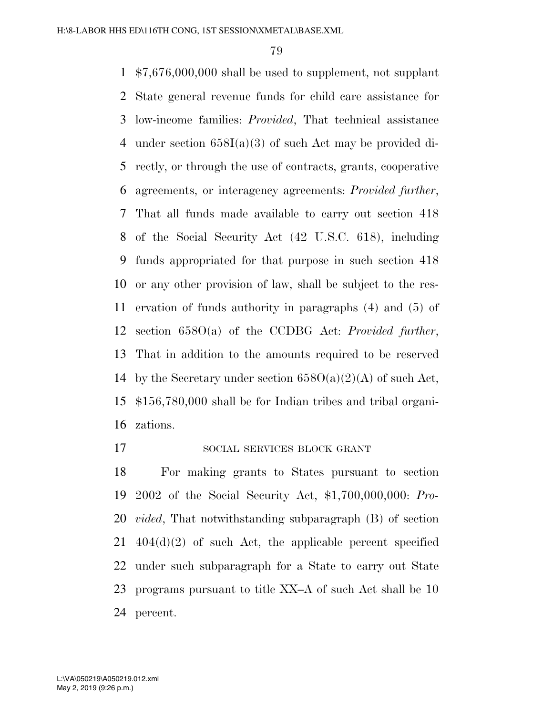\$7,676,000,000 shall be used to supplement, not supplant State general revenue funds for child care assistance for low-income families: *Provided*, That technical assistance under section 658I(a)(3) of such Act may be provided di- rectly, or through the use of contracts, grants, cooperative agreements, or interagency agreements: *Provided further*, That all funds made available to carry out section 418 of the Social Security Act (42 U.S.C. 618), including funds appropriated for that purpose in such section 418 or any other provision of law, shall be subject to the res- ervation of funds authority in paragraphs (4) and (5) of section 658O(a) of the CCDBG Act: *Provided further*, That in addition to the amounts required to be reserved 14 by the Secretary under section  $658O(a)(2)(A)$  of such Act, \$156,780,000 shall be for Indian tribes and tribal organi-zations.

17 SOCIAL SERVICES BLOCK GRANT

 For making grants to States pursuant to section 2002 of the Social Security Act, \$1,700,000,000: *Pro- vided*, That notwithstanding subparagraph (B) of section  $21 \quad 404(d)(2)$  of such Act, the applicable percent specified under such subparagraph for a State to carry out State programs pursuant to title XX–A of such Act shall be 10 percent.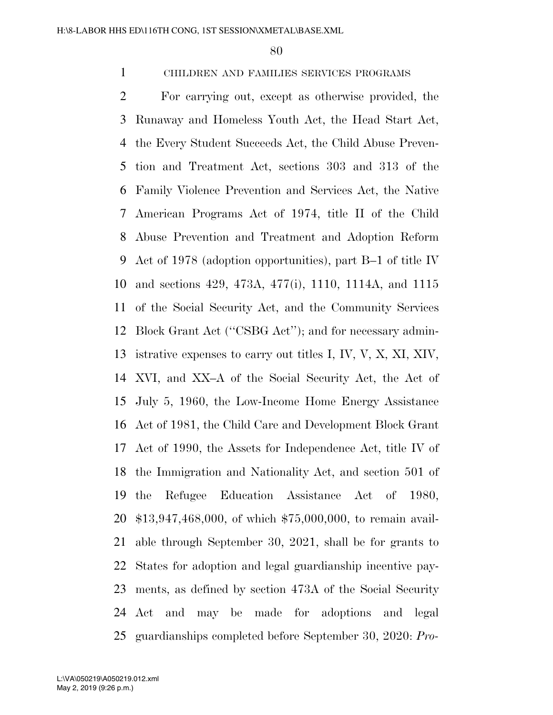CHILDREN AND FAMILIES SERVICES PROGRAMS

 For carrying out, except as otherwise provided, the Runaway and Homeless Youth Act, the Head Start Act, the Every Student Succeeds Act, the Child Abuse Preven- tion and Treatment Act, sections 303 and 313 of the Family Violence Prevention and Services Act, the Native American Programs Act of 1974, title II of the Child Abuse Prevention and Treatment and Adoption Reform Act of 1978 (adoption opportunities), part B–1 of title IV and sections 429, 473A, 477(i), 1110, 1114A, and 1115 of the Social Security Act, and the Community Services Block Grant Act (''CSBG Act''); and for necessary admin- istrative expenses to carry out titles I, IV, V, X, XI, XIV, XVI, and XX–A of the Social Security Act, the Act of July 5, 1960, the Low-Income Home Energy Assistance Act of 1981, the Child Care and Development Block Grant Act of 1990, the Assets for Independence Act, title IV of the Immigration and Nationality Act, and section 501 of the Refugee Education Assistance Act of 1980, \$13,947,468,000, of which \$75,000,000, to remain avail- able through September 30, 2021, shall be for grants to States for adoption and legal guardianship incentive pay- ments, as defined by section 473A of the Social Security Act and may be made for adoptions and legal guardianships completed before September 30, 2020: *Pro-*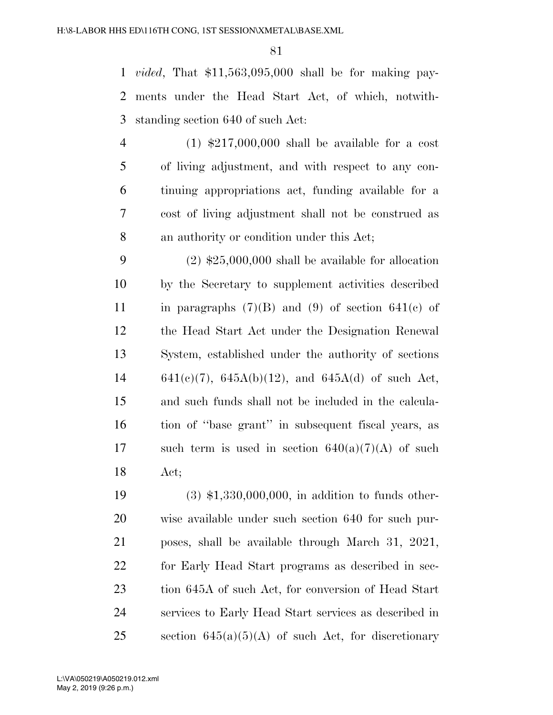*vided*, That \$11,563,095,000 shall be for making pay- ments under the Head Start Act, of which, notwith-standing section 640 of such Act:

- (1) \$217,000,000 shall be available for a cost of living adjustment, and with respect to any con- tinuing appropriations act, funding available for a cost of living adjustment shall not be construed as an authority or condition under this Act;
- 9  $(2)$  \$25,000,000 shall be available for allocation by the Secretary to supplement activities described 11 in paragraphs  $(7)(B)$  and  $(9)$  of section 641(c) of the Head Start Act under the Designation Renewal System, established under the authority of sections 641(e)(7), 645A(b)(12), and 645A(d) of such Act, and such funds shall not be included in the calcula- tion of ''base grant'' in subsequent fiscal years, as 17 such term is used in section  $640(a)(7)(A)$  of such Act;

 (3) \$1,330,000,000, in addition to funds other- wise available under such section 640 for such pur- poses, shall be available through March 31, 2021, for Early Head Start programs as described in sec- tion 645A of such Act, for conversion of Head Start services to Early Head Start services as described in 25 section  $645(a)(5)(A)$  of such Act, for discretionary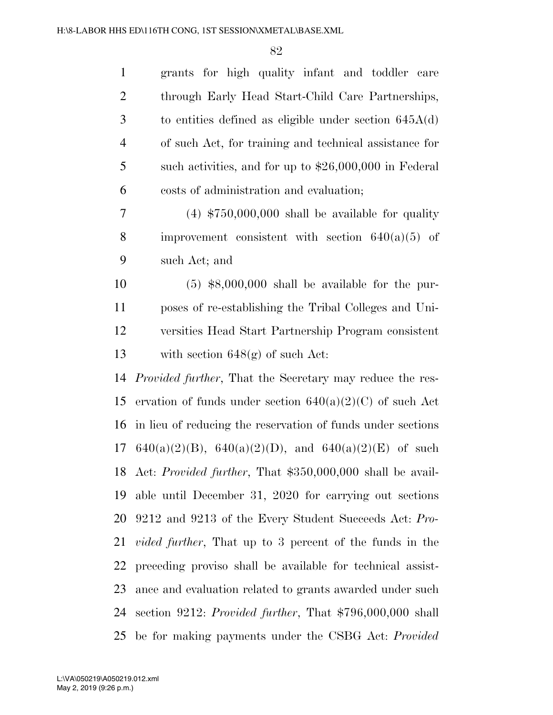| $\mathbf{1}$   | grants for high quality infant and toddler care                      |
|----------------|----------------------------------------------------------------------|
| $\overline{2}$ | through Early Head Start-Child Care Partnerships,                    |
| 3              | to entities defined as eligible under section $645A(d)$              |
| $\overline{4}$ | of such Act, for training and technical assistance for               |
| 5              | such activities, and for up to $$26,000,000$ in Federal              |
| 6              | costs of administration and evaluation;                              |
| 7              | $(4)$ \$750,000,000 shall be available for quality                   |
| $8\,$          | improvement consistent with section $640(a)(5)$ of                   |
| 9              | such Act; and                                                        |
| 10             | $(5)$ \$8,000,000 shall be available for the pur-                    |
| 11             | poses of re-establishing the Tribal Colleges and Uni-                |
| 12             | versities Head Start Partnership Program consistent                  |
| 13             | with section $648(g)$ of such Act:                                   |
| 14             | <i>Provided further</i> , That the Secretary may reduce the res-     |
| 15             | ervation of funds under section $640(a)(2)(C)$ of such Act           |
| 16             | in lieu of reducing the reservation of funds under sections          |
| 17             | $640(a)(2)(B)$ , $640(a)(2)(D)$ , and $640(a)(2)(E)$ of such         |
|                | 18 Act: <i>Provided further</i> , That \$350,000,000 shall be avail- |
| 19             | able until December 31, 2020 for carrying out sections               |
|                | 20 9212 and 9213 of the Every Student Succeeds Act: Pro-             |
| 21             | <i>vided further</i> , That up to 3 percent of the funds in the      |
| 22             | preceding proviso shall be available for technical assist-           |
| 23             | ance and evaluation related to grants awarded under such             |
| 24             | section 9212: Provided further, That $$796,000,000$ shall            |
| 25             | be for making payments under the CSBG Act: <i>Provided</i>           |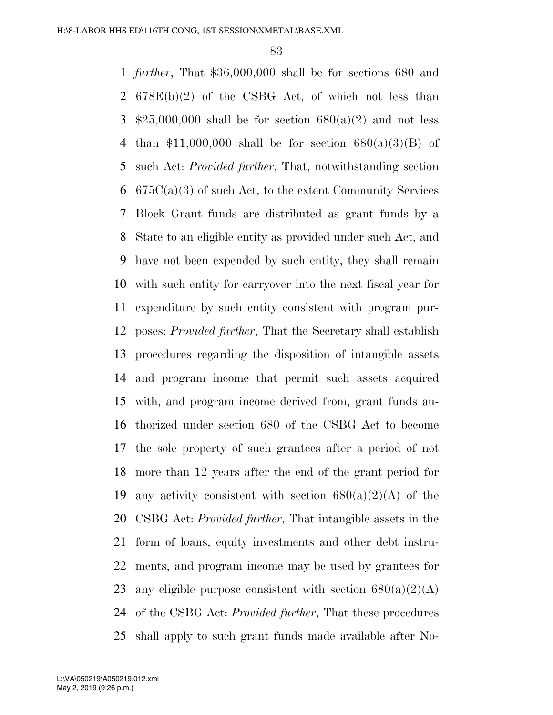*further*, That \$36,000,000 shall be for sections 680 and 678E(b)(2) of the CSBG Act, of which not less than  $$25,000,000$  shall be for section  $680(a)(2)$  and not less 4 than  $$11,000,000$  shall be for section  $680(a)(3)(B)$  of such Act: *Provided further*, That, notwithstanding section  $6\quad675C(a)(3)$  of such Act, to the extent Community Services Block Grant funds are distributed as grant funds by a State to an eligible entity as provided under such Act, and have not been expended by such entity, they shall remain with such entity for carryover into the next fiscal year for expenditure by such entity consistent with program pur- poses: *Provided further*, That the Secretary shall establish procedures regarding the disposition of intangible assets and program income that permit such assets acquired with, and program income derived from, grant funds au- thorized under section 680 of the CSBG Act to become the sole property of such grantees after a period of not more than 12 years after the end of the grant period for 19 any activity consistent with section  $680(a)(2)(A)$  of the CSBG Act: *Provided further*, That intangible assets in the form of loans, equity investments and other debt instru- ments, and program income may be used by grantees for 23 any eligible purpose consistent with section  $680(a)(2)(A)$  of the CSBG Act: *Provided further*, That these procedures shall apply to such grant funds made available after No-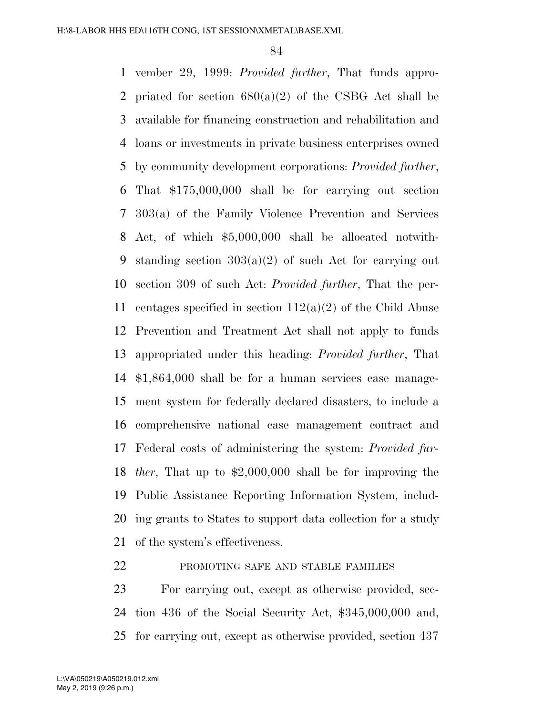vember 29, 1999: *Provided further*, That funds appro-2 priated for section  $680(a)(2)$  of the CSBG Act shall be available for financing construction and rehabilitation and loans or investments in private business enterprises owned by community development corporations: *Provided further*, That \$175,000,000 shall be for carrying out section 303(a) of the Family Violence Prevention and Services Act, of which \$5,000,000 shall be allocated notwith- standing section 303(a)(2) of such Act for carrying out section 309 of such Act: *Provided further*, That the per-11 centages specified in section  $112(a)(2)$  of the Child Abuse Prevention and Treatment Act shall not apply to funds appropriated under this heading: *Provided further*, That \$1,864,000 shall be for a human services case manage- ment system for federally declared disasters, to include a comprehensive national case management contract and Federal costs of administering the system: *Provided fur- ther*, That up to \$2,000,000 shall be for improving the Public Assistance Reporting Information System, includ- ing grants to States to support data collection for a study of the system's effectiveness.

PROMOTING SAFE AND STABLE FAMILIES

 For carrying out, except as otherwise provided, sec- tion 436 of the Social Security Act, \$345,000,000 and, for carrying out, except as otherwise provided, section 437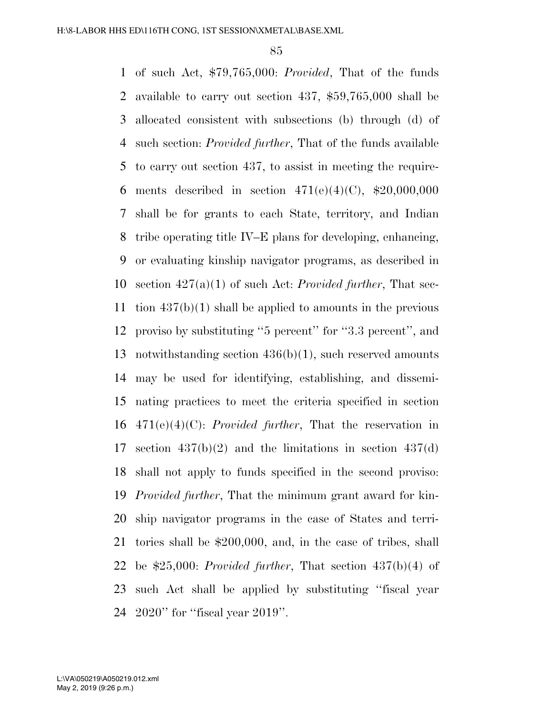of such Act, \$79,765,000: *Provided*, That of the funds available to carry out section 437, \$59,765,000 shall be allocated consistent with subsections (b) through (d) of such section: *Provided further*, That of the funds available to carry out section 437, to assist in meeting the require-6 ments described in section  $471(e)(4)(C)$ , \$20,000,000 shall be for grants to each State, territory, and Indian tribe operating title IV–E plans for developing, enhancing, or evaluating kinship navigator programs, as described in section 427(a)(1) of such Act: *Provided further*, That sec- tion 437(b)(1) shall be applied to amounts in the previous proviso by substituting ''5 percent'' for ''3.3 percent'', and notwithstanding section 436(b)(1), such reserved amounts may be used for identifying, establishing, and dissemi- nating practices to meet the criteria specified in section 471(e)(4)(C): *Provided further*, That the reservation in section 437(b)(2) and the limitations in section 437(d) shall not apply to funds specified in the second proviso: *Provided further*, That the minimum grant award for kin- ship navigator programs in the case of States and terri- tories shall be \$200,000, and, in the case of tribes, shall be \$25,000: *Provided further*, That section 437(b)(4) of such Act shall be applied by substituting ''fiscal year 2020'' for ''fiscal year 2019''.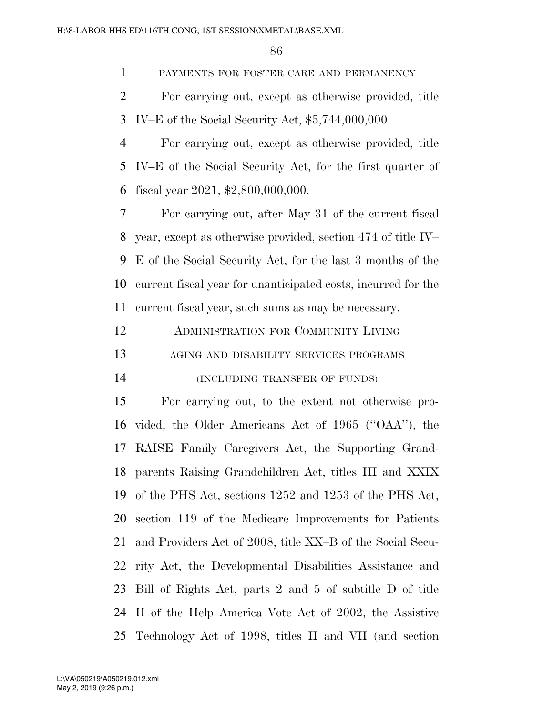PAYMENTS FOR FOSTER CARE AND PERMANENCY

 For carrying out, except as otherwise provided, title IV–E of the Social Security Act, \$5,744,000,000.

 For carrying out, except as otherwise provided, title IV–E of the Social Security Act, for the first quarter of fiscal year 2021, \$2,800,000,000.

 For carrying out, after May 31 of the current fiscal year, except as otherwise provided, section 474 of title IV– E of the Social Security Act, for the last 3 months of the current fiscal year for unanticipated costs, incurred for the current fiscal year, such sums as may be necessary.

 ADMINISTRATION FOR COMMUNITY LIVING AGING AND DISABILITY SERVICES PROGRAMS

(INCLUDING TRANSFER OF FUNDS)

 For carrying out, to the extent not otherwise pro- vided, the Older Americans Act of 1965 (''OAA''), the RAISE Family Caregivers Act, the Supporting Grand- parents Raising Grandchildren Act, titles III and XXIX of the PHS Act, sections 1252 and 1253 of the PHS Act, section 119 of the Medicare Improvements for Patients and Providers Act of 2008, title XX–B of the Social Secu- rity Act, the Developmental Disabilities Assistance and Bill of Rights Act, parts 2 and 5 of subtitle D of title II of the Help America Vote Act of 2002, the Assistive Technology Act of 1998, titles II and VII (and section

May 2, 2019 (9:26 p.m.) L:\VA\050219\A050219.012.xml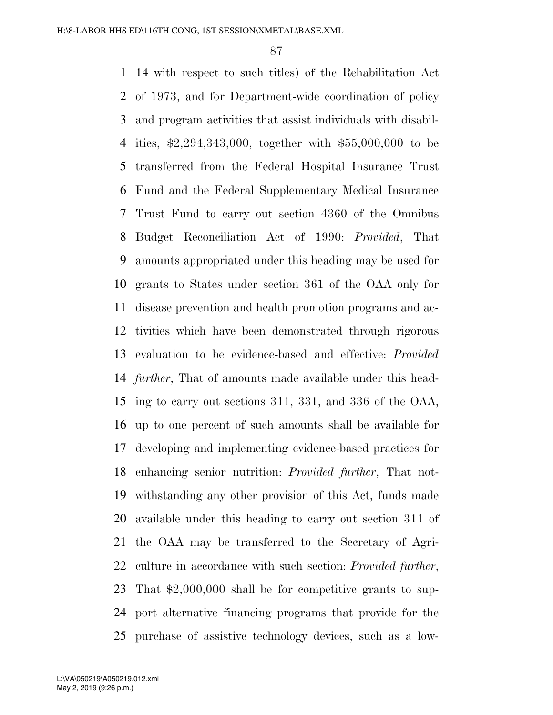14 with respect to such titles) of the Rehabilitation Act of 1973, and for Department-wide coordination of policy and program activities that assist individuals with disabil- ities, \$2,294,343,000, together with \$55,000,000 to be transferred from the Federal Hospital Insurance Trust Fund and the Federal Supplementary Medical Insurance Trust Fund to carry out section 4360 of the Omnibus Budget Reconciliation Act of 1990: *Provided*, That amounts appropriated under this heading may be used for grants to States under section 361 of the OAA only for disease prevention and health promotion programs and ac- tivities which have been demonstrated through rigorous evaluation to be evidence-based and effective: *Provided further*, That of amounts made available under this head- ing to carry out sections 311, 331, and 336 of the OAA, up to one percent of such amounts shall be available for developing and implementing evidence-based practices for enhancing senior nutrition: *Provided further*, That not- withstanding any other provision of this Act, funds made available under this heading to carry out section 311 of the OAA may be transferred to the Secretary of Agri- culture in accordance with such section: *Provided further*, That \$2,000,000 shall be for competitive grants to sup- port alternative financing programs that provide for the purchase of assistive technology devices, such as a low-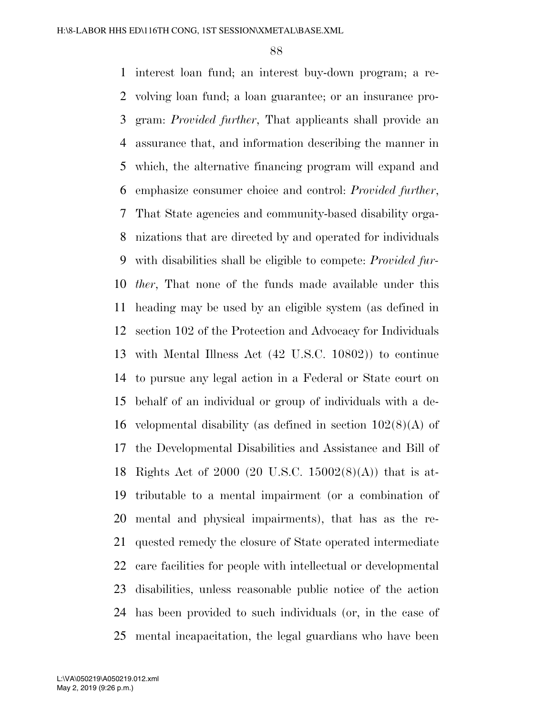interest loan fund; an interest buy-down program; a re- volving loan fund; a loan guarantee; or an insurance pro- gram: *Provided further*, That applicants shall provide an assurance that, and information describing the manner in which, the alternative financing program will expand and emphasize consumer choice and control: *Provided further*, That State agencies and community-based disability orga- nizations that are directed by and operated for individuals with disabilities shall be eligible to compete: *Provided fur- ther*, That none of the funds made available under this heading may be used by an eligible system (as defined in section 102 of the Protection and Advocacy for Individuals with Mental Illness Act (42 U.S.C. 10802)) to continue to pursue any legal action in a Federal or State court on behalf of an individual or group of individuals with a de- velopmental disability (as defined in section 102(8)(A) of the Developmental Disabilities and Assistance and Bill of Rights Act of 2000 (20 U.S.C. 15002(8)(A)) that is at- tributable to a mental impairment (or a combination of mental and physical impairments), that has as the re- quested remedy the closure of State operated intermediate care facilities for people with intellectual or developmental disabilities, unless reasonable public notice of the action has been provided to such individuals (or, in the case of mental incapacitation, the legal guardians who have been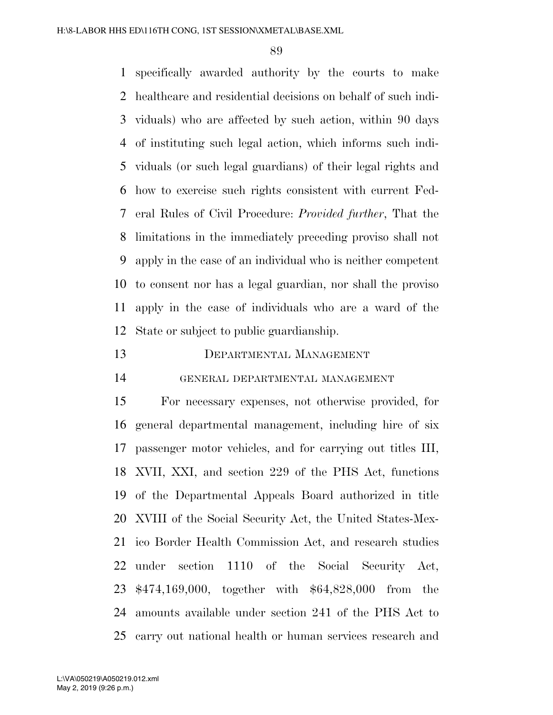specifically awarded authority by the courts to make healthcare and residential decisions on behalf of such indi- viduals) who are affected by such action, within 90 days of instituting such legal action, which informs such indi- viduals (or such legal guardians) of their legal rights and how to exercise such rights consistent with current Fed- eral Rules of Civil Procedure: *Provided further*, That the limitations in the immediately preceding proviso shall not apply in the case of an individual who is neither competent to consent nor has a legal guardian, nor shall the proviso apply in the case of individuals who are a ward of the State or subject to public guardianship.

## DEPARTMENTAL MANAGEMENT

GENERAL DEPARTMENTAL MANAGEMENT

 For necessary expenses, not otherwise provided, for general departmental management, including hire of six passenger motor vehicles, and for carrying out titles III, XVII, XXI, and section 229 of the PHS Act, functions of the Departmental Appeals Board authorized in title XVIII of the Social Security Act, the United States-Mex- ico Border Health Commission Act, and research studies under section 1110 of the Social Security Act, \$474,169,000, together with \$64,828,000 from the amounts available under section 241 of the PHS Act to carry out national health or human services research and

May 2, 2019 (9:26 p.m.) L:\VA\050219\A050219.012.xml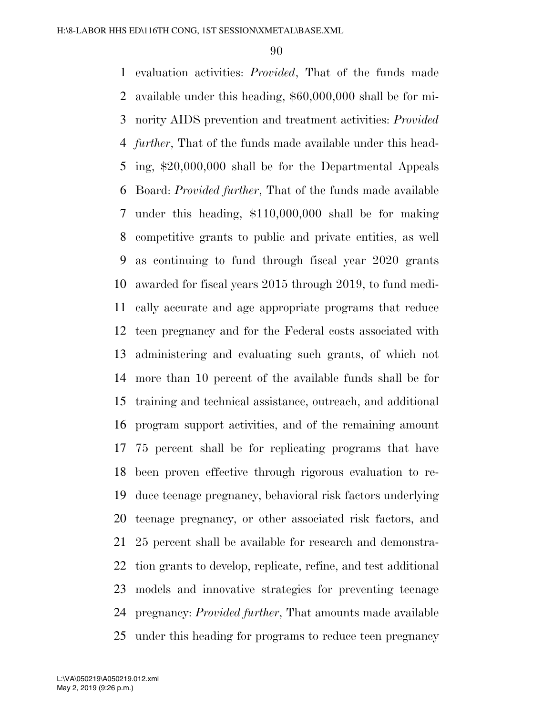evaluation activities: *Provided*, That of the funds made available under this heading, \$60,000,000 shall be for mi- nority AIDS prevention and treatment activities: *Provided further*, That of the funds made available under this head- ing, \$20,000,000 shall be for the Departmental Appeals Board: *Provided further*, That of the funds made available under this heading, \$110,000,000 shall be for making competitive grants to public and private entities, as well as continuing to fund through fiscal year 2020 grants awarded for fiscal years 2015 through 2019, to fund medi- cally accurate and age appropriate programs that reduce teen pregnancy and for the Federal costs associated with administering and evaluating such grants, of which not more than 10 percent of the available funds shall be for training and technical assistance, outreach, and additional program support activities, and of the remaining amount 75 percent shall be for replicating programs that have been proven effective through rigorous evaluation to re- duce teenage pregnancy, behavioral risk factors underlying teenage pregnancy, or other associated risk factors, and 25 percent shall be available for research and demonstra- tion grants to develop, replicate, refine, and test additional models and innovative strategies for preventing teenage pregnancy: *Provided further*, That amounts made available under this heading for programs to reduce teen pregnancy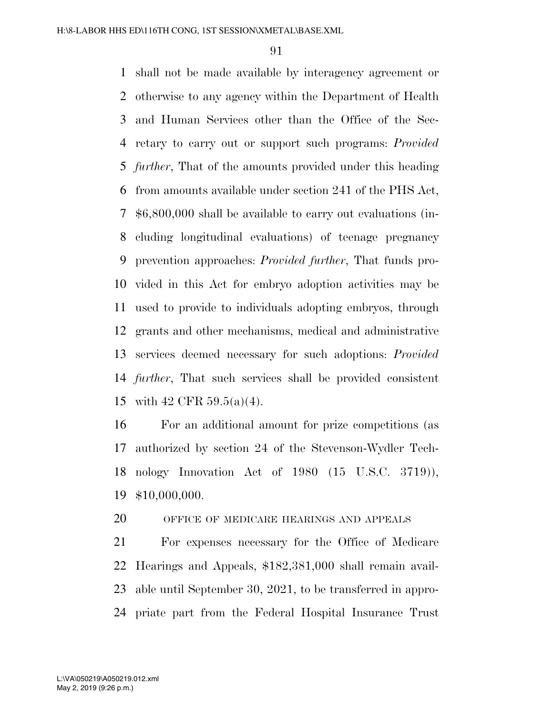shall not be made available by interagency agreement or otherwise to any agency within the Department of Health and Human Services other than the Office of the Sec- retary to carry out or support such programs: *Provided further*, That of the amounts provided under this heading from amounts available under section 241 of the PHS Act, \$6,800,000 shall be available to carry out evaluations (in- cluding longitudinal evaluations) of teenage pregnancy prevention approaches: *Provided further*, That funds pro- vided in this Act for embryo adoption activities may be used to provide to individuals adopting embryos, through grants and other mechanisms, medical and administrative services deemed necessary for such adoptions: *Provided further*, That such services shall be provided consistent 15 with 42 CFR  $59.5(a)(4)$ .

 For an additional amount for prize competitions (as authorized by section 24 of the Stevenson-Wydler Tech- nology Innovation Act of 1980 (15 U.S.C. 3719)), \$10,000,000.

# OFFICE OF MEDICARE HEARINGS AND APPEALS

 For expenses necessary for the Office of Medicare Hearings and Appeals, \$182,381,000 shall remain avail- able until September 30, 2021, to be transferred in appro-priate part from the Federal Hospital Insurance Trust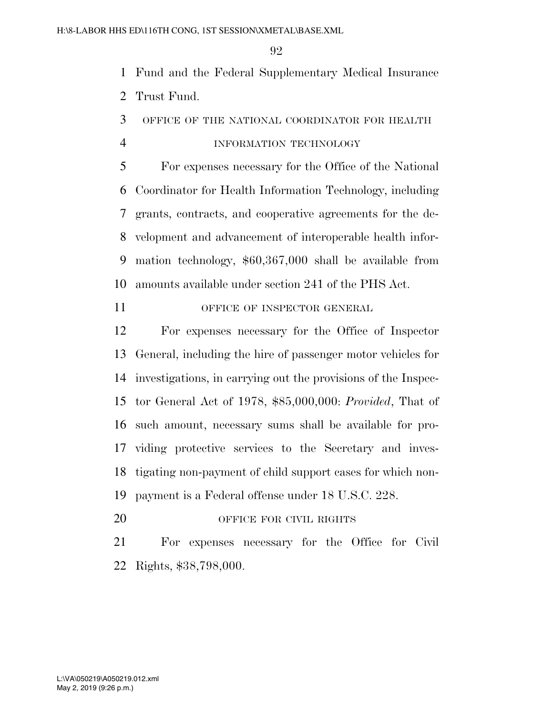Fund and the Federal Supplementary Medical Insurance Trust Fund.

 OFFICE OF THE NATIONAL COORDINATOR FOR HEALTH INFORMATION TECHNOLOGY

 For expenses necessary for the Office of the National Coordinator for Health Information Technology, including grants, contracts, and cooperative agreements for the de- velopment and advancement of interoperable health infor- mation technology, \$60,367,000 shall be available from amounts available under section 241 of the PHS Act.

11 OFFICE OF INSPECTOR GENERAL

 For expenses necessary for the Office of Inspector General, including the hire of passenger motor vehicles for investigations, in carrying out the provisions of the Inspec- tor General Act of 1978, \$85,000,000: *Provided*, That of such amount, necessary sums shall be available for pro- viding protective services to the Secretary and inves- tigating non-payment of child support cases for which non-payment is a Federal offense under 18 U.S.C. 228.

20 OFFICE FOR CIVIL RIGHTS

 For expenses necessary for the Office for Civil Rights, \$38,798,000.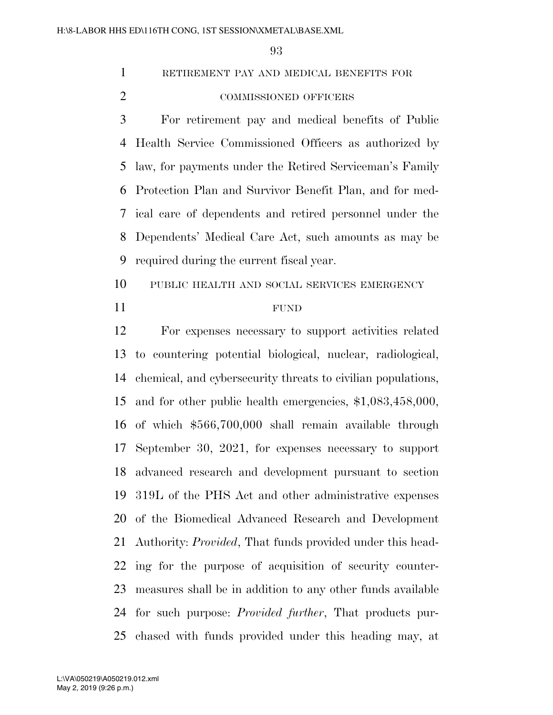RETIREMENT PAY AND MEDICAL BENEFITS FOR COMMISSIONED OFFICERS

 For retirement pay and medical benefits of Public Health Service Commissioned Officers as authorized by law, for payments under the Retired Serviceman's Family Protection Plan and Survivor Benefit Plan, and for med- ical care of dependents and retired personnel under the Dependents' Medical Care Act, such amounts as may be required during the current fiscal year.

 PUBLIC HEALTH AND SOCIAL SERVICES EMERGENCY FUND

 For expenses necessary to support activities related to countering potential biological, nuclear, radiological, chemical, and cybersecurity threats to civilian populations, and for other public health emergencies, \$1,083,458,000, of which \$566,700,000 shall remain available through September 30, 2021, for expenses necessary to support advanced research and development pursuant to section 319L of the PHS Act and other administrative expenses of the Biomedical Advanced Research and Development Authority: *Provided*, That funds provided under this head- ing for the purpose of acquisition of security counter- measures shall be in addition to any other funds available for such purpose: *Provided further*, That products pur-chased with funds provided under this heading may, at

May 2, 2019 (9:26 p.m.) L:\VA\050219\A050219.012.xml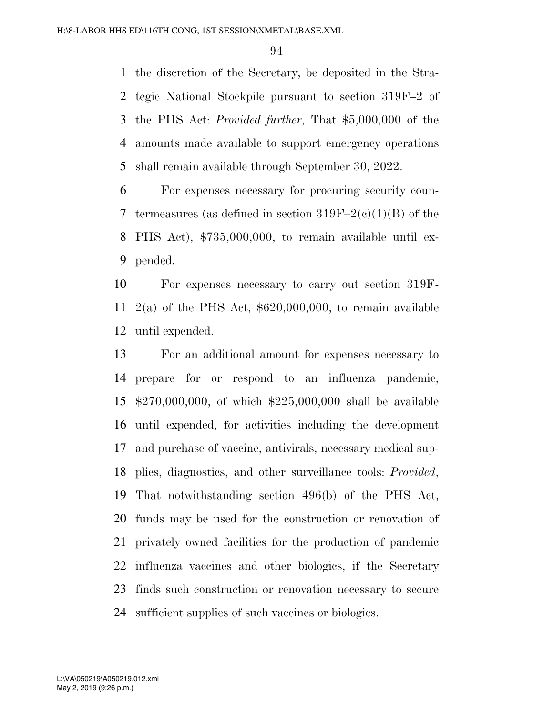the discretion of the Secretary, be deposited in the Stra- tegic National Stockpile pursuant to section 319F–2 of the PHS Act: *Provided further*, That \$5,000,000 of the amounts made available to support emergency operations shall remain available through September 30, 2022.

 For expenses necessary for procuring security coun-7 termeasures (as defined in section  $319F-2(c)(1)(B)$  of the PHS Act), \$735,000,000, to remain available until ex-pended.

 For expenses necessary to carry out section 319F- 2(a) of the PHS Act, \$620,000,000, to remain available until expended.

 For an additional amount for expenses necessary to prepare for or respond to an influenza pandemic, \$270,000,000, of which \$225,000,000 shall be available until expended, for activities including the development and purchase of vaccine, antivirals, necessary medical sup- plies, diagnostics, and other surveillance tools: *Provided*, That notwithstanding section 496(b) of the PHS Act, funds may be used for the construction or renovation of privately owned facilities for the production of pandemic influenza vaccines and other biologics, if the Secretary finds such construction or renovation necessary to secure sufficient supplies of such vaccines or biologics.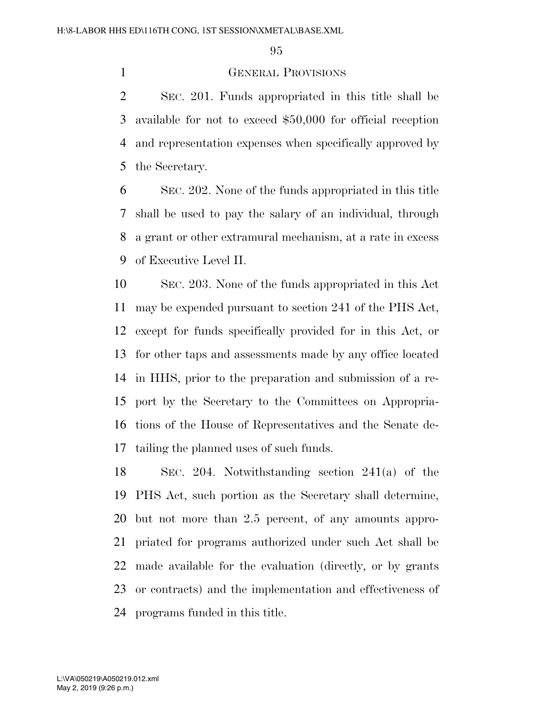## GENERAL PROVISIONS

 SEC. 201. Funds appropriated in this title shall be available for not to exceed \$50,000 for official reception and representation expenses when specifically approved by the Secretary.

 SEC. 202. None of the funds appropriated in this title shall be used to pay the salary of an individual, through a grant or other extramural mechanism, at a rate in excess of Executive Level II.

 SEC. 203. None of the funds appropriated in this Act may be expended pursuant to section 241 of the PHS Act, except for funds specifically provided for in this Act, or for other taps and assessments made by any office located in HHS, prior to the preparation and submission of a re- port by the Secretary to the Committees on Appropria- tions of the House of Representatives and the Senate de-tailing the planned uses of such funds.

 SEC. 204. Notwithstanding section 241(a) of the PHS Act, such portion as the Secretary shall determine, but not more than 2.5 percent, of any amounts appro- priated for programs authorized under such Act shall be made available for the evaluation (directly, or by grants or contracts) and the implementation and effectiveness of programs funded in this title.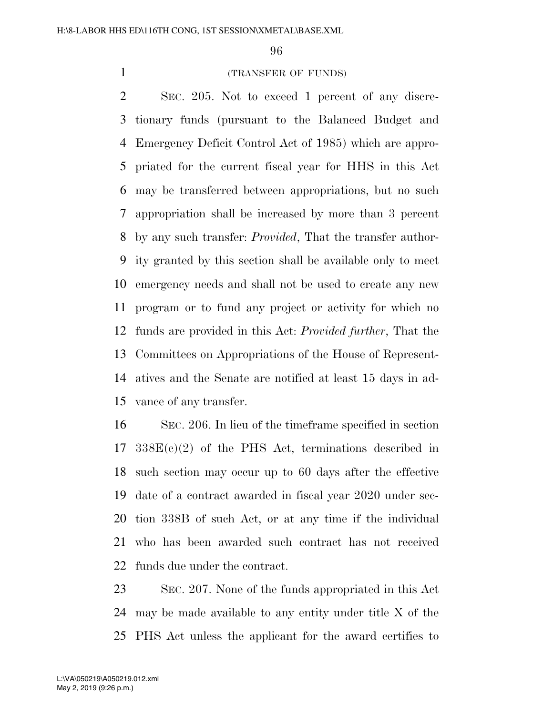### (TRANSFER OF FUNDS)

 SEC. 205. Not to exceed 1 percent of any discre- tionary funds (pursuant to the Balanced Budget and Emergency Deficit Control Act of 1985) which are appro- priated for the current fiscal year for HHS in this Act may be transferred between appropriations, but no such appropriation shall be increased by more than 3 percent by any such transfer: *Provided*, That the transfer author- ity granted by this section shall be available only to meet emergency needs and shall not be used to create any new program or to fund any project or activity for which no funds are provided in this Act: *Provided further*, That the Committees on Appropriations of the House of Represent- atives and the Senate are notified at least 15 days in ad-vance of any transfer.

 SEC. 206. In lieu of the timeframe specified in section  $17 \quad 338E(c)(2)$  of the PHS Act, terminations described in such section may occur up to 60 days after the effective date of a contract awarded in fiscal year 2020 under sec- tion 338B of such Act, or at any time if the individual who has been awarded such contract has not received funds due under the contract.

 SEC. 207. None of the funds appropriated in this Act may be made available to any entity under title X of the PHS Act unless the applicant for the award certifies to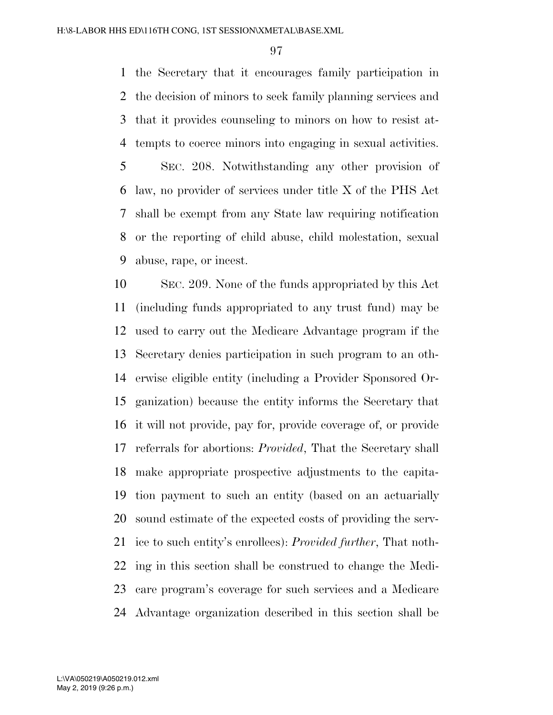the Secretary that it encourages family participation in the decision of minors to seek family planning services and that it provides counseling to minors on how to resist at- tempts to coerce minors into engaging in sexual activities. SEC. 208. Notwithstanding any other provision of law, no provider of services under title X of the PHS Act shall be exempt from any State law requiring notification or the reporting of child abuse, child molestation, sexual

abuse, rape, or incest.

 SEC. 209. None of the funds appropriated by this Act (including funds appropriated to any trust fund) may be used to carry out the Medicare Advantage program if the Secretary denies participation in such program to an oth- erwise eligible entity (including a Provider Sponsored Or- ganization) because the entity informs the Secretary that it will not provide, pay for, provide coverage of, or provide referrals for abortions: *Provided*, That the Secretary shall make appropriate prospective adjustments to the capita- tion payment to such an entity (based on an actuarially sound estimate of the expected costs of providing the serv- ice to such entity's enrollees): *Provided further*, That noth- ing in this section shall be construed to change the Medi- care program's coverage for such services and a Medicare Advantage organization described in this section shall be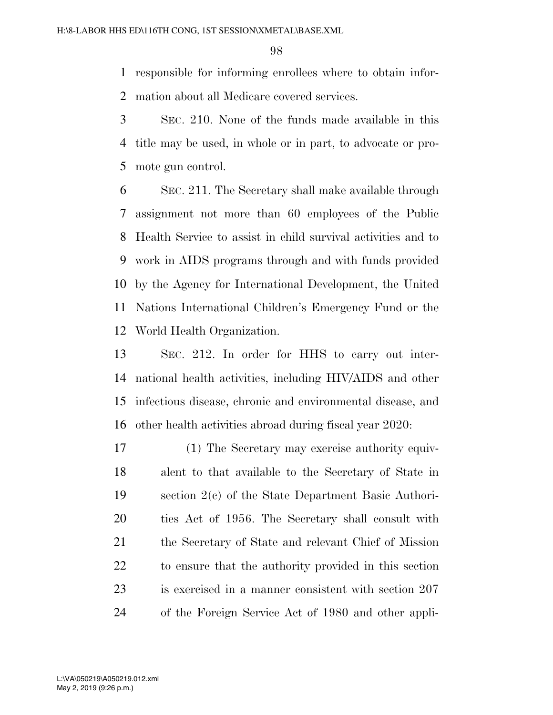responsible for informing enrollees where to obtain infor-mation about all Medicare covered services.

 SEC. 210. None of the funds made available in this title may be used, in whole or in part, to advocate or pro-mote gun control.

 SEC. 211. The Secretary shall make available through assignment not more than 60 employees of the Public Health Service to assist in child survival activities and to work in AIDS programs through and with funds provided by the Agency for International Development, the United Nations International Children's Emergency Fund or the World Health Organization.

 SEC. 212. In order for HHS to carry out inter- national health activities, including HIV/AIDS and other infectious disease, chronic and environmental disease, and other health activities abroad during fiscal year 2020:

 (1) The Secretary may exercise authority equiv- alent to that available to the Secretary of State in section 2(c) of the State Department Basic Authori- ties Act of 1956. The Secretary shall consult with 21 the Secretary of State and relevant Chief of Mission to ensure that the authority provided in this section is exercised in a manner consistent with section 207 of the Foreign Service Act of 1980 and other appli-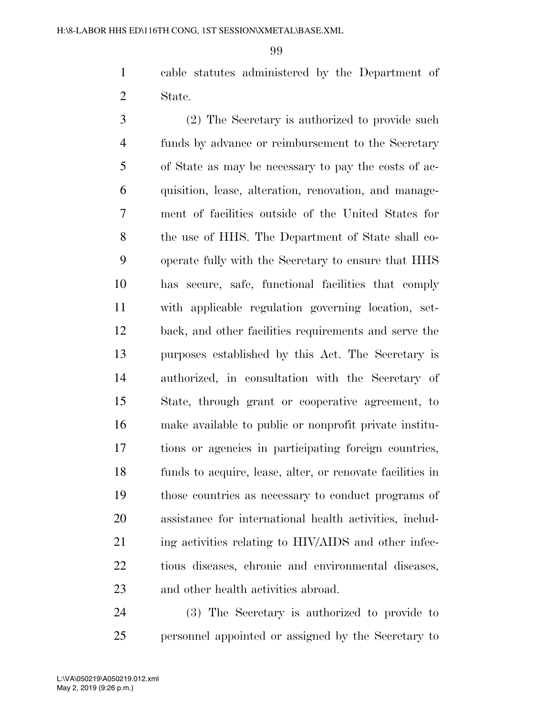cable statutes administered by the Department of State.

 (2) The Secretary is authorized to provide such funds by advance or reimbursement to the Secretary of State as may be necessary to pay the costs of ac- quisition, lease, alteration, renovation, and manage- ment of facilities outside of the United States for the use of HHS. The Department of State shall co- operate fully with the Secretary to ensure that HHS has secure, safe, functional facilities that comply with applicable regulation governing location, set- back, and other facilities requirements and serve the purposes established by this Act. The Secretary is authorized, in consultation with the Secretary of State, through grant or cooperative agreement, to make available to public or nonprofit private institu- tions or agencies in participating foreign countries, funds to acquire, lease, alter, or renovate facilities in those countries as necessary to conduct programs of assistance for international health activities, includ-21 ing activities relating to HIV/AIDS and other infec- tious diseases, chronic and environmental diseases, and other health activities abroad.

 (3) The Secretary is authorized to provide to personnel appointed or assigned by the Secretary to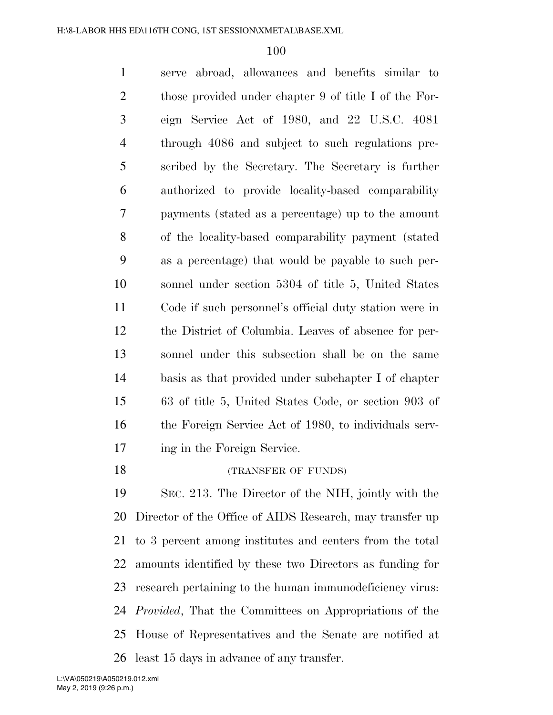serve abroad, allowances and benefits similar to 2 those provided under chapter 9 of title I of the For- eign Service Act of 1980, and 22 U.S.C. 4081 through 4086 and subject to such regulations pre- scribed by the Secretary. The Secretary is further authorized to provide locality-based comparability payments (stated as a percentage) up to the amount of the locality-based comparability payment (stated as a percentage) that would be payable to such per- sonnel under section 5304 of title 5, United States Code if such personnel's official duty station were in the District of Columbia. Leaves of absence for per- sonnel under this subsection shall be on the same basis as that provided under subchapter I of chapter 63 of title 5, United States Code, or section 903 of the Foreign Service Act of 1980, to individuals serv- ing in the Foreign Service. 18 (TRANSFER OF FUNDS) SEC. 213. The Director of the NIH, jointly with the

 Director of the Office of AIDS Research, may transfer up to 3 percent among institutes and centers from the total amounts identified by these two Directors as funding for research pertaining to the human immunodeficiency virus: *Provided*, That the Committees on Appropriations of the House of Representatives and the Senate are notified at least 15 days in advance of any transfer.

May 2, 2019 (9:26 p.m.) L:\VA\050219\A050219.012.xml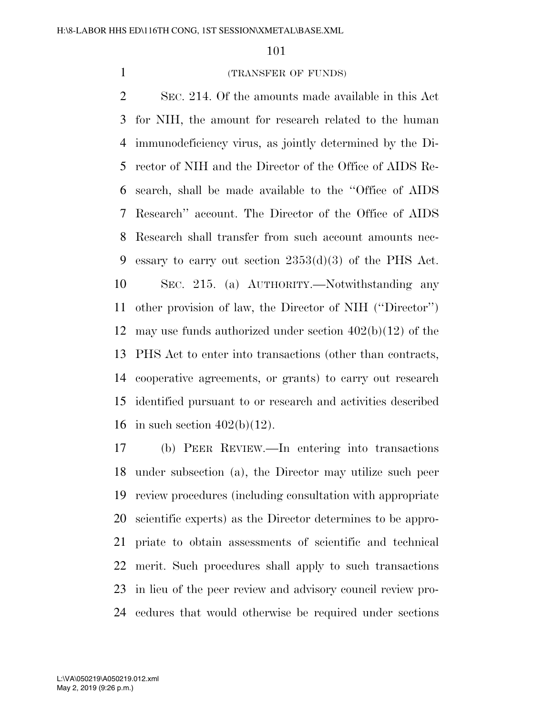### (TRANSFER OF FUNDS)

 SEC. 214. Of the amounts made available in this Act for NIH, the amount for research related to the human immunodeficiency virus, as jointly determined by the Di- rector of NIH and the Director of the Office of AIDS Re- search, shall be made available to the ''Office of AIDS Research'' account. The Director of the Office of AIDS Research shall transfer from such account amounts nec- essary to carry out section 2353(d)(3) of the PHS Act. SEC. 215. (a) AUTHORITY.—Notwithstanding any other provision of law, the Director of NIH (''Director'') may use funds authorized under section 402(b)(12) of the PHS Act to enter into transactions (other than contracts, cooperative agreements, or grants) to carry out research identified pursuant to or research and activities described 16 in such section  $402(b)(12)$ .

 (b) PEER REVIEW.—In entering into transactions under subsection (a), the Director may utilize such peer review procedures (including consultation with appropriate scientific experts) as the Director determines to be appro- priate to obtain assessments of scientific and technical merit. Such procedures shall apply to such transactions in lieu of the peer review and advisory council review pro-cedures that would otherwise be required under sections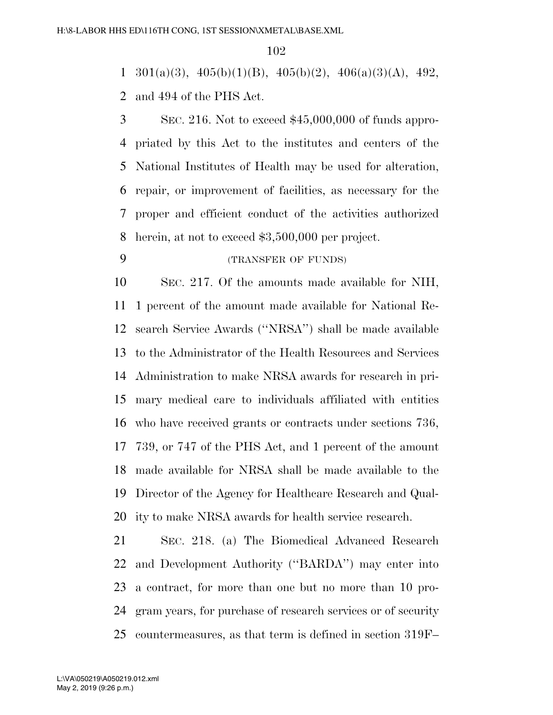$1 \quad 301(a)(3), \quad 405(b)(1)(B), \quad 405(b)(2), \quad 406(a)(3)(A), \quad 492,$ and 494 of the PHS Act.

 SEC. 216. Not to exceed \$45,000,000 of funds appro- priated by this Act to the institutes and centers of the National Institutes of Health may be used for alteration, repair, or improvement of facilities, as necessary for the proper and efficient conduct of the activities authorized herein, at not to exceed \$3,500,000 per project.

(TRANSFER OF FUNDS)

 SEC. 217. Of the amounts made available for NIH, 1 percent of the amount made available for National Re- search Service Awards (''NRSA'') shall be made available to the Administrator of the Health Resources and Services Administration to make NRSA awards for research in pri- mary medical care to individuals affiliated with entities who have received grants or contracts under sections 736, 739, or 747 of the PHS Act, and 1 percent of the amount made available for NRSA shall be made available to the Director of the Agency for Healthcare Research and Qual-ity to make NRSA awards for health service research.

 SEC. 218. (a) The Biomedical Advanced Research and Development Authority (''BARDA'') may enter into a contract, for more than one but no more than 10 pro- gram years, for purchase of research services or of security countermeasures, as that term is defined in section 319F–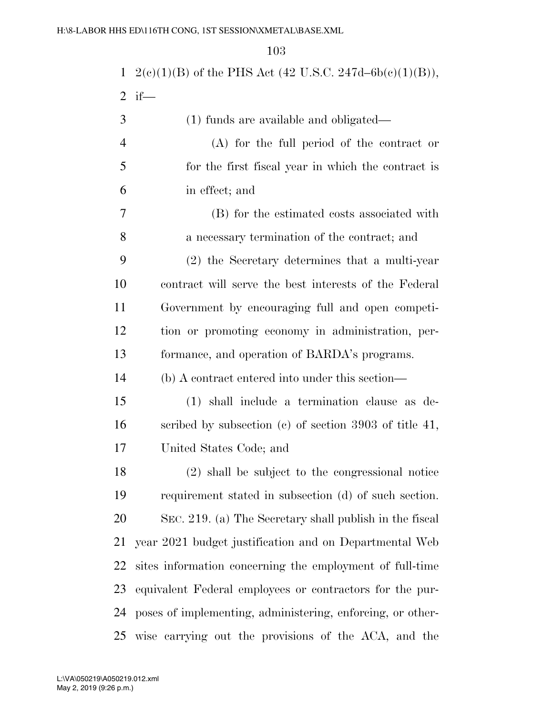| $\mathbf{1}$   | $2(e)(1)(B)$ of the PHS Act (42 U.S.C. 247d–6b(c)(1)(B)),  |
|----------------|------------------------------------------------------------|
| 2              | $if$ —                                                     |
| 3              | $(1)$ funds are available and obligated—                   |
| $\overline{4}$ | $(A)$ for the full period of the contract or               |
| 5              | for the first fiscal year in which the contract is         |
| 6              | in effect; and                                             |
| 7              | (B) for the estimated costs associated with                |
| 8              | a necessary termination of the contract; and               |
| 9              | (2) the Secretary determines that a multi-year             |
| 10             | contract will serve the best interests of the Federal      |
| 11             | Government by encouraging full and open competi-           |
| 12             | tion or promoting economy in administration, per-          |
| 13             | formance, and operation of BARDA's programs.               |
| 14             | (b) A contract entered into under this section—            |
| 15             | (1) shall include a termination clause as de-              |
| 16             | scribed by subsection $(c)$ of section 3903 of title 41,   |
| 17             | United States Code; and                                    |
| 18             | (2) shall be subject to the congressional notice           |
| 19             | requirement stated in subsection (d) of such section.      |
| 20             | SEC. 219. (a) The Secretary shall publish in the fiscal    |
| 21             | year 2021 budget justification and on Departmental Web     |
| 22             | sites information concerning the employment of full-time   |
| 23             | equivalent Federal employees or contractors for the pur-   |
| 24             | poses of implementing, administering, enforcing, or other- |
| 25             | wise carrying out the provisions of the ACA, and the       |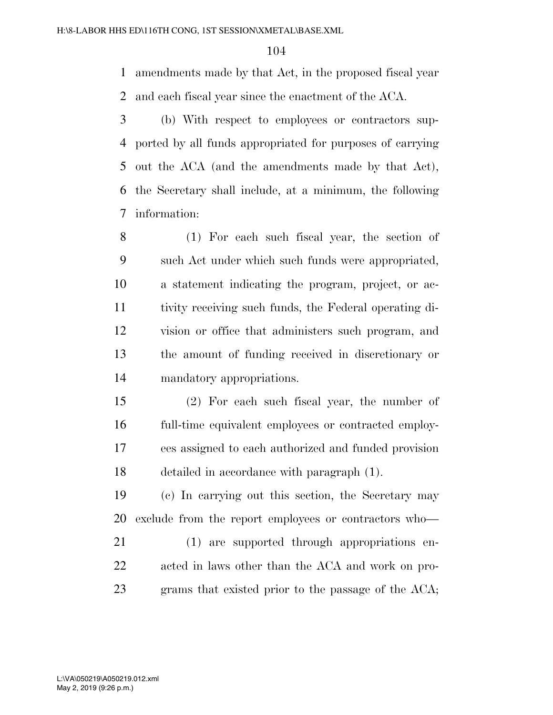amendments made by that Act, in the proposed fiscal year and each fiscal year since the enactment of the ACA.

 (b) With respect to employees or contractors sup- ported by all funds appropriated for purposes of carrying out the ACA (and the amendments made by that Act), the Secretary shall include, at a minimum, the following information:

 (1) For each such fiscal year, the section of such Act under which such funds were appropriated, a statement indicating the program, project, or ac- tivity receiving such funds, the Federal operating di- vision or office that administers such program, and the amount of funding received in discretionary or mandatory appropriations.

 (2) For each such fiscal year, the number of full-time equivalent employees or contracted employ- ees assigned to each authorized and funded provision detailed in accordance with paragraph (1).

 (c) In carrying out this section, the Secretary may exclude from the report employees or contractors who—

 (1) are supported through appropriations en- acted in laws other than the ACA and work on pro-grams that existed prior to the passage of the ACA;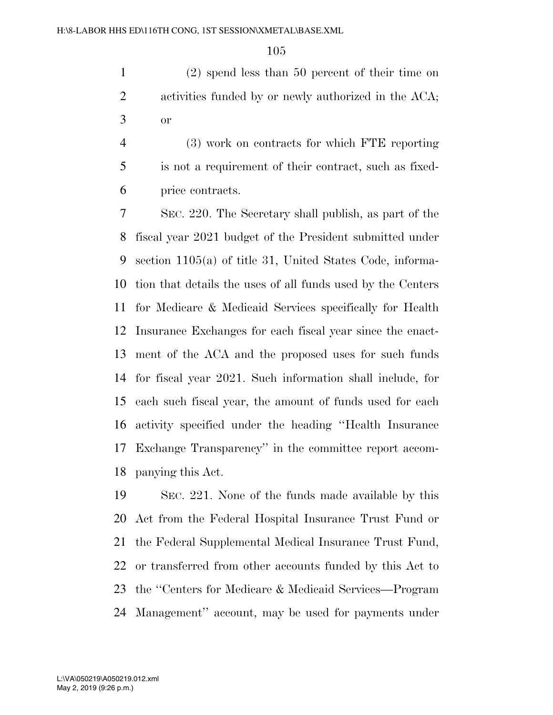(2) spend less than 50 percent of their time on activities funded by or newly authorized in the ACA; or

 (3) work on contracts for which FTE reporting is not a requirement of their contract, such as fixed-price contracts.

 SEC. 220. The Secretary shall publish, as part of the fiscal year 2021 budget of the President submitted under section 1105(a) of title 31, United States Code, informa- tion that details the uses of all funds used by the Centers for Medicare & Medicaid Services specifically for Health Insurance Exchanges for each fiscal year since the enact- ment of the ACA and the proposed uses for such funds for fiscal year 2021. Such information shall include, for each such fiscal year, the amount of funds used for each activity specified under the heading ''Health Insurance Exchange Transparency'' in the committee report accom-panying this Act.

 SEC. 221. None of the funds made available by this Act from the Federal Hospital Insurance Trust Fund or the Federal Supplemental Medical Insurance Trust Fund, or transferred from other accounts funded by this Act to the ''Centers for Medicare & Medicaid Services—Program Management'' account, may be used for payments under

May 2, 2019 (9:26 p.m.) L:\VA\050219\A050219.012.xml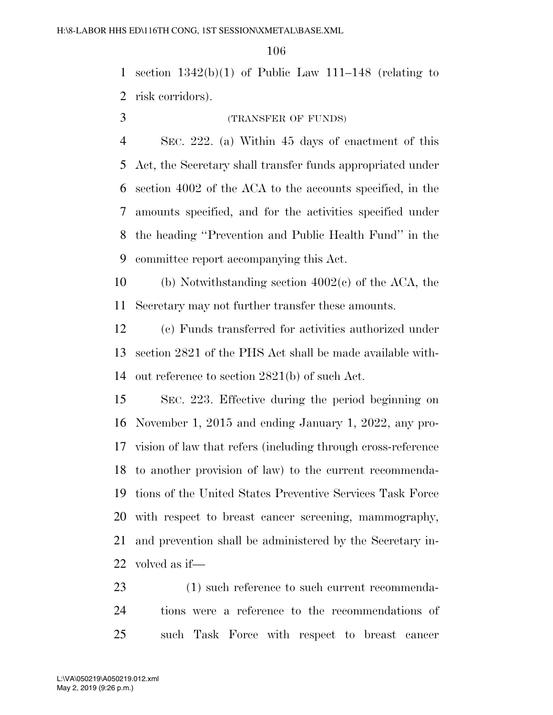section 1342(b)(1) of Public Law 111–148 (relating to risk corridors).

## (TRANSFER OF FUNDS)

 SEC. 222. (a) Within 45 days of enactment of this Act, the Secretary shall transfer funds appropriated under section 4002 of the ACA to the accounts specified, in the amounts specified, and for the activities specified under the heading ''Prevention and Public Health Fund'' in the committee report accompanying this Act.

 (b) Notwithstanding section 4002(c) of the ACA, the Secretary may not further transfer these amounts.

 (c) Funds transferred for activities authorized under section 2821 of the PHS Act shall be made available with-out reference to section 2821(b) of such Act.

 SEC. 223. Effective during the period beginning on November 1, 2015 and ending January 1, 2022, any pro- vision of law that refers (including through cross-reference to another provision of law) to the current recommenda- tions of the United States Preventive Services Task Force with respect to breast cancer screening, mammography, and prevention shall be administered by the Secretary in-volved as if—

 (1) such reference to such current recommenda- tions were a reference to the recommendations of such Task Force with respect to breast cancer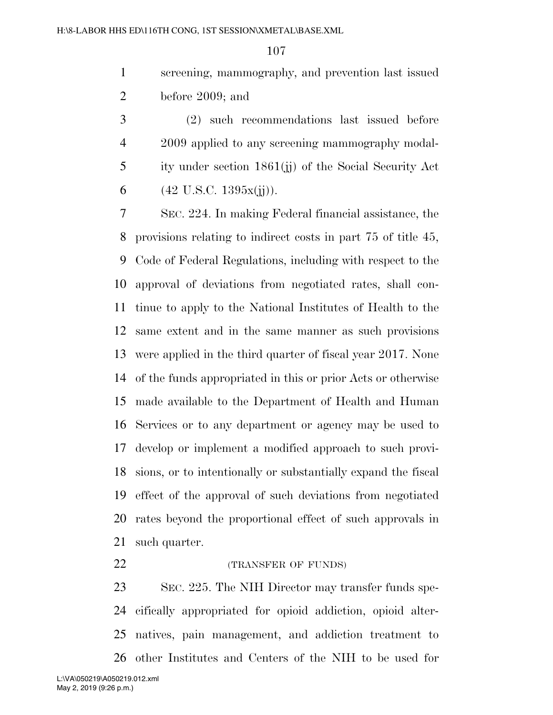screening, mammography, and prevention last issued before 2009; and

 (2) such recommendations last issued before 2009 applied to any screening mammography modal- ity under section 1861(jj) of the Social Security Act  $(42 \text{ U.S.C. } 1395x(ij)).$ 

 SEC. 224. In making Federal financial assistance, the provisions relating to indirect costs in part 75 of title 45, Code of Federal Regulations, including with respect to the approval of deviations from negotiated rates, shall con- tinue to apply to the National Institutes of Health to the same extent and in the same manner as such provisions were applied in the third quarter of fiscal year 2017. None of the funds appropriated in this or prior Acts or otherwise made available to the Department of Health and Human Services or to any department or agency may be used to develop or implement a modified approach to such provi- sions, or to intentionally or substantially expand the fiscal effect of the approval of such deviations from negotiated rates beyond the proportional effect of such approvals in such quarter.

#### 22 (TRANSFER OF FUNDS)

 SEC. 225. The NIH Director may transfer funds spe- cifically appropriated for opioid addiction, opioid alter- natives, pain management, and addiction treatment to other Institutes and Centers of the NIH to be used for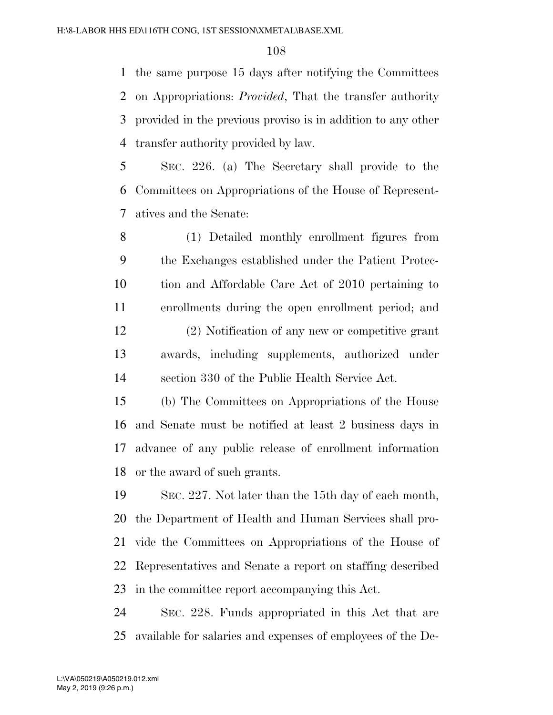the same purpose 15 days after notifying the Committees on Appropriations: *Provided*, That the transfer authority provided in the previous proviso is in addition to any other transfer authority provided by law.

 SEC. 226. (a) The Secretary shall provide to the Committees on Appropriations of the House of Represent-atives and the Senate:

 (1) Detailed monthly enrollment figures from the Exchanges established under the Patient Protec- tion and Affordable Care Act of 2010 pertaining to enrollments during the open enrollment period; and (2) Notification of any new or competitive grant awards, including supplements, authorized under section 330 of the Public Health Service Act.

 (b) The Committees on Appropriations of the House and Senate must be notified at least 2 business days in advance of any public release of enrollment information or the award of such grants.

 SEC. 227. Not later than the 15th day of each month, the Department of Health and Human Services shall pro- vide the Committees on Appropriations of the House of Representatives and Senate a report on staffing described in the committee report accompanying this Act.

 SEC. 228. Funds appropriated in this Act that are available for salaries and expenses of employees of the De-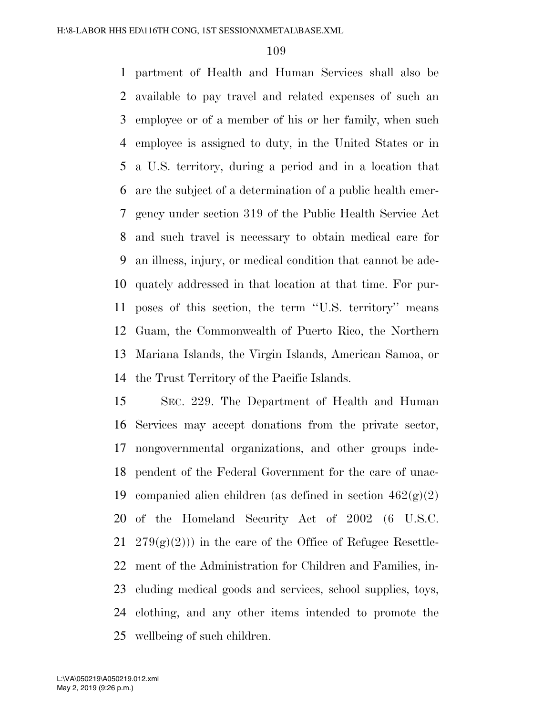partment of Health and Human Services shall also be available to pay travel and related expenses of such an employee or of a member of his or her family, when such employee is assigned to duty, in the United States or in a U.S. territory, during a period and in a location that are the subject of a determination of a public health emer- gency under section 319 of the Public Health Service Act and such travel is necessary to obtain medical care for an illness, injury, or medical condition that cannot be ade- quately addressed in that location at that time. For pur- poses of this section, the term ''U.S. territory'' means Guam, the Commonwealth of Puerto Rico, the Northern Mariana Islands, the Virgin Islands, American Samoa, or the Trust Territory of the Pacific Islands.

 SEC. 229. The Department of Health and Human Services may accept donations from the private sector, nongovernmental organizations, and other groups inde- pendent of the Federal Government for the care of unac-19 companied alien children (as defined in section  $462(g)(2)$ ) of the Homeland Security Act of 2002 (6 U.S.C. 21 279 $(g)(2)$ ) in the care of the Office of Refugee Resettle- ment of the Administration for Children and Families, in- cluding medical goods and services, school supplies, toys, clothing, and any other items intended to promote the wellbeing of such children.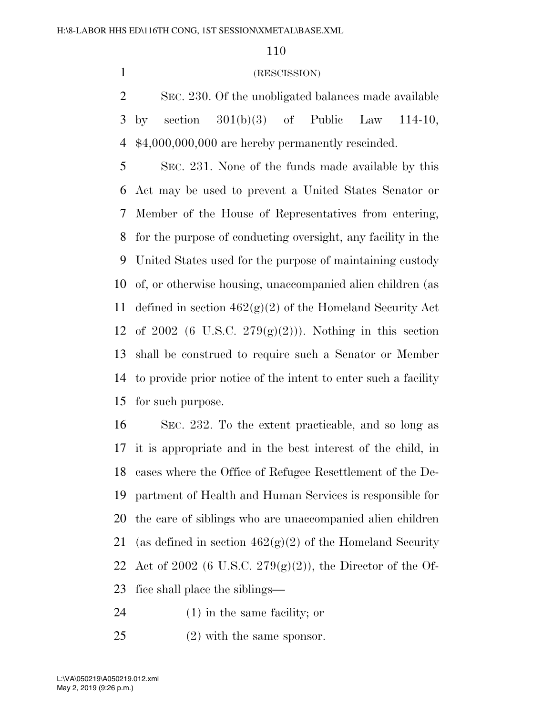## (RESCISSION)

 SEC. 230. Of the unobligated balances made available by section 301(b)(3) of Public Law 114-10, \$4,000,000,000 are hereby permanently rescinded.

 SEC. 231. None of the funds made available by this Act may be used to prevent a United States Senator or Member of the House of Representatives from entering, for the purpose of conducting oversight, any facility in the United States used for the purpose of maintaining custody of, or otherwise housing, unaccompanied alien children (as 11 defined in section  $462(g)(2)$  of the Homeland Security Act 12 of 2002 (6 U.S.C.  $279(g)(2)$ )). Nothing in this section shall be construed to require such a Senator or Member to provide prior notice of the intent to enter such a facility for such purpose.

 SEC. 232. To the extent practicable, and so long as it is appropriate and in the best interest of the child, in cases where the Office of Refugee Resettlement of the De- partment of Health and Human Services is responsible for the care of siblings who are unaccompanied alien children 21 (as defined in section  $462(g)(2)$  of the Homeland Security 22 Act of 2002 (6 U.S.C.  $279(g)(2)$ ), the Director of the Of-fice shall place the siblings—

(1) in the same facility; or

(2) with the same sponsor.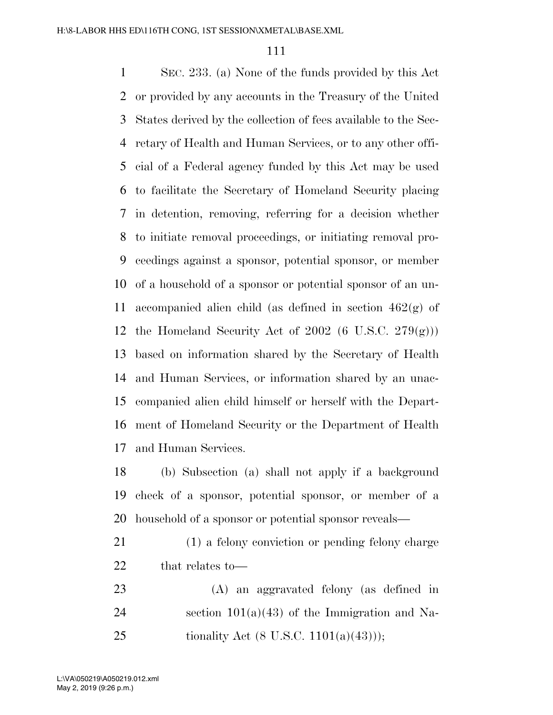SEC. 233. (a) None of the funds provided by this Act or provided by any accounts in the Treasury of the United States derived by the collection of fees available to the Sec- retary of Health and Human Services, or to any other offi- cial of a Federal agency funded by this Act may be used to facilitate the Secretary of Homeland Security placing in detention, removing, referring for a decision whether to initiate removal proceedings, or initiating removal pro- ceedings against a sponsor, potential sponsor, or member of a household of a sponsor or potential sponsor of an un- accompanied alien child (as defined in section 462(g) of 12 the Homeland Security Act of 2002  $(6 \text{ U.S.C. } 279(g)))$  based on information shared by the Secretary of Health and Human Services, or information shared by an unac- companied alien child himself or herself with the Depart- ment of Homeland Security or the Department of Health and Human Services.

 (b) Subsection (a) shall not apply if a background check of a sponsor, potential sponsor, or member of a household of a sponsor or potential sponsor reveals—

- (1) a felony conviction or pending felony charge that relates to—
- (A) an aggravated felony (as defined in 24 section  $101(a)(43)$  of the Immigration and Na-25 tionality Act  $(8 \text{ U.S.C. } 1101(a)(43))$ ;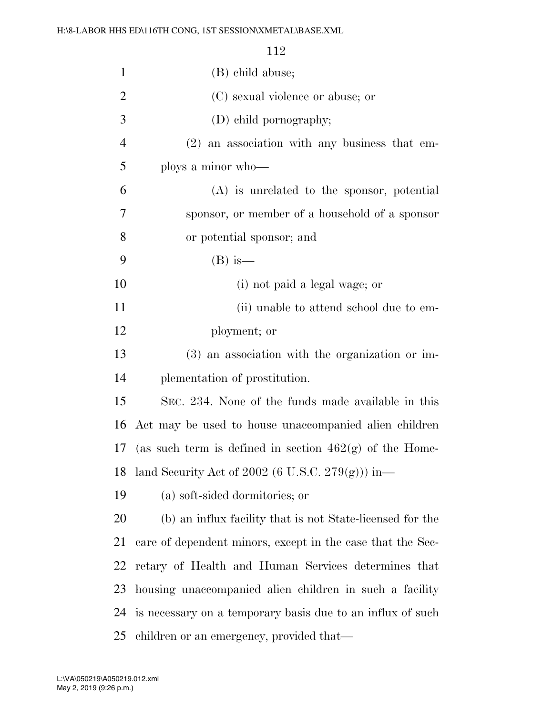| $\mathbf{1}$   | (B) child abuse;                                           |
|----------------|------------------------------------------------------------|
| $\overline{2}$ | (C) sexual violence or abuse; or                           |
| $\mathfrak{Z}$ | (D) child pornography;                                     |
| $\overline{4}$ | $(2)$ an association with any business that em-            |
| 5              | ploys a minor who—                                         |
| 6              | (A) is unrelated to the sponsor, potential                 |
| 7              | sponsor, or member of a household of a sponsor             |
| 8              | or potential sponsor; and                                  |
| 9              | $(B)$ is—                                                  |
| 10             | (i) not paid a legal wage; or                              |
| 11             | (ii) unable to attend school due to em-                    |
| 12             | ployment; or                                               |
| 13             | $(3)$ an association with the organization or im-          |
| 14             | plementation of prostitution.                              |
| 15             | SEC. 234. None of the funds made available in this         |
| 16             | Act may be used to house unaccompanied alien children      |
| 17             | (as such term is defined in section $462(g)$ of the Home-  |
|                | 18 land Security Act of 2002 (6 U.S.C. 279 $(g)$ ) in—     |
| 19             | (a) soft-sided dormitories; or                             |
| 20             | (b) an influx facility that is not State-licensed for the  |
| 21             | care of dependent minors, except in the case that the Sec- |
| 22             | retary of Health and Human Services determines that        |
| 23             | housing unaccompanied alien children in such a facility    |
| 24             | is necessary on a temporary basis due to an influx of such |
| 25             | children or an emergency, provided that—                   |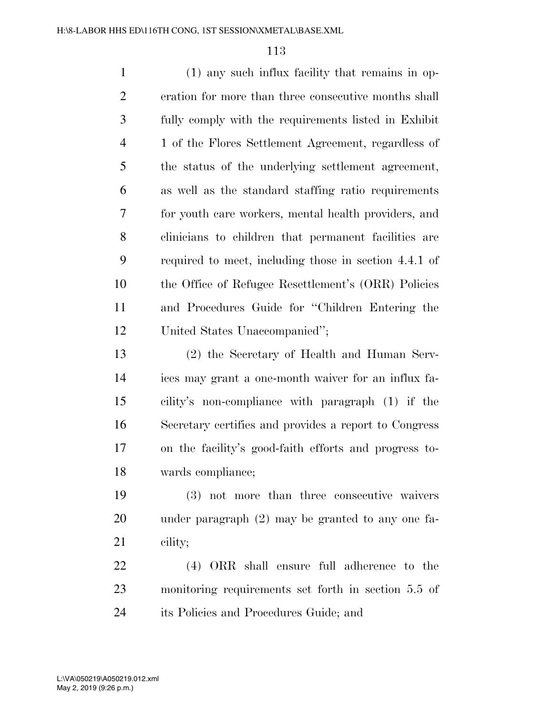(1) any such influx facility that remains in op- eration for more than three consecutive months shall fully comply with the requirements listed in Exhibit 1 of the Flores Settlement Agreement, regardless of the status of the underlying settlement agreement, as well as the standard staffing ratio requirements for youth care workers, mental health providers, and clinicians to children that permanent facilities are required to meet, including those in section 4.4.1 of the Office of Refugee Resettlement's (ORR) Policies and Procedures Guide for ''Children Entering the United States Unaccompanied'';

 (2) the Secretary of Health and Human Serv- ices may grant a one-month waiver for an influx fa- cility's non-compliance with paragraph (1) if the Secretary certifies and provides a report to Congress on the facility's good-faith efforts and progress to-wards compliance;

 (3) not more than three consecutive waivers under paragraph (2) may be granted to any one fa-cility;

 (4) ORR shall ensure full adherence to the monitoring requirements set forth in section 5.5 of its Policies and Procedures Guide; and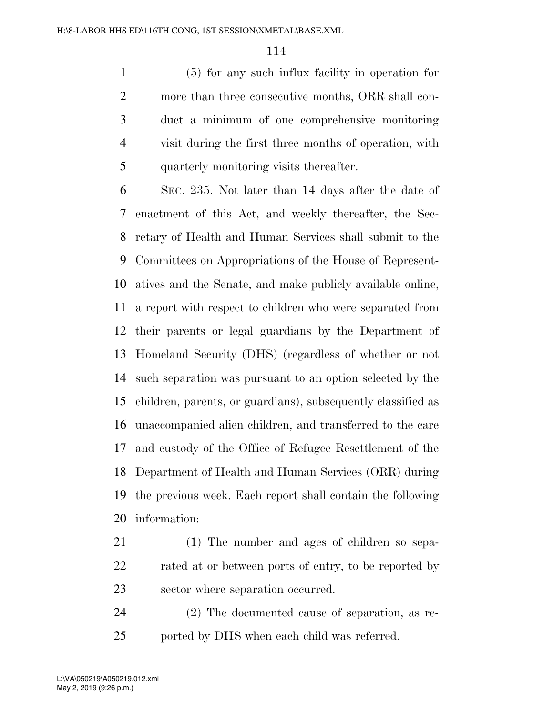(5) for any such influx facility in operation for more than three consecutive months, ORR shall con- duct a minimum of one comprehensive monitoring visit during the first three months of operation, with quarterly monitoring visits thereafter.

 SEC. 235. Not later than 14 days after the date of enactment of this Act, and weekly thereafter, the Sec- retary of Health and Human Services shall submit to the Committees on Appropriations of the House of Represent- atives and the Senate, and make publicly available online, a report with respect to children who were separated from their parents or legal guardians by the Department of Homeland Security (DHS) (regardless of whether or not such separation was pursuant to an option selected by the children, parents, or guardians), subsequently classified as unaccompanied alien children, and transferred to the care and custody of the Office of Refugee Resettlement of the Department of Health and Human Services (ORR) during the previous week. Each report shall contain the following information:

- (1) The number and ages of children so sepa-22 rated at or between ports of entry, to be reported by 23 sector where separation occurred.
- (2) The documented cause of separation, as re-ported by DHS when each child was referred.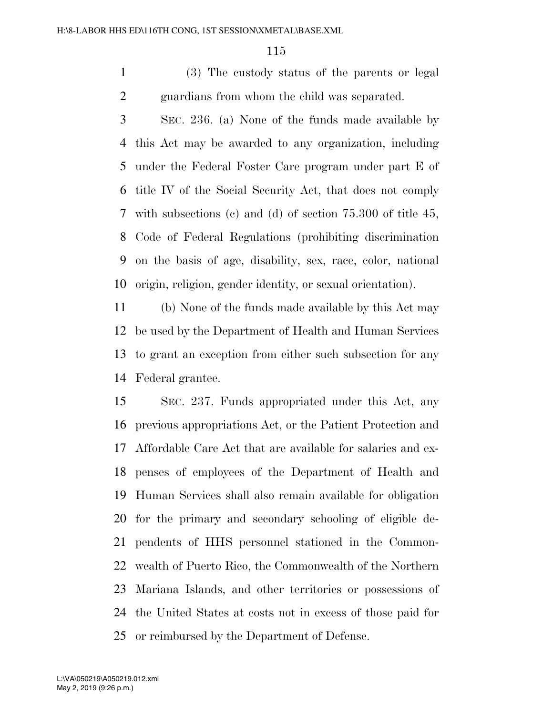(3) The custody status of the parents or legal guardians from whom the child was separated.

 SEC. 236. (a) None of the funds made available by this Act may be awarded to any organization, including under the Federal Foster Care program under part E of title IV of the Social Security Act, that does not comply with subsections (c) and (d) of section 75.300 of title 45, Code of Federal Regulations (prohibiting discrimination on the basis of age, disability, sex, race, color, national origin, religion, gender identity, or sexual orientation).

 (b) None of the funds made available by this Act may be used by the Department of Health and Human Services to grant an exception from either such subsection for any Federal grantee.

 SEC. 237. Funds appropriated under this Act, any previous appropriations Act, or the Patient Protection and Affordable Care Act that are available for salaries and ex- penses of employees of the Department of Health and Human Services shall also remain available for obligation for the primary and secondary schooling of eligible de- pendents of HHS personnel stationed in the Common- wealth of Puerto Rico, the Commonwealth of the Northern Mariana Islands, and other territories or possessions of the United States at costs not in excess of those paid for or reimbursed by the Department of Defense.

May 2, 2019 (9:26 p.m.) L:\VA\050219\A050219.012.xml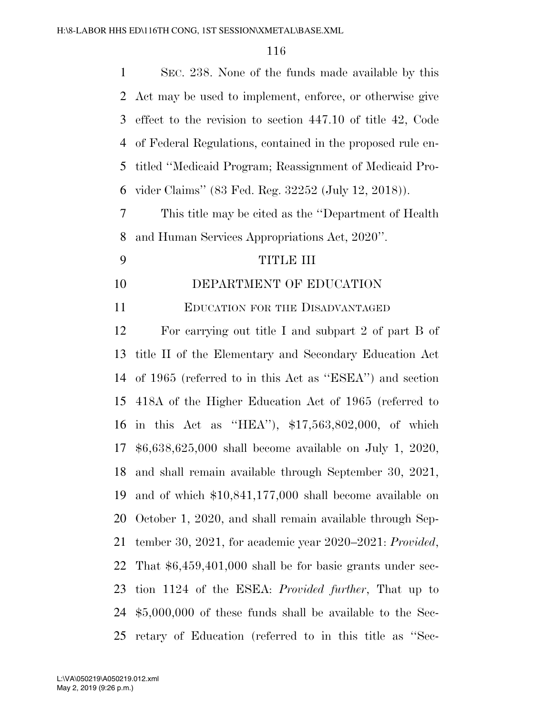| $\mathbf{1}$ | SEC. 238. None of the funds made available by this                 |
|--------------|--------------------------------------------------------------------|
| 2            | Act may be used to implement, enforce, or otherwise give           |
| 3            | effect to the revision to section $447.10$ of title $42$ , Code    |
| 4            | of Federal Regulations, contained in the proposed rule en-         |
| 5            | titled "Medicaid Program; Reassignment of Medicaid Pro-            |
| 6            | vider Claims" (83 Fed. Reg. 32252 (July 12, 2018)).                |
| $\tau$       | This title may be cited as the "Department of Health"              |
| 8            | and Human Services Appropriations Act, 2020".                      |
| 9            | TITLE III                                                          |
| 10           | DEPARTMENT OF EDUCATION                                            |
| 11           | <b>EDUCATION FOR THE DISADVANTAGED</b>                             |
| 12           | For carrying out title I and subpart 2 of part B of                |
| 13           | title II of the Elementary and Secondary Education Act             |
| 14           | of 1965 (referred to in this Act as "ESEA") and section            |
| 15           | 418A of the Higher Education Act of 1965 (referred to              |
| 16           | in this Act as "HEA"), \$17,563,802,000, of which                  |
| 17           | $$6,638,625,000$ shall become available on July 1, 2020,           |
| 18           | and shall remain available through September 30, 2021,             |
| 19           | and of which \$10,841,177,000 shall become available on            |
| 20           | October 1, 2020, and shall remain available through Sep-           |
| 21           | tember 30, 2021, for academic year $2020-2021$ : <i>Provided</i> , |
| 22           | That $$6,459,401,000$ shall be for basic grants under sec-         |
| 23           | tion 1124 of the ESEA: <i>Provided further</i> , That up to        |
| 24           | $$5,000,000$ of these funds shall be available to the Sec-         |
| 25           | retary of Education (referred to in this title as "Sec-            |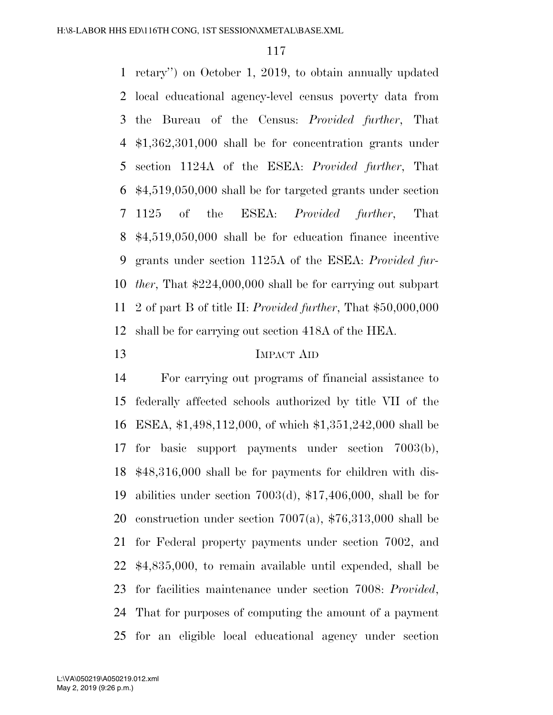retary'') on October 1, 2019, to obtain annually updated local educational agency-level census poverty data from the Bureau of the Census: *Provided further*, That \$1,362,301,000 shall be for concentration grants under section 1124A of the ESEA: *Provided further*, That \$4,519,050,000 shall be for targeted grants under section 1125 of the ESEA: *Provided further*, That \$4,519,050,000 shall be for education finance incentive grants under section 1125A of the ESEA: *Provided fur- ther*, That \$224,000,000 shall be for carrying out subpart 2 of part B of title II: *Provided further*, That \$50,000,000 shall be for carrying out section 418A of the HEA.

## IMPACT AID

 For carrying out programs of financial assistance to federally affected schools authorized by title VII of the ESEA, \$1,498,112,000, of which \$1,351,242,000 shall be for basic support payments under section 7003(b), \$48,316,000 shall be for payments for children with dis- abilities under section 7003(d), \$17,406,000, shall be for construction under section 7007(a), \$76,313,000 shall be for Federal property payments under section 7002, and \$4,835,000, to remain available until expended, shall be for facilities maintenance under section 7008: *Provided*, That for purposes of computing the amount of a payment for an eligible local educational agency under section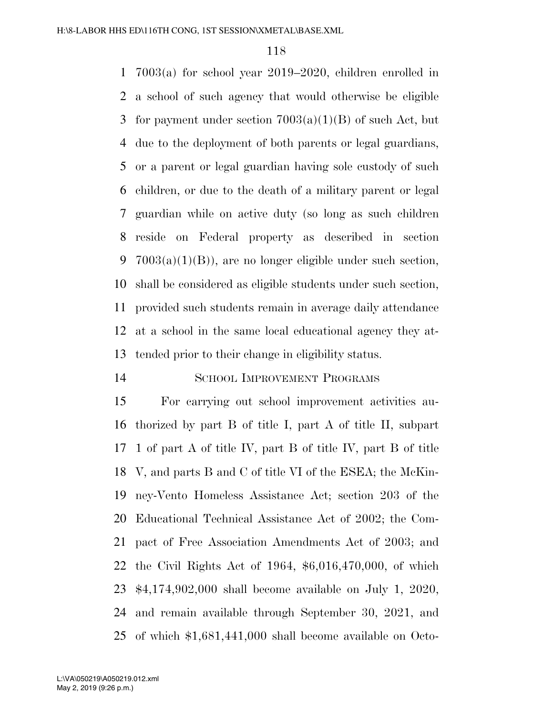7003(a) for school year 2019–2020, children enrolled in a school of such agency that would otherwise be eligible 3 for payment under section  $7003(a)(1)(B)$  of such Act, but due to the deployment of both parents or legal guardians, or a parent or legal guardian having sole custody of such children, or due to the death of a military parent or legal guardian while on active duty (so long as such children reside on Federal property as described in section  $7003(a)(1)(B)$ , are no longer eligible under such section, shall be considered as eligible students under such section, provided such students remain in average daily attendance at a school in the same local educational agency they at-tended prior to their change in eligibility status.

## SCHOOL IMPROVEMENT PROGRAMS

 For carrying out school improvement activities au- thorized by part B of title I, part A of title II, subpart 1 of part A of title IV, part B of title IV, part B of title V, and parts B and C of title VI of the ESEA; the McKin- ney-Vento Homeless Assistance Act; section 203 of the Educational Technical Assistance Act of 2002; the Com- pact of Free Association Amendments Act of 2003; and the Civil Rights Act of 1964, \$6,016,470,000, of which \$4,174,902,000 shall become available on July 1, 2020, and remain available through September 30, 2021, and of which \$1,681,441,000 shall become available on Octo-

May 2, 2019 (9:26 p.m.) L:\VA\050219\A050219.012.xml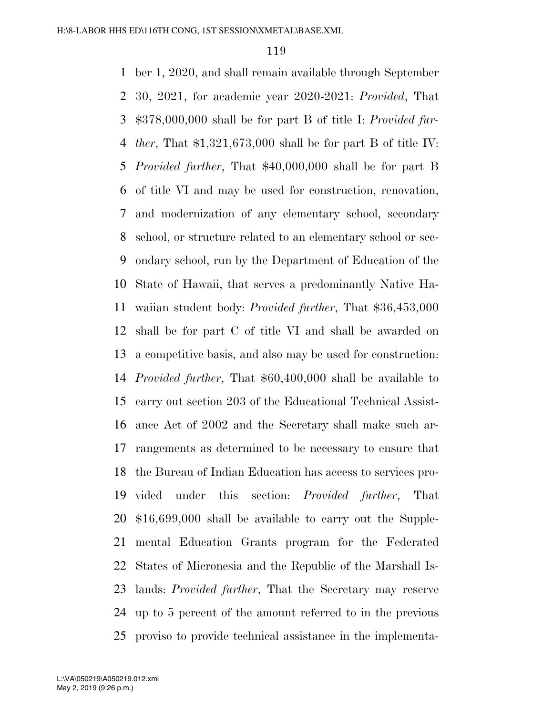ber 1, 2020, and shall remain available through September 30, 2021, for academic year 2020-2021: *Provided*, That \$378,000,000 shall be for part B of title I: *Provided fur- ther*, That \$1,321,673,000 shall be for part B of title IV: *Provided further*, That \$40,000,000 shall be for part B of title VI and may be used for construction, renovation, and modernization of any elementary school, secondary school, or structure related to an elementary school or sec- ondary school, run by the Department of Education of the State of Hawaii, that serves a predominantly Native Ha- waiian student body: *Provided further*, That \$36,453,000 shall be for part C of title VI and shall be awarded on a competitive basis, and also may be used for construction: *Provided further*, That \$60,400,000 shall be available to carry out section 203 of the Educational Technical Assist- ance Act of 2002 and the Secretary shall make such ar- rangements as determined to be necessary to ensure that the Bureau of Indian Education has access to services pro- vided under this section: *Provided further*, That \$16,699,000 shall be available to carry out the Supple- mental Education Grants program for the Federated States of Micronesia and the Republic of the Marshall Is- lands: *Provided further*, That the Secretary may reserve up to 5 percent of the amount referred to in the previous proviso to provide technical assistance in the implementa-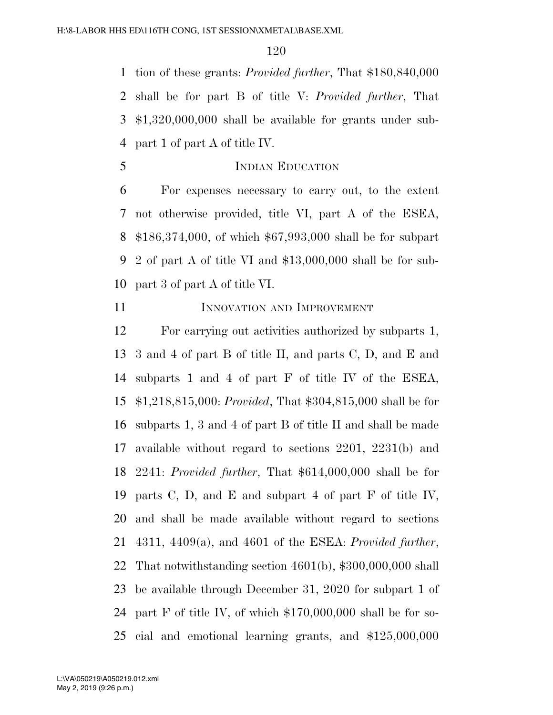tion of these grants: *Provided further*, That \$180,840,000 shall be for part B of title V: *Provided further*, That \$1,320,000,000 shall be available for grants under sub-part 1 of part A of title IV.

INDIAN EDUCATION

 For expenses necessary to carry out, to the extent not otherwise provided, title VI, part A of the ESEA, \$186,374,000, of which \$67,993,000 shall be for subpart 2 of part A of title VI and \$13,000,000 shall be for sub-part 3 of part A of title VI.

**INNOVATION AND IMPROVEMENT** 

 For carrying out activities authorized by subparts 1, 3 and 4 of part B of title II, and parts C, D, and E and subparts 1 and 4 of part F of title IV of the ESEA, \$1,218,815,000: *Provided*, That \$304,815,000 shall be for subparts 1, 3 and 4 of part B of title II and shall be made available without regard to sections 2201, 2231(b) and 2241: *Provided further*, That \$614,000,000 shall be for parts C, D, and E and subpart 4 of part F of title IV, and shall be made available without regard to sections 4311, 4409(a), and 4601 of the ESEA: *Provided further*, That notwithstanding section 4601(b), \$300,000,000 shall be available through December 31, 2020 for subpart 1 of part F of title IV, of which \$170,000,000 shall be for so-cial and emotional learning grants, and \$125,000,000

May 2, 2019 (9:26 p.m.) L:\VA\050219\A050219.012.xml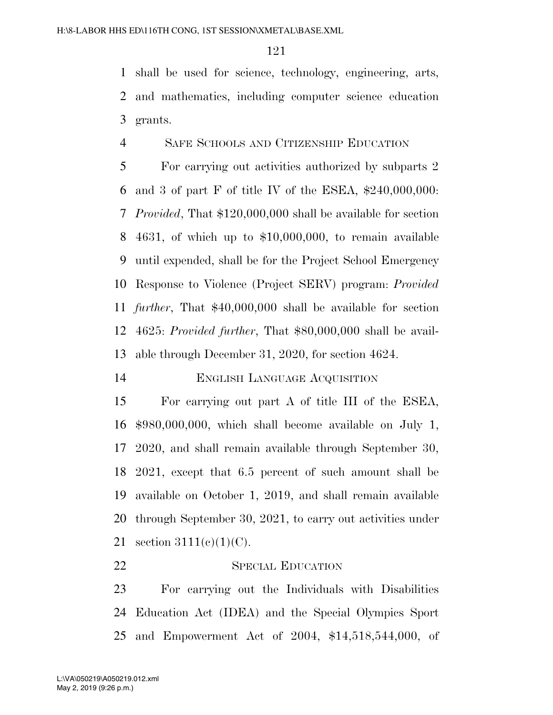shall be used for science, technology, engineering, arts, and mathematics, including computer science education grants.

## SAFE SCHOOLS AND CITIZENSHIP EDUCATION

 For carrying out activities authorized by subparts 2 6 and 3 of part F of title IV of the ESEA,  $$240,000,000$ : *Provided*, That \$120,000,000 shall be available for section 4631, of which up to \$10,000,000, to remain available until expended, shall be for the Project School Emergency Response to Violence (Project SERV) program: *Provided further*, That \$40,000,000 shall be available for section 4625: *Provided further*, That \$80,000,000 shall be avail-able through December 31, 2020, for section 4624.

## ENGLISH LANGUAGE ACQUISITION

 For carrying out part A of title III of the ESEA, \$980,000,000, which shall become available on July 1, 2020, and shall remain available through September 30, 2021, except that 6.5 percent of such amount shall be available on October 1, 2019, and shall remain available through September 30, 2021, to carry out activities under 21 section  $3111(e)(1)(C)$ .

### SPECIAL EDUCATION

 For carrying out the Individuals with Disabilities Education Act (IDEA) and the Special Olympics Sport and Empowerment Act of 2004, \$14,518,544,000, of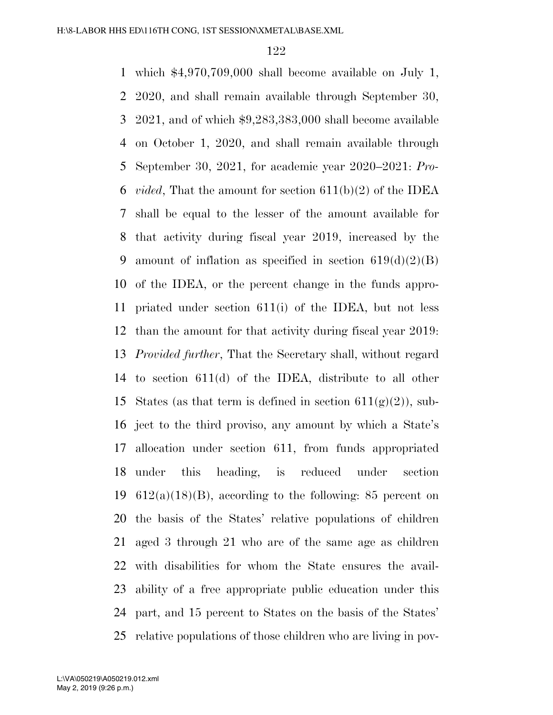which \$4,970,709,000 shall become available on July 1, 2020, and shall remain available through September 30, 2021, and of which \$9,283,383,000 shall become available on October 1, 2020, and shall remain available through September 30, 2021, for academic year 2020–2021: *Pro- vided*, That the amount for section 611(b)(2) of the IDEA shall be equal to the lesser of the amount available for that activity during fiscal year 2019, increased by the 9 amount of inflation as specified in section  $619(d)(2)(B)$  of the IDEA, or the percent change in the funds appro- priated under section 611(i) of the IDEA, but not less than the amount for that activity during fiscal year 2019: *Provided further*, That the Secretary shall, without regard to section 611(d) of the IDEA, distribute to all other 15 States (as that term is defined in section  $611(g)(2)$ ), sub- ject to the third proviso, any amount by which a State's allocation under section 611, from funds appropriated under this heading, is reduced under section  $612(a)(18)(B)$ , according to the following: 85 percent on the basis of the States' relative populations of children aged 3 through 21 who are of the same age as children with disabilities for whom the State ensures the avail- ability of a free appropriate public education under this part, and 15 percent to States on the basis of the States' relative populations of those children who are living in pov-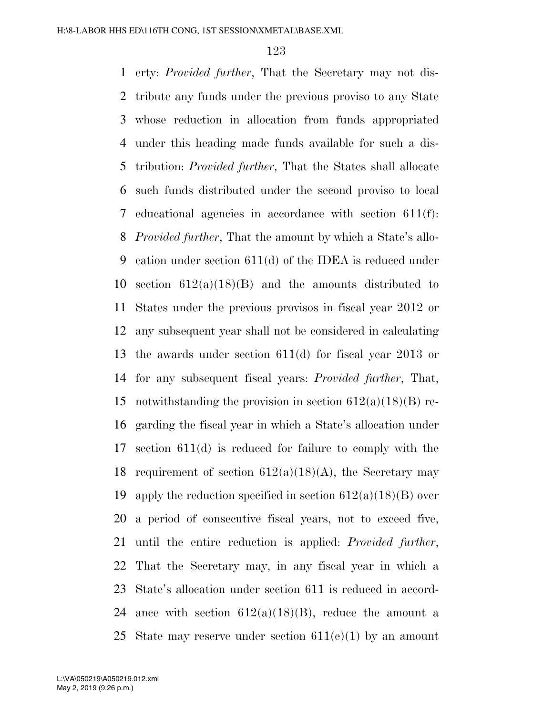erty: *Provided further*, That the Secretary may not dis- tribute any funds under the previous proviso to any State whose reduction in allocation from funds appropriated under this heading made funds available for such a dis- tribution: *Provided further*, That the States shall allocate such funds distributed under the second proviso to local educational agencies in accordance with section 611(f): *Provided further*, That the amount by which a State's allo- cation under section 611(d) of the IDEA is reduced under 10 section  $612(a)(18)(B)$  and the amounts distributed to States under the previous provisos in fiscal year 2012 or any subsequent year shall not be considered in calculating the awards under section 611(d) for fiscal year 2013 or for any subsequent fiscal years: *Provided further*, That, 15 notwithstanding the provision in section  $612(a)(18)(B)$  re- garding the fiscal year in which a State's allocation under section 611(d) is reduced for failure to comply with the 18 requirement of section  $612(a)(18)(A)$ , the Secretary may 19 apply the reduction specified in section  $612(a)(18)(B)$  over a period of consecutive fiscal years, not to exceed five, until the entire reduction is applied: *Provided further*, That the Secretary may, in any fiscal year in which a State's allocation under section 611 is reduced in accord-24 ance with section  $612(a)(18)(B)$ , reduce the amount a 25 State may reserve under section  $611(e)(1)$  by an amount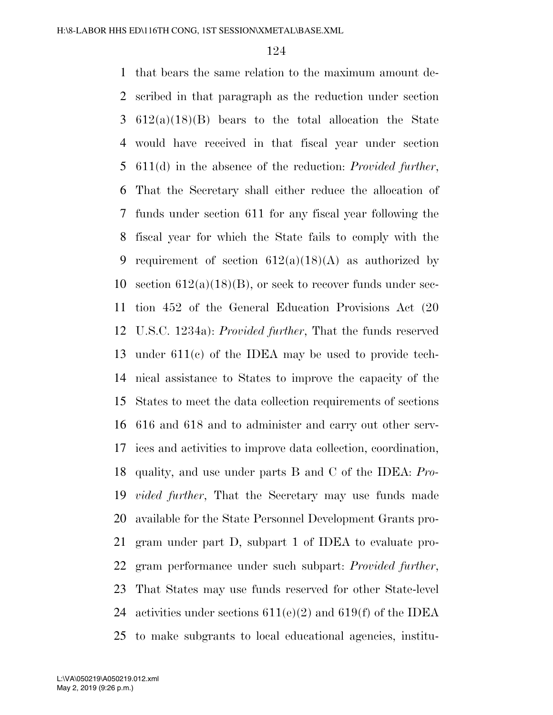that bears the same relation to the maximum amount de- scribed in that paragraph as the reduction under section 612(a)(18)(B) bears to the total allocation the State would have received in that fiscal year under section 611(d) in the absence of the reduction: *Provided further*, That the Secretary shall either reduce the allocation of funds under section 611 for any fiscal year following the fiscal year for which the State fails to comply with the 9 requirement of section  $612(a)(18)(A)$  as authorized by 10 section  $612(a)(18)(B)$ , or seek to recover funds under sec- tion 452 of the General Education Provisions Act (20 U.S.C. 1234a): *Provided further*, That the funds reserved under 611(c) of the IDEA may be used to provide tech- nical assistance to States to improve the capacity of the States to meet the data collection requirements of sections 616 and 618 and to administer and carry out other serv- ices and activities to improve data collection, coordination, quality, and use under parts B and C of the IDEA: *Pro- vided further*, That the Secretary may use funds made available for the State Personnel Development Grants pro- gram under part D, subpart 1 of IDEA to evaluate pro- gram performance under such subpart: *Provided further*, That States may use funds reserved for other State-level 24 activities under sections  $611(e)(2)$  and  $619(f)$  of the IDEA to make subgrants to local educational agencies, institu-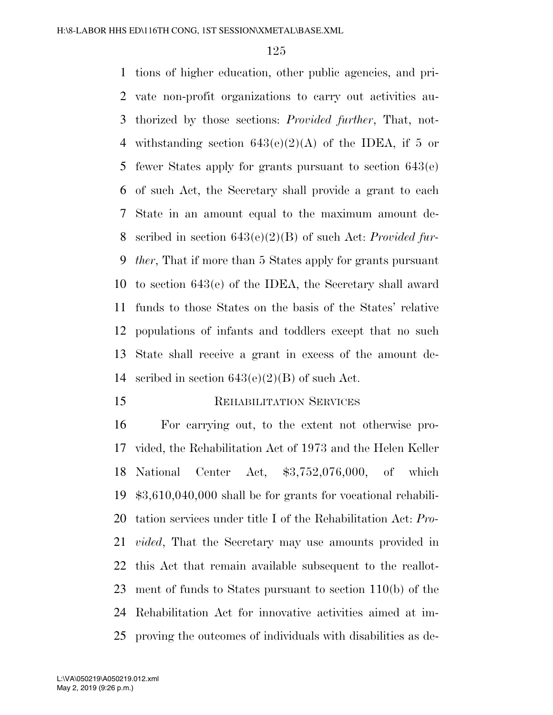tions of higher education, other public agencies, and pri- vate non-profit organizations to carry out activities au- thorized by those sections: *Provided further*, That, not-4 withstanding section  $643(e)(2)(A)$  of the IDEA, if 5 or fewer States apply for grants pursuant to section 643(e) of such Act, the Secretary shall provide a grant to each State in an amount equal to the maximum amount de- scribed in section 643(e)(2)(B) of such Act: *Provided fur- ther*, That if more than 5 States apply for grants pursuant to section 643(e) of the IDEA, the Secretary shall award funds to those States on the basis of the States' relative populations of infants and toddlers except that no such State shall receive a grant in excess of the amount de-14 scribed in section  $643(e)(2)(B)$  of such Act.

15 REHABILITATION SERVICES

 For carrying out, to the extent not otherwise pro- vided, the Rehabilitation Act of 1973 and the Helen Keller National Center Act, \$3,752,076,000, of which \$3,610,040,000 shall be for grants for vocational rehabili- tation services under title I of the Rehabilitation Act: *Pro- vided*, That the Secretary may use amounts provided in this Act that remain available subsequent to the reallot- ment of funds to States pursuant to section 110(b) of the Rehabilitation Act for innovative activities aimed at im-proving the outcomes of individuals with disabilities as de-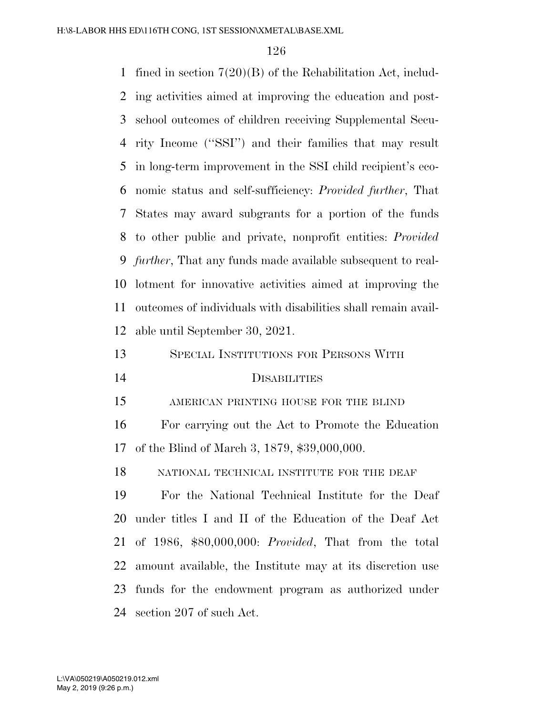fined in section 7(20)(B) of the Rehabilitation Act, includ- ing activities aimed at improving the education and post- school outcomes of children receiving Supplemental Secu- rity Income (''SSI'') and their families that may result in long-term improvement in the SSI child recipient's eco- nomic status and self-sufficiency: *Provided further*, That States may award subgrants for a portion of the funds to other public and private, nonprofit entities: *Provided further*, That any funds made available subsequent to real- lotment for innovative activities aimed at improving the outcomes of individuals with disabilities shall remain avail- able until September 30, 2021. SPECIAL INSTITUTIONS FOR PERSONS WITH DISABILITIES AMERICAN PRINTING HOUSE FOR THE BLIND For carrying out the Act to Promote the Education of the Blind of March 3, 1879, \$39,000,000. NATIONAL TECHNICAL INSTITUTE FOR THE DEAF For the National Technical Institute for the Deaf

 under titles I and II of the Education of the Deaf Act of 1986, \$80,000,000: *Provided*, That from the total amount available, the Institute may at its discretion use funds for the endowment program as authorized under section 207 of such Act.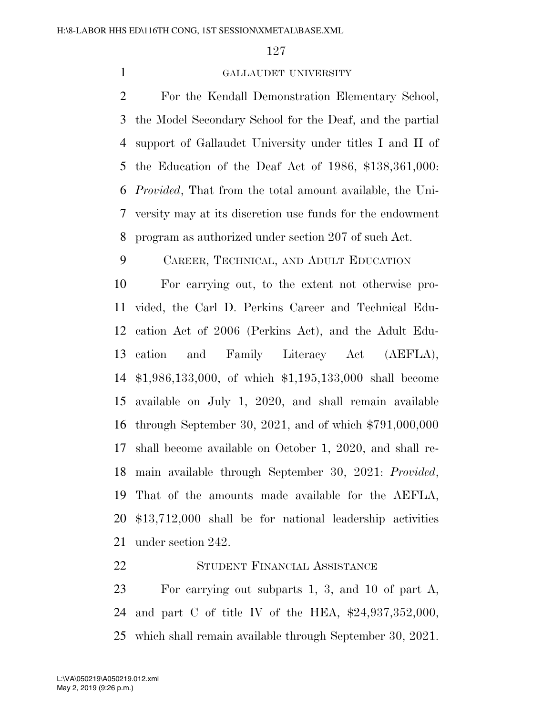## GALLAUDET UNIVERSITY

 For the Kendall Demonstration Elementary School, the Model Secondary School for the Deaf, and the partial support of Gallaudet University under titles I and II of the Education of the Deaf Act of 1986, \$138,361,000: *Provided*, That from the total amount available, the Uni- versity may at its discretion use funds for the endowment program as authorized under section 207 of such Act.

# CAREER, TECHNICAL, AND ADULT EDUCATION

 For carrying out, to the extent not otherwise pro- vided, the Carl D. Perkins Career and Technical Edu- cation Act of 2006 (Perkins Act), and the Adult Edu- cation and Family Literacy Act (AEFLA), \$1,986,133,000, of which \$1,195,133,000 shall become available on July 1, 2020, and shall remain available through September 30, 2021, and of which \$791,000,000 shall become available on October 1, 2020, and shall re- main available through September 30, 2021: *Provided*, That of the amounts made available for the AEFLA, \$13,712,000 shall be for national leadership activities under section 242.

STUDENT FINANCIAL ASSISTANCE

 For carrying out subparts 1, 3, and 10 of part A, and part C of title IV of the HEA, \$24,937,352,000, which shall remain available through September 30, 2021.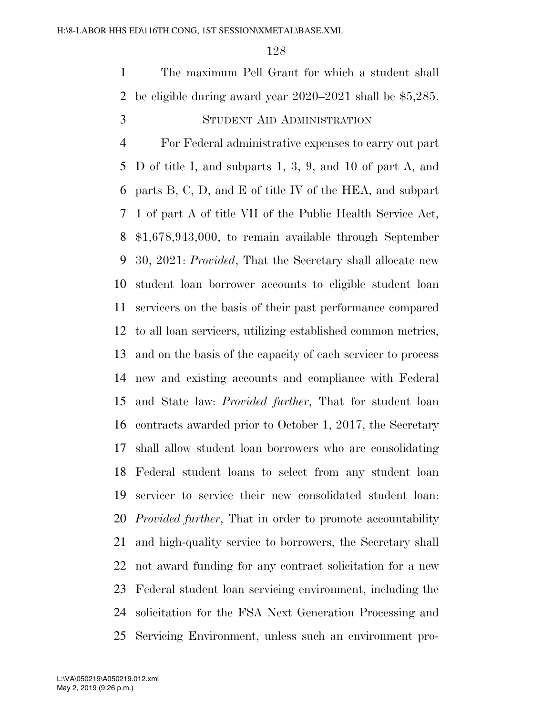The maximum Pell Grant for which a student shall be eligible during award year 2020–2021 shall be \$5,285. STUDENT AID ADMINISTRATION

 For Federal administrative expenses to carry out part D of title I, and subparts 1, 3, 9, and 10 of part A, and parts B, C, D, and E of title IV of the HEA, and subpart 1 of part A of title VII of the Public Health Service Act, \$1,678,943,000, to remain available through September 30, 2021: *Provided*, That the Secretary shall allocate new student loan borrower accounts to eligible student loan servicers on the basis of their past performance compared to all loan servicers, utilizing established common metrics, and on the basis of the capacity of each servicer to process new and existing accounts and compliance with Federal and State law: *Provided further*, That for student loan contracts awarded prior to October 1, 2017, the Secretary shall allow student loan borrowers who are consolidating Federal student loans to select from any student loan servicer to service their new consolidated student loan: *Provided further*, That in order to promote accountability and high-quality service to borrowers, the Secretary shall not award funding for any contract solicitation for a new Federal student loan servicing environment, including the solicitation for the FSA Next Generation Processing and Servicing Environment, unless such an environment pro-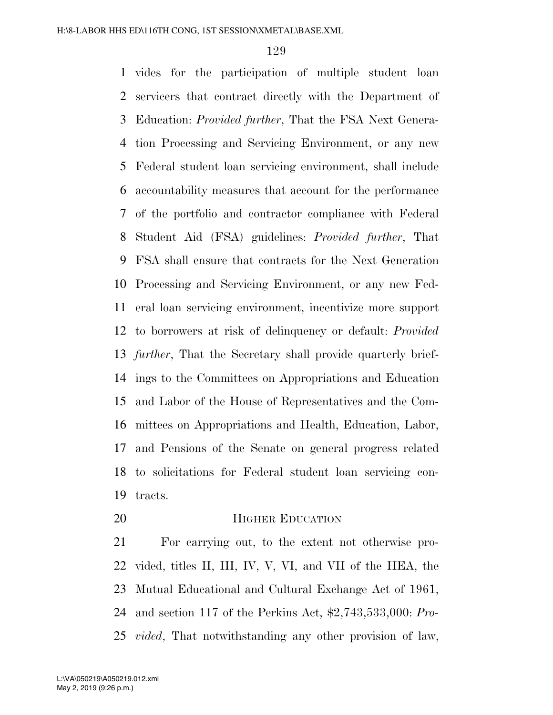vides for the participation of multiple student loan servicers that contract directly with the Department of Education: *Provided further*, That the FSA Next Genera- tion Processing and Servicing Environment, or any new Federal student loan servicing environment, shall include accountability measures that account for the performance of the portfolio and contractor compliance with Federal Student Aid (FSA) guidelines: *Provided further*, That FSA shall ensure that contracts for the Next Generation Processing and Servicing Environment, or any new Fed- eral loan servicing environment, incentivize more support to borrowers at risk of delinquency or default: *Provided further*, That the Secretary shall provide quarterly brief- ings to the Committees on Appropriations and Education and Labor of the House of Representatives and the Com- mittees on Appropriations and Health, Education, Labor, and Pensions of the Senate on general progress related to solicitations for Federal student loan servicing con-tracts.

**HIGHER EDUCATION** 

 For carrying out, to the extent not otherwise pro- vided, titles II, III, IV, V, VI, and VII of the HEA, the Mutual Educational and Cultural Exchange Act of 1961, and section 117 of the Perkins Act, \$2,743,533,000: *Pro-vided*, That notwithstanding any other provision of law,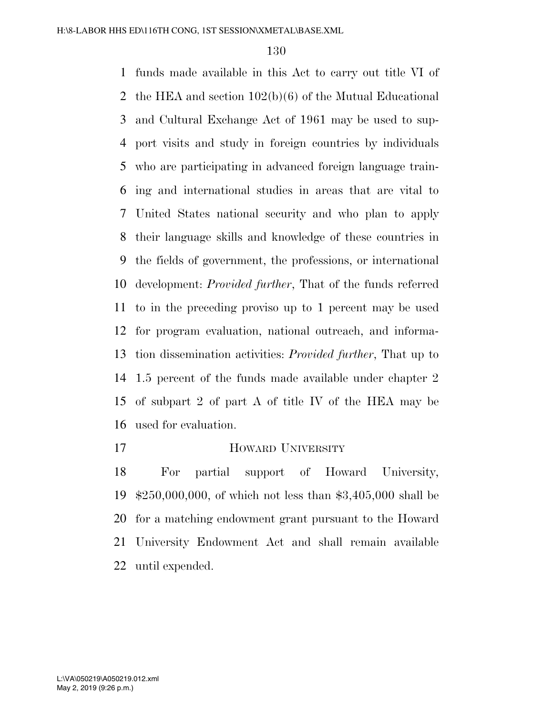funds made available in this Act to carry out title VI of the HEA and section 102(b)(6) of the Mutual Educational and Cultural Exchange Act of 1961 may be used to sup- port visits and study in foreign countries by individuals who are participating in advanced foreign language train- ing and international studies in areas that are vital to United States national security and who plan to apply their language skills and knowledge of these countries in the fields of government, the professions, or international development: *Provided further*, That of the funds referred to in the preceding proviso up to 1 percent may be used for program evaluation, national outreach, and informa- tion dissemination activities: *Provided further*, That up to 1.5 percent of the funds made available under chapter 2 of subpart 2 of part A of title IV of the HEA may be used for evaluation.

#### **HOWARD UNIVERSITY**

 For partial support of Howard University, \$250,000,000, of which not less than \$3,405,000 shall be for a matching endowment grant pursuant to the Howard University Endowment Act and shall remain available until expended.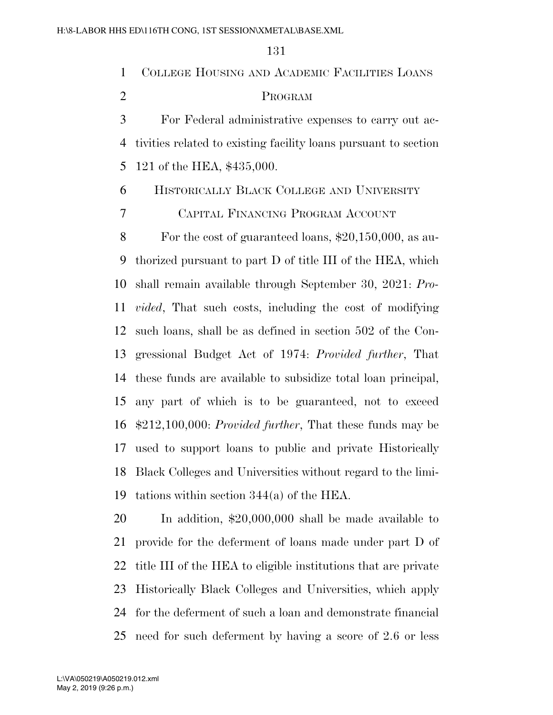COLLEGE HOUSING AND ACADEMIC FACILITIES LOANS PROGRAM For Federal administrative expenses to carry out ac- tivities related to existing facility loans pursuant to section 121 of the HEA, \$435,000. HISTORICALLY BLACK COLLEGE AND UNIVERSITY CAPITAL FINANCING PROGRAM ACCOUNT For the cost of guaranteed loans, \$20,150,000, as au- thorized pursuant to part D of title III of the HEA, which shall remain available through September 30, 2021: *Pro- vided*, That such costs, including the cost of modifying such loans, shall be as defined in section 502 of the Con- gressional Budget Act of 1974: *Provided further*, That these funds are available to subsidize total loan principal, any part of which is to be guaranteed, not to exceed \$212,100,000: *Provided further*, That these funds may be used to support loans to public and private Historically Black Colleges and Universities without regard to the limi-tations within section 344(a) of the HEA.

 In addition, \$20,000,000 shall be made available to provide for the deferment of loans made under part D of title III of the HEA to eligible institutions that are private Historically Black Colleges and Universities, which apply for the deferment of such a loan and demonstrate financial need for such deferment by having a score of 2.6 or less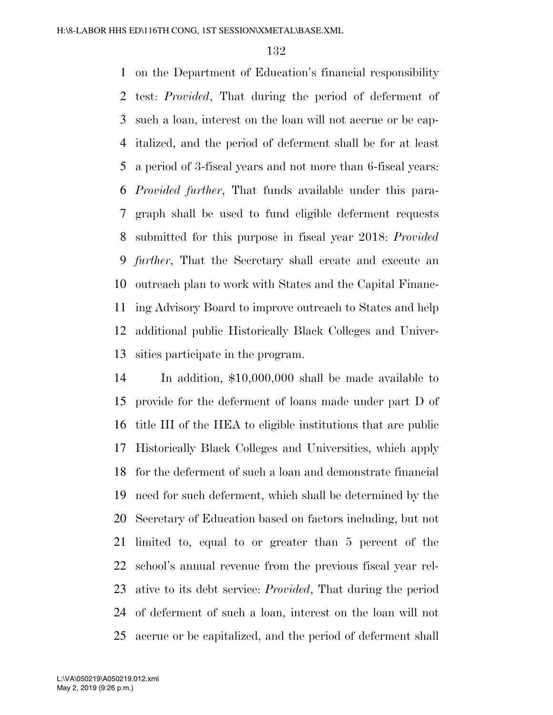on the Department of Education's financial responsibility test: *Provided*, That during the period of deferment of such a loan, interest on the loan will not accrue or be cap- italized, and the period of deferment shall be for at least a period of 3-fiscal years and not more than 6-fiscal years: *Provided further*, That funds available under this para- graph shall be used to fund eligible deferment requests submitted for this purpose in fiscal year 2018: *Provided further*, That the Secretary shall create and execute an outreach plan to work with States and the Capital Financ- ing Advisory Board to improve outreach to States and help additional public Historically Black Colleges and Univer-sities participate in the program.

 In addition, \$10,000,000 shall be made available to provide for the deferment of loans made under part D of title III of the HEA to eligible institutions that are public Historically Black Colleges and Universities, which apply for the deferment of such a loan and demonstrate financial need for such deferment, which shall be determined by the Secretary of Education based on factors including, but not limited to, equal to or greater than 5 percent of the school's annual revenue from the previous fiscal year rel- ative to its debt service: *Provided*, That during the period of deferment of such a loan, interest on the loan will not accrue or be capitalized, and the period of deferment shall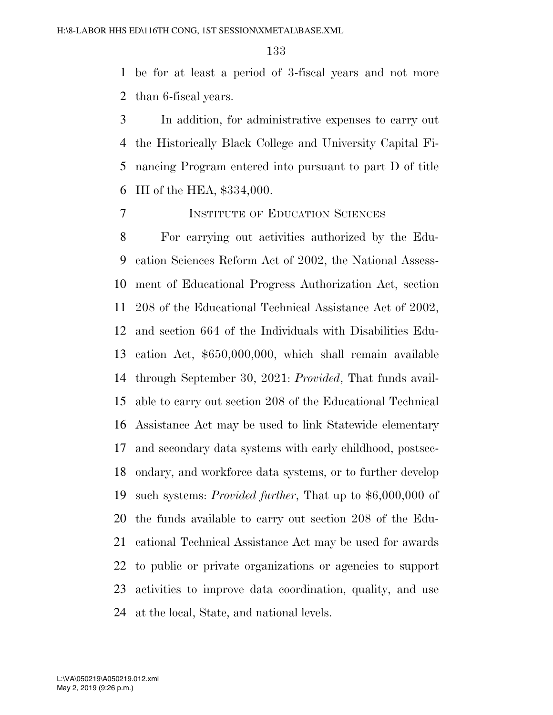be for at least a period of 3-fiscal years and not more than 6-fiscal years.

 In addition, for administrative expenses to carry out the Historically Black College and University Capital Fi- nancing Program entered into pursuant to part D of title III of the HEA, \$334,000.

### INSTITUTE OF EDUCATION SCIENCES

 For carrying out activities authorized by the Edu- cation Sciences Reform Act of 2002, the National Assess- ment of Educational Progress Authorization Act, section 208 of the Educational Technical Assistance Act of 2002, and section 664 of the Individuals with Disabilities Edu- cation Act, \$650,000,000, which shall remain available through September 30, 2021: *Provided*, That funds avail- able to carry out section 208 of the Educational Technical Assistance Act may be used to link Statewide elementary and secondary data systems with early childhood, postsec- ondary, and workforce data systems, or to further develop such systems: *Provided further*, That up to \$6,000,000 of the funds available to carry out section 208 of the Edu- cational Technical Assistance Act may be used for awards to public or private organizations or agencies to support activities to improve data coordination, quality, and use at the local, State, and national levels.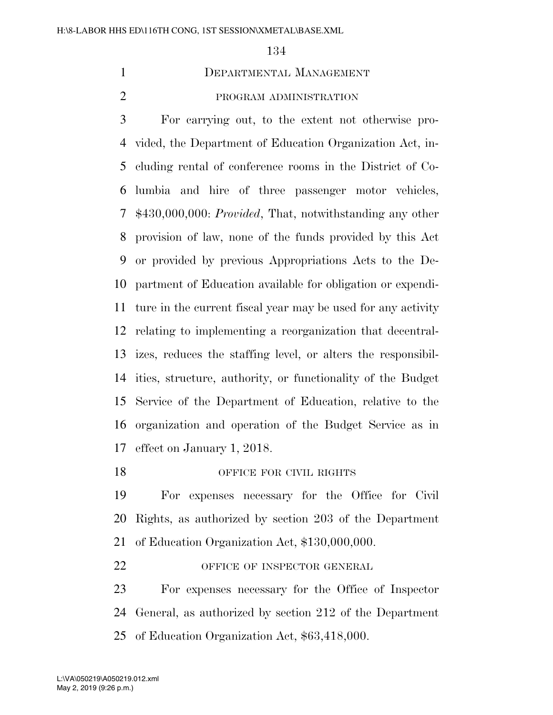## DEPARTMENTAL MANAGEMENT

# PROGRAM ADMINISTRATION

 For carrying out, to the extent not otherwise pro- vided, the Department of Education Organization Act, in- cluding rental of conference rooms in the District of Co- lumbia and hire of three passenger motor vehicles, \$430,000,000: *Provided*, That, notwithstanding any other provision of law, none of the funds provided by this Act or provided by previous Appropriations Acts to the De- partment of Education available for obligation or expendi- ture in the current fiscal year may be used for any activity relating to implementing a reorganization that decentral- izes, reduces the staffing level, or alters the responsibil- ities, structure, authority, or functionality of the Budget Service of the Department of Education, relative to the organization and operation of the Budget Service as in effect on January 1, 2018.

# 18 OFFICE FOR CIVIL RIGHTS

 For expenses necessary for the Office for Civil Rights, as authorized by section 203 of the Department of Education Organization Act, \$130,000,000.

22 OFFICE OF INSPECTOR GENERAL

 For expenses necessary for the Office of Inspector General, as authorized by section 212 of the Department of Education Organization Act, \$63,418,000.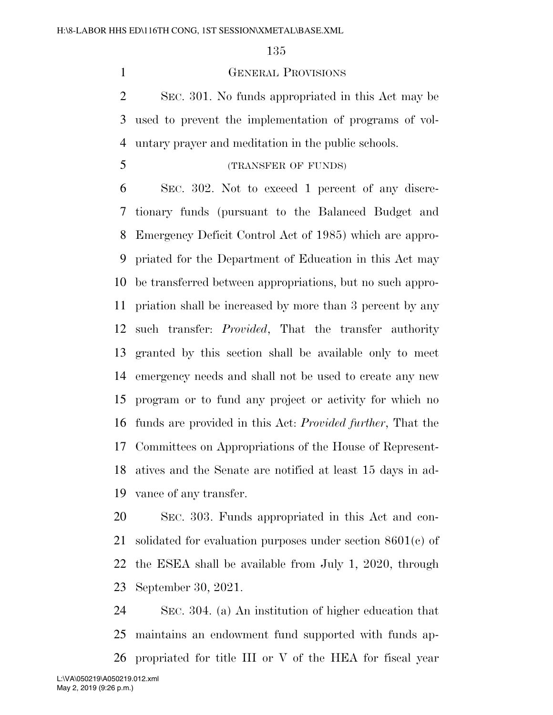## GENERAL PROVISIONS

 SEC. 301. No funds appropriated in this Act may be used to prevent the implementation of programs of vol-untary prayer and meditation in the public schools.

(TRANSFER OF FUNDS)

 SEC. 302. Not to exceed 1 percent of any discre- tionary funds (pursuant to the Balanced Budget and Emergency Deficit Control Act of 1985) which are appro- priated for the Department of Education in this Act may be transferred between appropriations, but no such appro- priation shall be increased by more than 3 percent by any such transfer: *Provided*, That the transfer authority granted by this section shall be available only to meet emergency needs and shall not be used to create any new program or to fund any project or activity for which no funds are provided in this Act: *Provided further*, That the Committees on Appropriations of the House of Represent- atives and the Senate are notified at least 15 days in ad-vance of any transfer.

 SEC. 303. Funds appropriated in this Act and con- solidated for evaluation purposes under section 8601(c) of the ESEA shall be available from July 1, 2020, through September 30, 2021.

 SEC. 304. (a) An institution of higher education that maintains an endowment fund supported with funds ap-propriated for title III or V of the HEA for fiscal year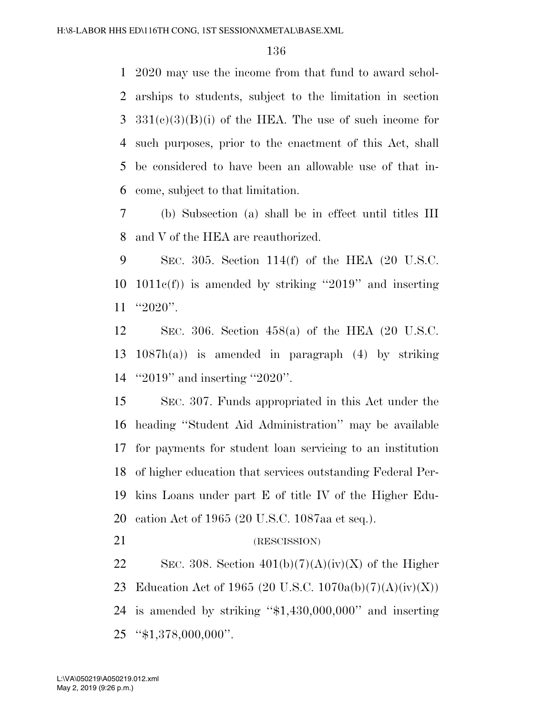2020 may use the income from that fund to award schol- arships to students, subject to the limitation in section  $331(e)(3)(B)(i)$  of the HEA. The use of such income for such purposes, prior to the enactment of this Act, shall be considered to have been an allowable use of that in-come, subject to that limitation.

 (b) Subsection (a) shall be in effect until titles III and V of the HEA are reauthorized.

 SEC. 305. Section 114(f) of the HEA (20 U.S.C. 1011c(f)) is amended by striking ''2019'' and inserting ''2020''.

 SEC. 306. Section 458(a) of the HEA (20 U.S.C. 1087h(a)) is amended in paragraph (4) by striking ''2019'' and inserting ''2020''.

 SEC. 307. Funds appropriated in this Act under the heading ''Student Aid Administration'' may be available for payments for student loan servicing to an institution of higher education that services outstanding Federal Per- kins Loans under part E of title IV of the Higher Edu-cation Act of 1965 (20 U.S.C. 1087aa et seq.).

## 21 (RESCISSION)

22 SEC. 308. Section  $401(b)(7)(A)(iv)(X)$  of the Higher Education Act of 1965 (20 U.S.C. 1070a(b)(7)(A)(iv)(X)) is amended by striking ''\$1,430,000,000'' and inserting ''\$1,378,000,000''.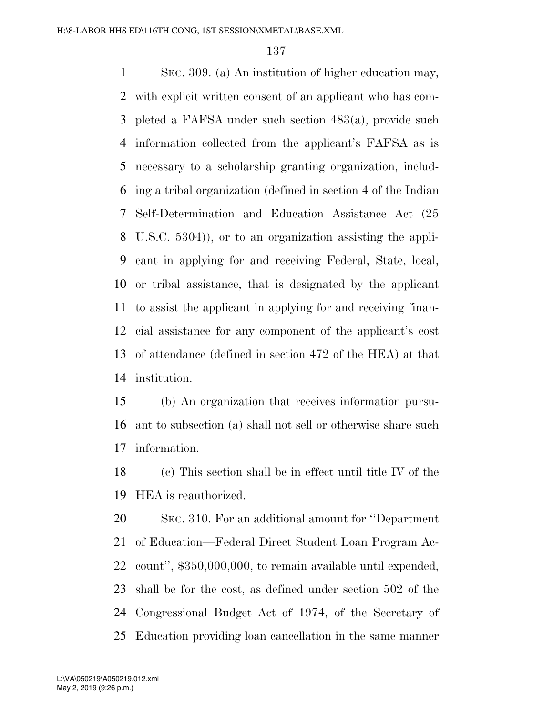SEC. 309. (a) An institution of higher education may, with explicit written consent of an applicant who has com- pleted a FAFSA under such section 483(a), provide such information collected from the applicant's FAFSA as is necessary to a scholarship granting organization, includ- ing a tribal organization (defined in section 4 of the Indian Self-Determination and Education Assistance Act (25 U.S.C. 5304)), or to an organization assisting the appli- cant in applying for and receiving Federal, State, local, or tribal assistance, that is designated by the applicant to assist the applicant in applying for and receiving finan- cial assistance for any component of the applicant's cost of attendance (defined in section 472 of the HEA) at that institution.

 (b) An organization that receives information pursu- ant to subsection (a) shall not sell or otherwise share such information.

 (c) This section shall be in effect until title IV of the HEA is reauthorized.

 SEC. 310. For an additional amount for ''Department of Education—Federal Direct Student Loan Program Ac- count'', \$350,000,000, to remain available until expended, shall be for the cost, as defined under section 502 of the Congressional Budget Act of 1974, of the Secretary of Education providing loan cancellation in the same manner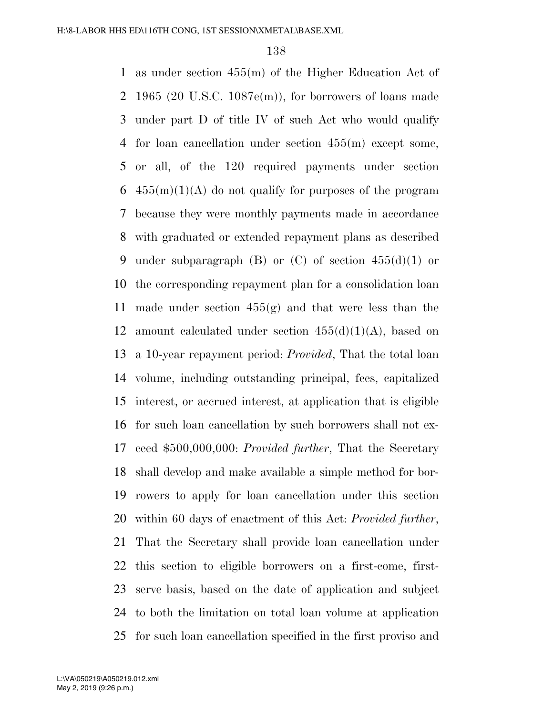as under section 455(m) of the Higher Education Act of 2 1965 (20 U.S.C. 1087 $e(m)$ ), for borrowers of loans made under part D of title IV of such Act who would qualify for loan cancellation under section 455(m) except some, or all, of the 120 required payments under section  $455(m)(1)(A)$  do not qualify for purposes of the program because they were monthly payments made in accordance with graduated or extended repayment plans as described 9 under subparagraph  $(B)$  or  $(C)$  of section  $455(d)(1)$  or the corresponding repayment plan for a consolidation loan made under section 455(g) and that were less than the 12 amount calculated under section  $455(d)(1)(A)$ , based on a 10-year repayment period: *Provided*, That the total loan volume, including outstanding principal, fees, capitalized interest, or accrued interest, at application that is eligible for such loan cancellation by such borrowers shall not ex- ceed \$500,000,000: *Provided further*, That the Secretary shall develop and make available a simple method for bor- rowers to apply for loan cancellation under this section within 60 days of enactment of this Act: *Provided further*, That the Secretary shall provide loan cancellation under this section to eligible borrowers on a first-come, first- serve basis, based on the date of application and subject to both the limitation on total loan volume at application for such loan cancellation specified in the first proviso and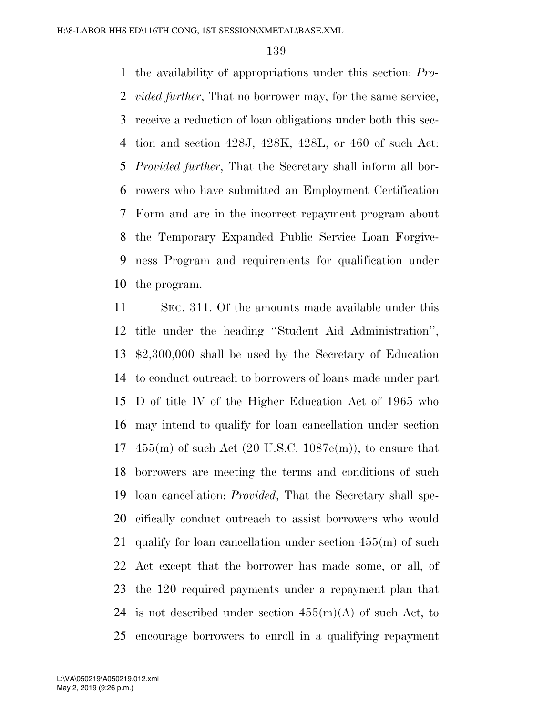the availability of appropriations under this section: *Pro- vided further*, That no borrower may, for the same service, receive a reduction of loan obligations under both this sec- tion and section 428J, 428K, 428L, or 460 of such Act: *Provided further*, That the Secretary shall inform all bor- rowers who have submitted an Employment Certification Form and are in the incorrect repayment program about the Temporary Expanded Public Service Loan Forgive- ness Program and requirements for qualification under the program.

 SEC. 311. Of the amounts made available under this title under the heading ''Student Aid Administration'', \$2,300,000 shall be used by the Secretary of Education to conduct outreach to borrowers of loans made under part D of title IV of the Higher Education Act of 1965 who may intend to qualify for loan cancellation under section  $455(m)$  of such Act (20 U.S.C. 1087e(m)), to ensure that borrowers are meeting the terms and conditions of such loan cancellation: *Provided*, That the Secretary shall spe- cifically conduct outreach to assist borrowers who would qualify for loan cancellation under section 455(m) of such Act except that the borrower has made some, or all, of the 120 required payments under a repayment plan that 24 is not described under section  $455(m)(A)$  of such Act, to encourage borrowers to enroll in a qualifying repayment

May 2, 2019 (9:26 p.m.) L:\VA\050219\A050219.012.xml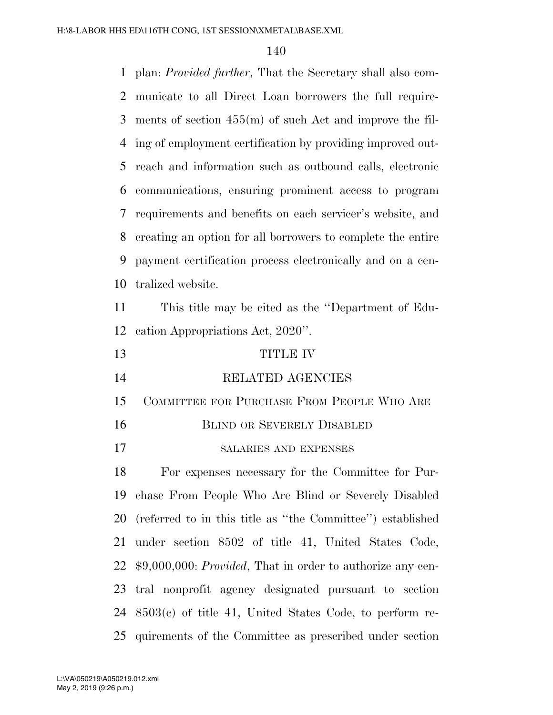plan: *Provided further*, That the Secretary shall also com- municate to all Direct Loan borrowers the full require- ments of section 455(m) of such Act and improve the fil- ing of employment certification by providing improved out- reach and information such as outbound calls, electronic communications, ensuring prominent access to program requirements and benefits on each servicer's website, and creating an option for all borrowers to complete the entire payment certification process electronically and on a cen- tralized website. This title may be cited as the ''Department of Edu- cation Appropriations Act, 2020''. TITLE IV RELATED AGENCIES COMMITTEE FOR PURCHASE FROM PEOPLE WHO ARE BLIND OR SEVERELY DISABLED SALARIES AND EXPENSES For expenses necessary for the Committee for Pur- chase From People Who Are Blind or Severely Disabled (referred to in this title as ''the Committee'') established under section 8502 of title 41, United States Code, \$9,000,000: *Provided*, That in order to authorize any cen- tral nonprofit agency designated pursuant to section 8503(c) of title 41, United States Code, to perform re-quirements of the Committee as prescribed under section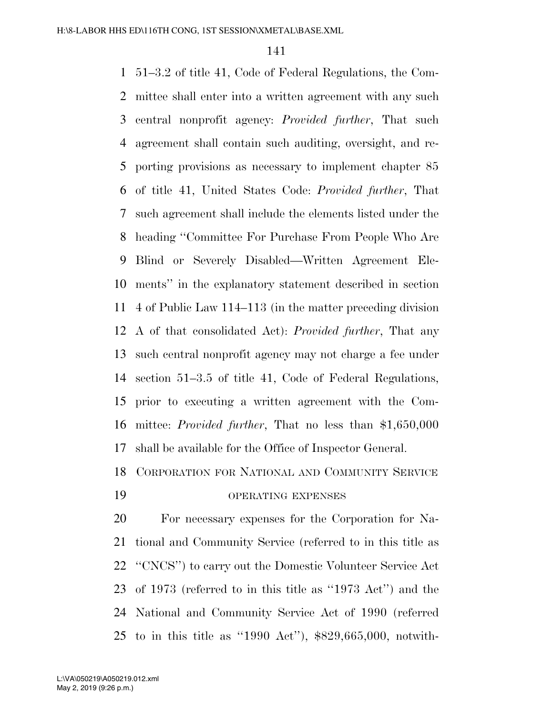51–3.2 of title 41, Code of Federal Regulations, the Com- mittee shall enter into a written agreement with any such central nonprofit agency: *Provided further*, That such agreement shall contain such auditing, oversight, and re- porting provisions as necessary to implement chapter 85 of title 41, United States Code: *Provided further*, That such agreement shall include the elements listed under the heading ''Committee For Purchase From People Who Are Blind or Severely Disabled—Written Agreement Ele- ments'' in the explanatory statement described in section 4 of Public Law 114–113 (in the matter preceding division A of that consolidated Act): *Provided further*, That any such central nonprofit agency may not charge a fee under section 51–3.5 of title 41, Code of Federal Regulations, prior to executing a written agreement with the Com- mittee: *Provided further*, That no less than \$1,650,000 shall be available for the Office of Inspector General.

 CORPORATION FOR NATIONAL AND COMMUNITY SERVICE OPERATING EXPENSES

 For necessary expenses for the Corporation for Na- tional and Community Service (referred to in this title as ''CNCS'') to carry out the Domestic Volunteer Service Act of 1973 (referred to in this title as ''1973 Act'') and the National and Community Service Act of 1990 (referred to in this title as ''1990 Act''), \$829,665,000, notwith-

May 2, 2019 (9:26 p.m.) L:\VA\050219\A050219.012.xml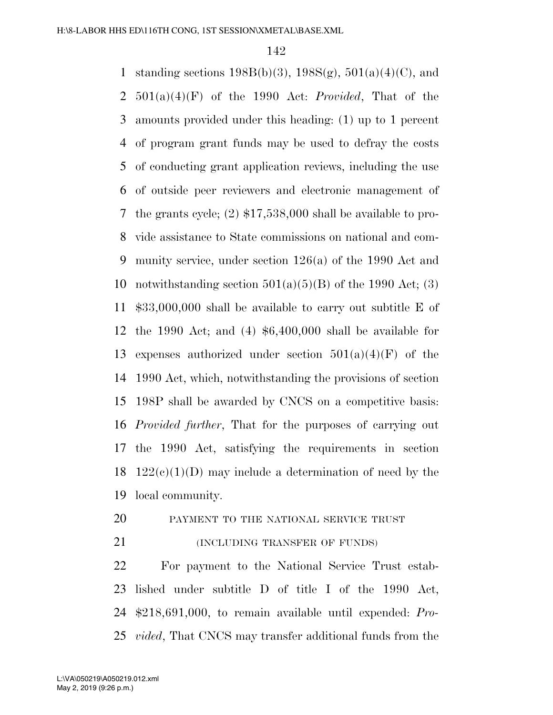1 standing sections  $198B(b)(3)$ ,  $198S(g)$ ,  $501(a)(4)(C)$ , and 501(a)(4)(F) of the 1990 Act: *Provided*, That of the amounts provided under this heading: (1) up to 1 percent of program grant funds may be used to defray the costs of conducting grant application reviews, including the use of outside peer reviewers and electronic management of the grants cycle; (2) \$17,538,000 shall be available to pro- vide assistance to State commissions on national and com- munity service, under section 126(a) of the 1990 Act and 10 notwithstanding section  $501(a)(5)(B)$  of the 1990 Act; (3) \$33,000,000 shall be available to carry out subtitle E of the 1990 Act; and (4) \$6,400,000 shall be available for expenses authorized under section 501(a)(4)(F) of the 1990 Act, which, notwithstanding the provisions of section 198P shall be awarded by CNCS on a competitive basis: *Provided further*, That for the purposes of carrying out the 1990 Act, satisfying the requirements in section 18 122(c)(1)(D) may include a determination of need by the local community.

- PAYMENT TO THE NATIONAL SERVICE TRUST
	-

# **(INCLUDING TRANSFER OF FUNDS)**

 For payment to the National Service Trust estab- lished under subtitle D of title I of the 1990 Act, \$218,691,000, to remain available until expended: *Pro-vided*, That CNCS may transfer additional funds from the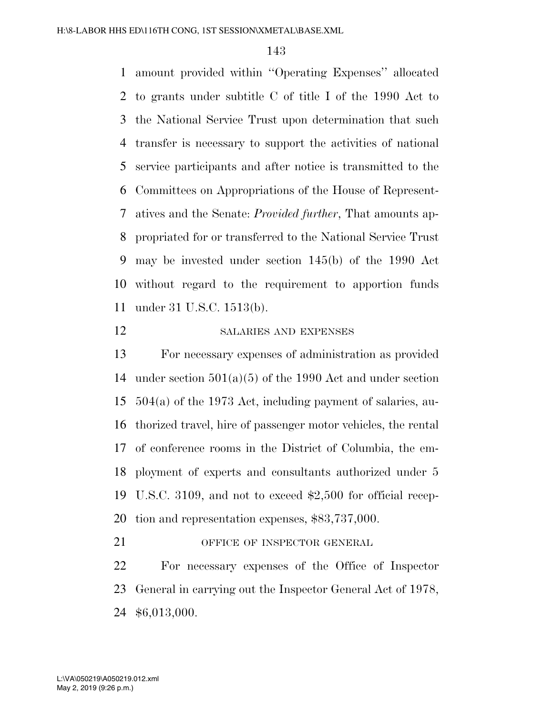amount provided within ''Operating Expenses'' allocated to grants under subtitle C of title I of the 1990 Act to the National Service Trust upon determination that such transfer is necessary to support the activities of national service participants and after notice is transmitted to the Committees on Appropriations of the House of Represent- atives and the Senate: *Provided further*, That amounts ap- propriated for or transferred to the National Service Trust may be invested under section 145(b) of the 1990 Act without regard to the requirement to apportion funds under 31 U.S.C. 1513(b).

## SALARIES AND EXPENSES

 For necessary expenses of administration as provided under section 501(a)(5) of the 1990 Act and under section 504(a) of the 1973 Act, including payment of salaries, au- thorized travel, hire of passenger motor vehicles, the rental of conference rooms in the District of Columbia, the em- ployment of experts and consultants authorized under 5 U.S.C. 3109, and not to exceed \$2,500 for official recep-tion and representation expenses, \$83,737,000.

21 OFFICE OF INSPECTOR GENERAL

 For necessary expenses of the Office of Inspector General in carrying out the Inspector General Act of 1978, \$6,013,000.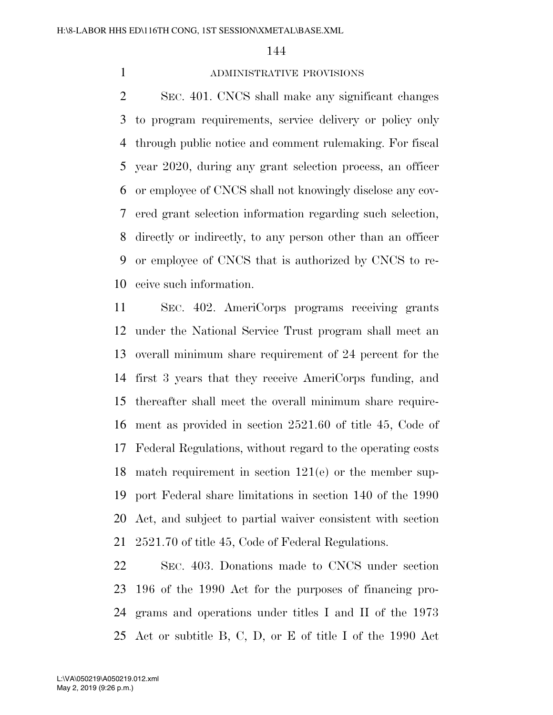## ADMINISTRATIVE PROVISIONS

 SEC. 401. CNCS shall make any significant changes to program requirements, service delivery or policy only through public notice and comment rulemaking. For fiscal year 2020, during any grant selection process, an officer or employee of CNCS shall not knowingly disclose any cov- ered grant selection information regarding such selection, directly or indirectly, to any person other than an officer or employee of CNCS that is authorized by CNCS to re-ceive such information.

 SEC. 402. AmeriCorps programs receiving grants under the National Service Trust program shall meet an overall minimum share requirement of 24 percent for the first 3 years that they receive AmeriCorps funding, and thereafter shall meet the overall minimum share require- ment as provided in section 2521.60 of title 45, Code of Federal Regulations, without regard to the operating costs match requirement in section 121(e) or the member sup- port Federal share limitations in section 140 of the 1990 Act, and subject to partial waiver consistent with section 2521.70 of title 45, Code of Federal Regulations.

 SEC. 403. Donations made to CNCS under section 196 of the 1990 Act for the purposes of financing pro- grams and operations under titles I and II of the 1973 Act or subtitle B, C, D, or E of title I of the 1990 Act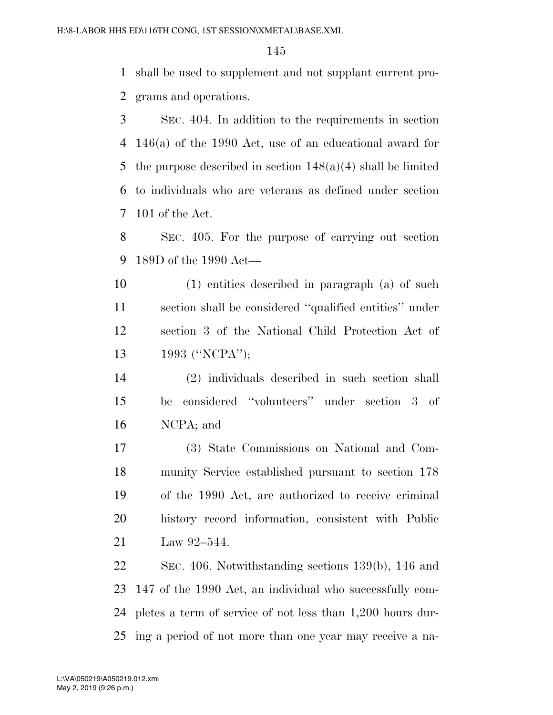shall be used to supplement and not supplant current pro-grams and operations.

 SEC. 404. In addition to the requirements in section 146(a) of the 1990 Act, use of an educational award for the purpose described in section 148(a)(4) shall be limited to individuals who are veterans as defined under section 101 of the Act.

 SEC. 405. For the purpose of carrying out section 189D of the 1990 Act—

 (1) entities described in paragraph (a) of such section shall be considered ''qualified entities'' under section 3 of the National Child Protection Act of 1993 (''NCPA'');

 (2) individuals described in such section shall be considered ''volunteers'' under section 3 of NCPA; and

 (3) State Commissions on National and Com- munity Service established pursuant to section 178 of the 1990 Act, are authorized to receive criminal history record information, consistent with Public Law 92–544.

 SEC. 406. Notwithstanding sections 139(b), 146 and 147 of the 1990 Act, an individual who successfully com- pletes a term of service of not less than 1,200 hours dur-ing a period of not more than one year may receive a na-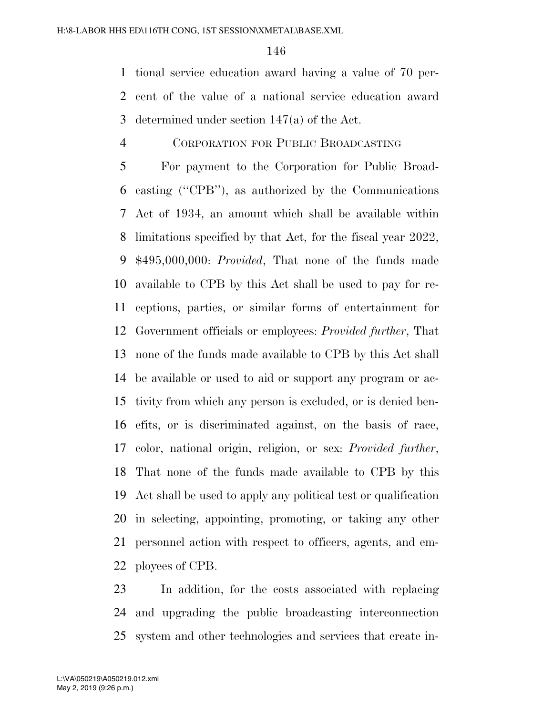tional service education award having a value of 70 per- cent of the value of a national service education award determined under section 147(a) of the Act.

#### CORPORATION FOR PUBLIC BROADCASTING

 For payment to the Corporation for Public Broad- casting (''CPB''), as authorized by the Communications Act of 1934, an amount which shall be available within limitations specified by that Act, for the fiscal year 2022, \$495,000,000: *Provided*, That none of the funds made available to CPB by this Act shall be used to pay for re- ceptions, parties, or similar forms of entertainment for Government officials or employees: *Provided further*, That none of the funds made available to CPB by this Act shall be available or used to aid or support any program or ac- tivity from which any person is excluded, or is denied ben- efits, or is discriminated against, on the basis of race, color, national origin, religion, or sex: *Provided further*, That none of the funds made available to CPB by this Act shall be used to apply any political test or qualification in selecting, appointing, promoting, or taking any other personnel action with respect to officers, agents, and em-ployees of CPB.

 In addition, for the costs associated with replacing and upgrading the public broadcasting interconnection system and other technologies and services that create in-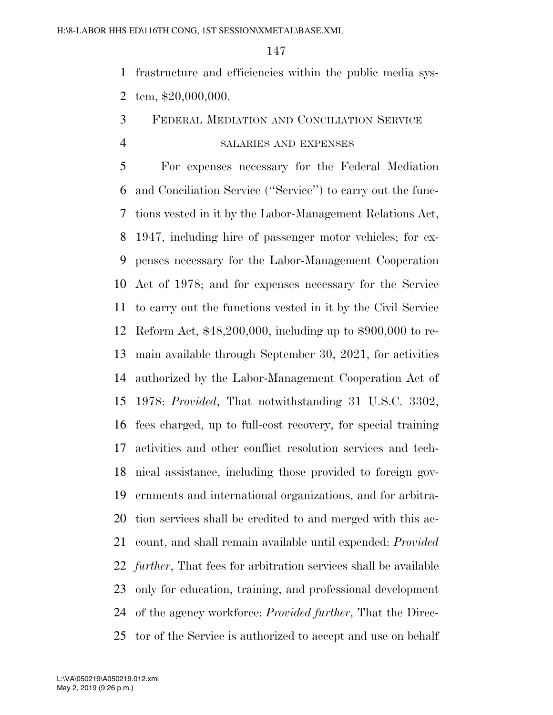frastructure and efficiencies within the public media sys-tem, \$20,000,000.

### FEDERAL MEDIATION AND CONCILIATION SERVICE SALARIES AND EXPENSES

 For expenses necessary for the Federal Mediation and Conciliation Service (''Service'') to carry out the func- tions vested in it by the Labor-Management Relations Act, 1947, including hire of passenger motor vehicles; for ex- penses necessary for the Labor-Management Cooperation Act of 1978; and for expenses necessary for the Service to carry out the functions vested in it by the Civil Service Reform Act, \$48,200,000, including up to \$900,000 to re- main available through September 30, 2021, for activities authorized by the Labor-Management Cooperation Act of 1978: *Provided*, That notwithstanding 31 U.S.C. 3302, fees charged, up to full-cost recovery, for special training activities and other conflict resolution services and tech- nical assistance, including those provided to foreign gov- ernments and international organizations, and for arbitra- tion services shall be credited to and merged with this ac- count, and shall remain available until expended: *Provided further*, That fees for arbitration services shall be available only for education, training, and professional development of the agency workforce: *Provided further*, That the Direc-tor of the Service is authorized to accept and use on behalf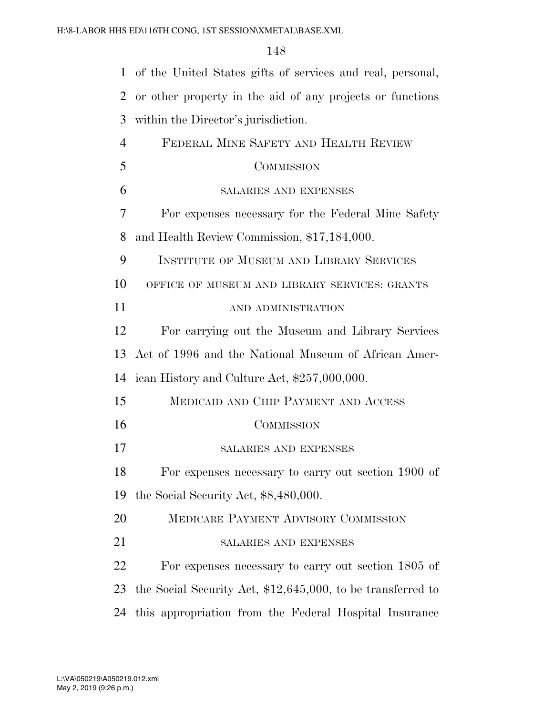| $\mathbf{1}$   | of the United States gifts of services and real, personal,    |
|----------------|---------------------------------------------------------------|
| $\overline{2}$ | or other property in the aid of any projects or functions     |
| 3              | within the Director's jurisdiction.                           |
| $\overline{4}$ | FEDERAL MINE SAFETY AND HEALTH REVIEW                         |
| 5              | <b>COMMISSION</b>                                             |
| 6              | SALARIES AND EXPENSES                                         |
| 7              | For expenses necessary for the Federal Mine Safety            |
| 8              | and Health Review Commission, \$17,184,000.                   |
| 9              | <b>INSTITUTE OF MUSEUM AND LIBRARY SERVICES</b>               |
| 10             | OFFICE OF MUSEUM AND LIBRARY SERVICES: GRANTS                 |
| 11             | AND ADMINISTRATION                                            |
| 12             | For carrying out the Museum and Library Services              |
| 13             | Act of 1996 and the National Museum of African Amer-          |
| 14             | ican History and Culture Act, \$257,000,000.                  |
| 15             | MEDICAID AND CHIP PAYMENT AND ACCESS                          |
| 16             | <b>COMMISSION</b>                                             |
| 17             | <b>SALARIES AND EXPENSES</b>                                  |
| 18             | For expenses necessary to carry out section 1900 of           |
| 19             | the Social Security Act, $$8,480,000$ .                       |
| 20             | MEDICARE PAYMENT ADVISORY COMMISSION                          |
| 21             | SALARIES AND EXPENSES                                         |
| 22             | For expenses necessary to carry out section 1805 of           |
| 23             | the Social Security Act, $$12,645,000$ , to be transferred to |
| 24             | this appropriation from the Federal Hospital Insurance        |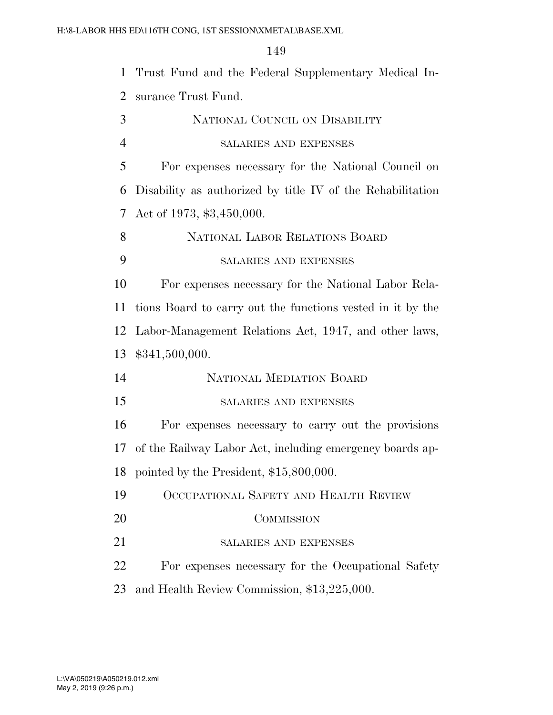| $\mathbf{1}$   | Trust Fund and the Federal Supplementary Medical In-       |
|----------------|------------------------------------------------------------|
| $\overline{2}$ | surance Trust Fund.                                        |
| 3              | NATIONAL COUNCIL ON DISABILITY                             |
| $\overline{4}$ | SALARIES AND EXPENSES                                      |
| 5              | For expenses necessary for the National Council on         |
| 6              | Disability as authorized by title IV of the Rehabilitation |
| 7              | Act of 1973, $$3,450,000$ .                                |
| 8              | NATIONAL LABOR RELATIONS BOARD                             |
| 9              | SALARIES AND EXPENSES                                      |
| 10             | For expenses necessary for the National Labor Rela-        |
| 11             | tions Board to carry out the functions vested in it by the |
| 12             | Labor-Management Relations Act, 1947, and other laws,      |
| 13             | \$341,500,000.                                             |
| 14             | NATIONAL MEDIATION BOARD                                   |
| 15             | SALARIES AND EXPENSES                                      |
| 16             | For expenses necessary to carry out the provisions         |
| 17             | of the Railway Labor Act, including emergency boards ap-   |
| 18             | pointed by the President, \$15,800,000.                    |
| 19             | OCCUPATIONAL SAFETY AND HEALTH REVIEW                      |
| 20             | <b>COMMISSION</b>                                          |
| 21             | SALARIES AND EXPENSES                                      |
| 22             | For expenses necessary for the Occupational Safety         |
| 23             | and Health Review Commission, \$13,225,000.                |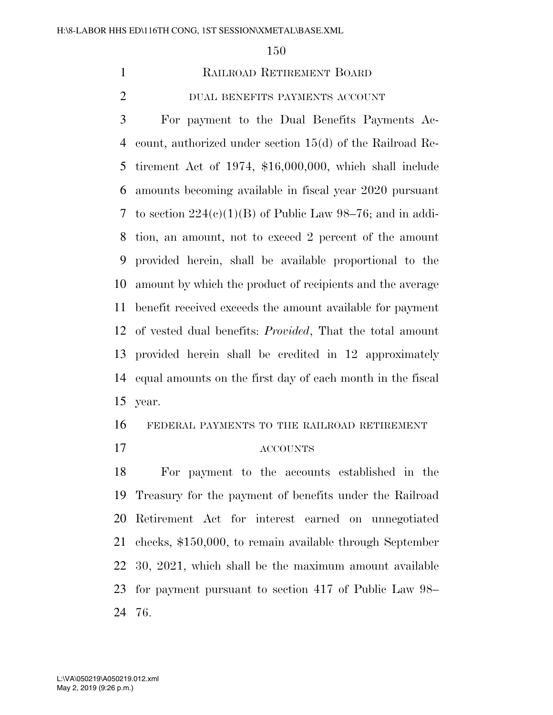RAILROAD RETIREMENT BOARD

#### 2 DUAL BENEFITS PAYMENTS ACCOUNT

 For payment to the Dual Benefits Payments Ac- count, authorized under section 15(d) of the Railroad Re- tirement Act of 1974, \$16,000,000, which shall include amounts becoming available in fiscal year 2020 pursuant 7 to section  $224(c)(1)(B)$  of Public Law 98–76; and in addi- tion, an amount, not to exceed 2 percent of the amount provided herein, shall be available proportional to the amount by which the product of recipients and the average benefit received exceeds the amount available for payment of vested dual benefits: *Provided*, That the total amount provided herein shall be credited in 12 approximately equal amounts on the first day of each month in the fiscal year.

FEDERAL PAYMENTS TO THE RAILROAD RETIREMENT

#### ACCOUNTS

 For payment to the accounts established in the Treasury for the payment of benefits under the Railroad Retirement Act for interest earned on unnegotiated checks, \$150,000, to remain available through September 30, 2021, which shall be the maximum amount available for payment pursuant to section 417 of Public Law 98– 76.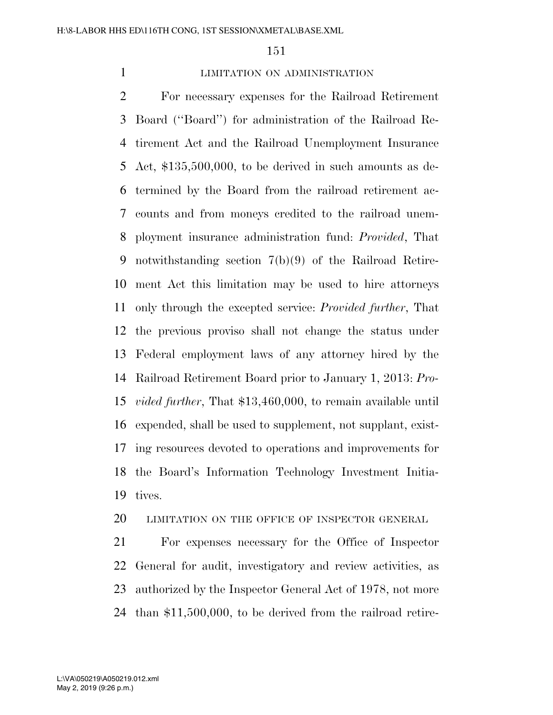#### LIMITATION ON ADMINISTRATION

 For necessary expenses for the Railroad Retirement Board (''Board'') for administration of the Railroad Re- tirement Act and the Railroad Unemployment Insurance Act, \$135,500,000, to be derived in such amounts as de- termined by the Board from the railroad retirement ac- counts and from moneys credited to the railroad unem- ployment insurance administration fund: *Provided*, That notwithstanding section 7(b)(9) of the Railroad Retire- ment Act this limitation may be used to hire attorneys only through the excepted service: *Provided further*, That the previous proviso shall not change the status under Federal employment laws of any attorney hired by the Railroad Retirement Board prior to January 1, 2013: *Pro- vided further*, That \$13,460,000, to remain available until expended, shall be used to supplement, not supplant, exist- ing resources devoted to operations and improvements for the Board's Information Technology Investment Initia-tives.

#### 20 LIMITATION ON THE OFFICE OF INSPECTOR GENERAL

 For expenses necessary for the Office of Inspector General for audit, investigatory and review activities, as authorized by the Inspector General Act of 1978, not more than \$11,500,000, to be derived from the railroad retire-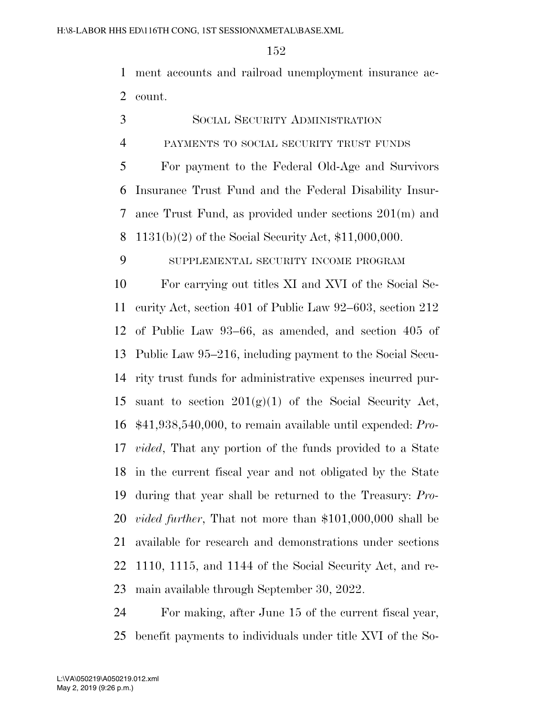ment accounts and railroad unemployment insurance ac-count.

- SOCIAL SECURITY ADMINISTRATION
- PAYMENTS TO SOCIAL SECURITY TRUST FUNDS

 For payment to the Federal Old-Age and Survivors Insurance Trust Fund and the Federal Disability Insur- ance Trust Fund, as provided under sections 201(m) and 1131(b)(2) of the Social Security Act, \$11,000,000.

SUPPLEMENTAL SECURITY INCOME PROGRAM

 For carrying out titles XI and XVI of the Social Se- curity Act, section 401 of Public Law 92–603, section 212 of Public Law 93–66, as amended, and section 405 of Public Law 95–216, including payment to the Social Secu- rity trust funds for administrative expenses incurred pur-15 suant to section  $201(g)(1)$  of the Social Security Act, \$41,938,540,000, to remain available until expended: *Pro- vided*, That any portion of the funds provided to a State in the current fiscal year and not obligated by the State during that year shall be returned to the Treasury: *Pro- vided further*, That not more than \$101,000,000 shall be available for research and demonstrations under sections 1110, 1115, and 1144 of the Social Security Act, and re-main available through September 30, 2022.

 For making, after June 15 of the current fiscal year, benefit payments to individuals under title XVI of the So-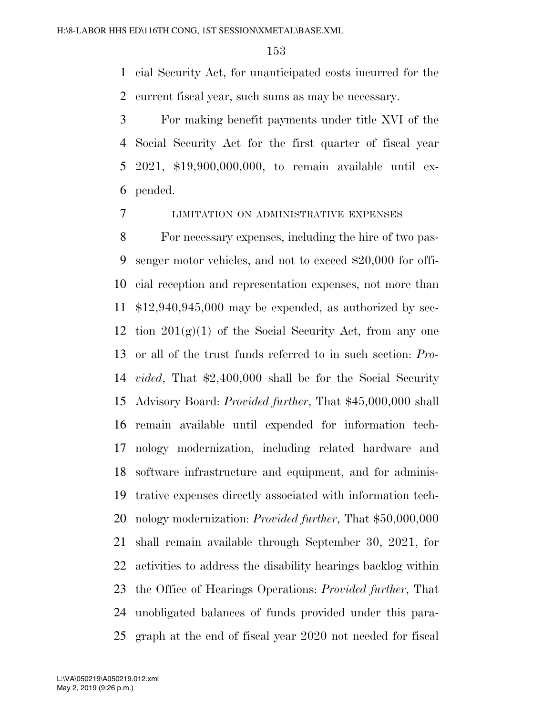cial Security Act, for unanticipated costs incurred for the current fiscal year, such sums as may be necessary.

 For making benefit payments under title XVI of the Social Security Act for the first quarter of fiscal year 2021, \$19,900,000,000, to remain available until ex-pended.

#### LIMITATION ON ADMINISTRATIVE EXPENSES

 For necessary expenses, including the hire of two pas- senger motor vehicles, and not to exceed \$20,000 for offi- cial reception and representation expenses, not more than \$12,940,945,000 may be expended, as authorized by sec-12 tion  $201(g)(1)$  of the Social Security Act, from any one or all of the trust funds referred to in such section: *Pro- vided*, That \$2,400,000 shall be for the Social Security Advisory Board: *Provided further*, That \$45,000,000 shall remain available until expended for information tech- nology modernization, including related hardware and software infrastructure and equipment, and for adminis- trative expenses directly associated with information tech- nology modernization: *Provided further*, That \$50,000,000 shall remain available through September 30, 2021, for activities to address the disability hearings backlog within the Office of Hearings Operations: *Provided further*, That unobligated balances of funds provided under this para-graph at the end of fiscal year 2020 not needed for fiscal

May 2, 2019 (9:26 p.m.) L:\VA\050219\A050219.012.xml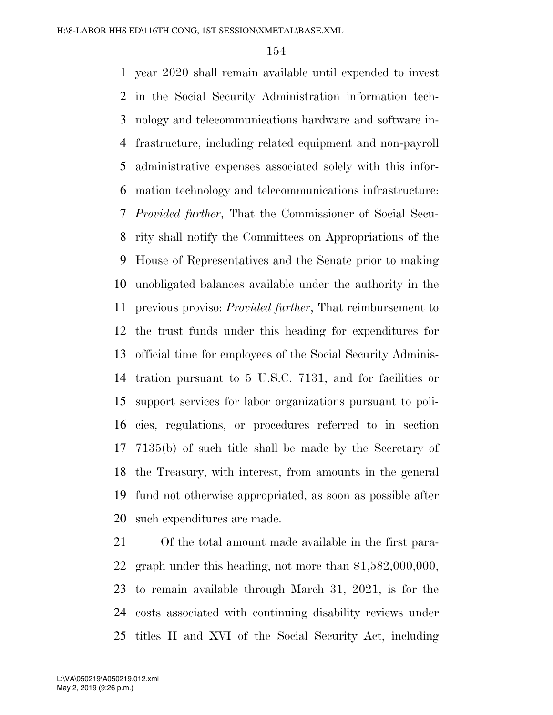year 2020 shall remain available until expended to invest in the Social Security Administration information tech- nology and telecommunications hardware and software in- frastructure, including related equipment and non-payroll administrative expenses associated solely with this infor- mation technology and telecommunications infrastructure: *Provided further*, That the Commissioner of Social Secu- rity shall notify the Committees on Appropriations of the House of Representatives and the Senate prior to making unobligated balances available under the authority in the previous proviso: *Provided further*, That reimbursement to the trust funds under this heading for expenditures for official time for employees of the Social Security Adminis- tration pursuant to 5 U.S.C. 7131, and for facilities or support services for labor organizations pursuant to poli- cies, regulations, or procedures referred to in section 7135(b) of such title shall be made by the Secretary of the Treasury, with interest, from amounts in the general fund not otherwise appropriated, as soon as possible after such expenditures are made.

 Of the total amount made available in the first para- graph under this heading, not more than \$1,582,000,000, to remain available through March 31, 2021, is for the costs associated with continuing disability reviews under titles II and XVI of the Social Security Act, including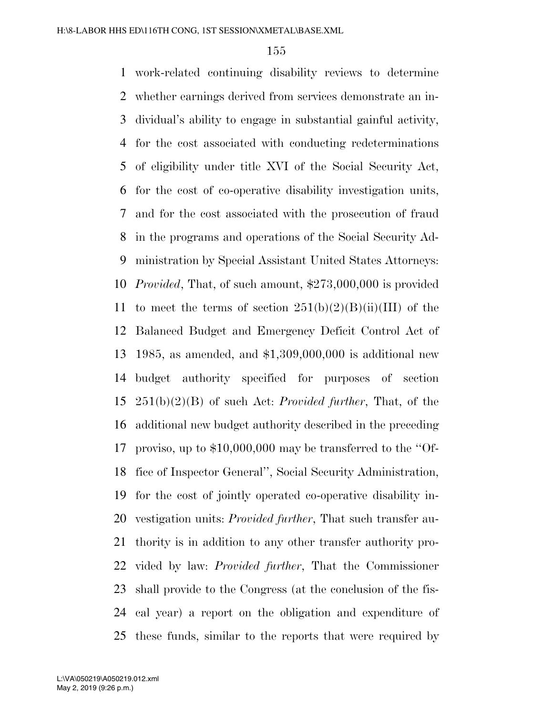work-related continuing disability reviews to determine whether earnings derived from services demonstrate an in- dividual's ability to engage in substantial gainful activity, for the cost associated with conducting redeterminations of eligibility under title XVI of the Social Security Act, for the cost of co-operative disability investigation units, and for the cost associated with the prosecution of fraud in the programs and operations of the Social Security Ad- ministration by Special Assistant United States Attorneys: *Provided*, That, of such amount, \$273,000,000 is provided 11 to meet the terms of section  $251(b)(2)(B)(ii)(III)$  of the Balanced Budget and Emergency Deficit Control Act of 1985, as amended, and \$1,309,000,000 is additional new budget authority specified for purposes of section 251(b)(2)(B) of such Act: *Provided further*, That, of the additional new budget authority described in the preceding proviso, up to \$10,000,000 may be transferred to the ''Of- fice of Inspector General'', Social Security Administration, for the cost of jointly operated co-operative disability in- vestigation units: *Provided further*, That such transfer au- thority is in addition to any other transfer authority pro- vided by law: *Provided further*, That the Commissioner shall provide to the Congress (at the conclusion of the fis- cal year) a report on the obligation and expenditure of these funds, similar to the reports that were required by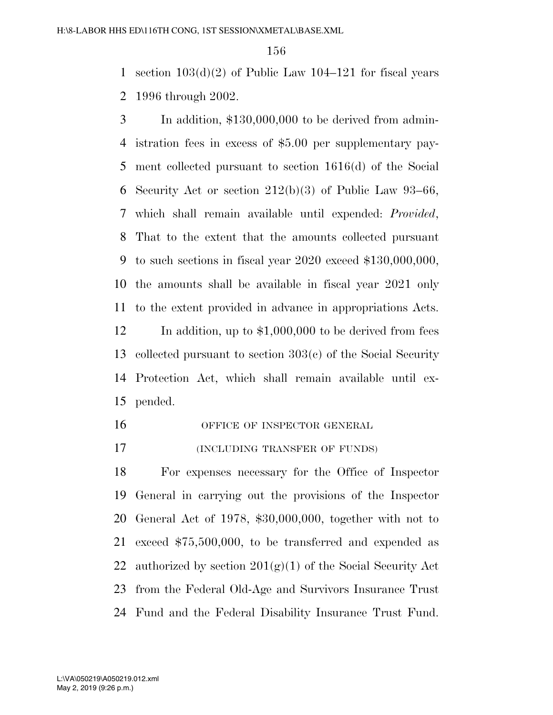1 section  $103(d)(2)$  of Public Law  $104-121$  for fiscal years

1996 through 2002.

 In addition, \$130,000,000 to be derived from admin- istration fees in excess of \$5.00 per supplementary pay- ment collected pursuant to section 1616(d) of the Social Security Act or section 212(b)(3) of Public Law 93–66, which shall remain available until expended: *Provided*, That to the extent that the amounts collected pursuant to such sections in fiscal year 2020 exceed \$130,000,000, the amounts shall be available in fiscal year 2021 only to the extent provided in advance in appropriations Acts. 12 In addition, up to \$1,000,000 to be derived from fees collected pursuant to section 303(c) of the Social Security Protection Act, which shall remain available until ex-pended.

16 OFFICE OF INSPECTOR GENERAL

**(INCLUDING TRANSFER OF FUNDS)** 

 For expenses necessary for the Office of Inspector General in carrying out the provisions of the Inspector General Act of 1978, \$30,000,000, together with not to exceed \$75,500,000, to be transferred and expended as 22 authorized by section  $201(g)(1)$  of the Social Security Act from the Federal Old-Age and Survivors Insurance Trust Fund and the Federal Disability Insurance Trust Fund.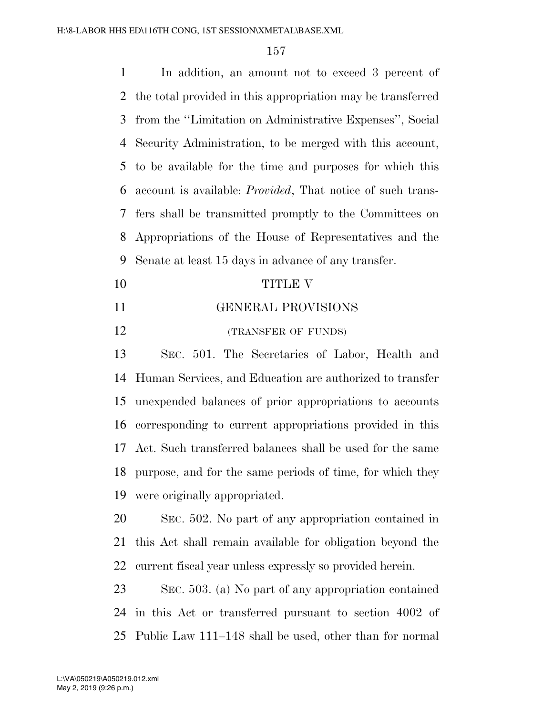In addition, an amount not to exceed 3 percent of the total provided in this appropriation may be transferred from the ''Limitation on Administrative Expenses'', Social Security Administration, to be merged with this account, to be available for the time and purposes for which this account is available: *Provided*, That notice of such trans- fers shall be transmitted promptly to the Committees on Appropriations of the House of Representatives and the Senate at least 15 days in advance of any transfer.

- TITLE V
- GENERAL PROVISIONS
- 12 (TRANSFER OF FUNDS)

 SEC. 501. The Secretaries of Labor, Health and Human Services, and Education are authorized to transfer unexpended balances of prior appropriations to accounts corresponding to current appropriations provided in this Act. Such transferred balances shall be used for the same purpose, and for the same periods of time, for which they were originally appropriated.

 SEC. 502. No part of any appropriation contained in this Act shall remain available for obligation beyond the current fiscal year unless expressly so provided herein.

 SEC. 503. (a) No part of any appropriation contained in this Act or transferred pursuant to section 4002 of Public Law 111–148 shall be used, other than for normal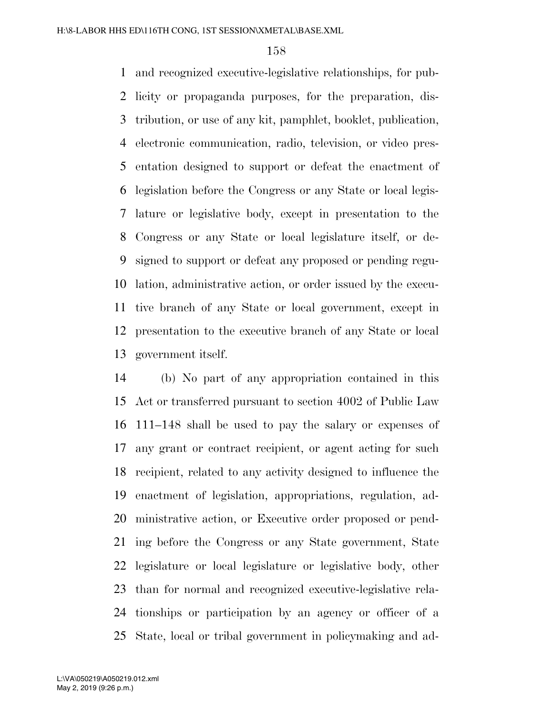and recognized executive-legislative relationships, for pub- licity or propaganda purposes, for the preparation, dis- tribution, or use of any kit, pamphlet, booklet, publication, electronic communication, radio, television, or video pres- entation designed to support or defeat the enactment of legislation before the Congress or any State or local legis- lature or legislative body, except in presentation to the Congress or any State or local legislature itself, or de- signed to support or defeat any proposed or pending regu- lation, administrative action, or order issued by the execu- tive branch of any State or local government, except in presentation to the executive branch of any State or local government itself.

 (b) No part of any appropriation contained in this Act or transferred pursuant to section 4002 of Public Law 111–148 shall be used to pay the salary or expenses of any grant or contract recipient, or agent acting for such recipient, related to any activity designed to influence the enactment of legislation, appropriations, regulation, ad- ministrative action, or Executive order proposed or pend- ing before the Congress or any State government, State legislature or local legislature or legislative body, other than for normal and recognized executive-legislative rela- tionships or participation by an agency or officer of a State, local or tribal government in policymaking and ad-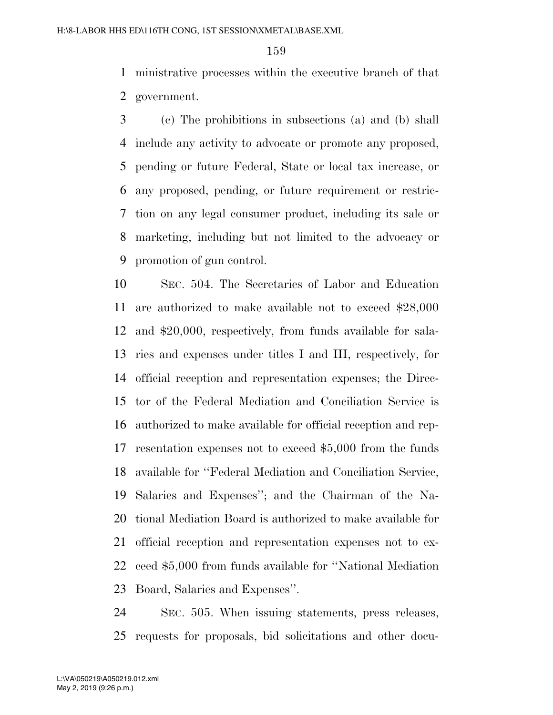ministrative processes within the executive branch of that government.

 (c) The prohibitions in subsections (a) and (b) shall include any activity to advocate or promote any proposed, pending or future Federal, State or local tax increase, or any proposed, pending, or future requirement or restric- tion on any legal consumer product, including its sale or marketing, including but not limited to the advocacy or promotion of gun control.

 SEC. 504. The Secretaries of Labor and Education are authorized to make available not to exceed \$28,000 and \$20,000, respectively, from funds available for sala- ries and expenses under titles I and III, respectively, for official reception and representation expenses; the Direc- tor of the Federal Mediation and Conciliation Service is authorized to make available for official reception and rep- resentation expenses not to exceed \$5,000 from the funds available for ''Federal Mediation and Conciliation Service, Salaries and Expenses''; and the Chairman of the Na- tional Mediation Board is authorized to make available for official reception and representation expenses not to ex- ceed \$5,000 from funds available for ''National Mediation Board, Salaries and Expenses''.

 SEC. 505. When issuing statements, press releases, requests for proposals, bid solicitations and other docu-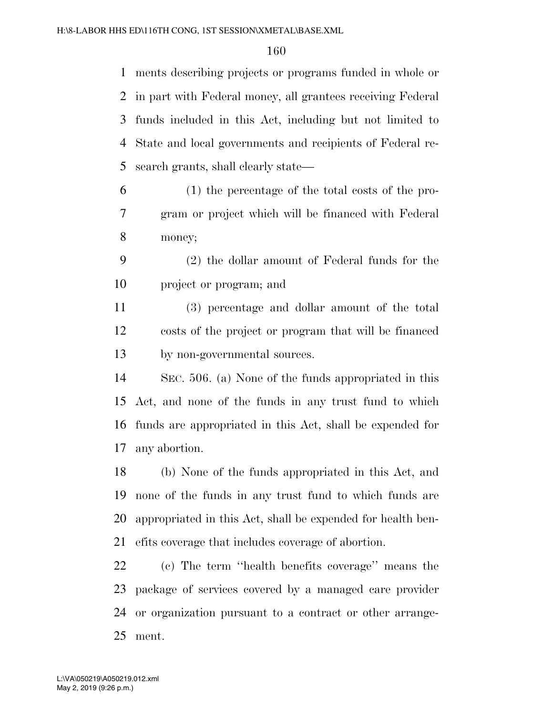ments describing projects or programs funded in whole or in part with Federal money, all grantees receiving Federal funds included in this Act, including but not limited to State and local governments and recipients of Federal re-search grants, shall clearly state—

 (1) the percentage of the total costs of the pro- gram or project which will be financed with Federal money;

 (2) the dollar amount of Federal funds for the project or program; and

 (3) percentage and dollar amount of the total costs of the project or program that will be financed by non-governmental sources.

 SEC. 506. (a) None of the funds appropriated in this Act, and none of the funds in any trust fund to which funds are appropriated in this Act, shall be expended for any abortion.

 (b) None of the funds appropriated in this Act, and none of the funds in any trust fund to which funds are appropriated in this Act, shall be expended for health ben-efits coverage that includes coverage of abortion.

 (c) The term ''health benefits coverage'' means the package of services covered by a managed care provider or organization pursuant to a contract or other arrange-ment.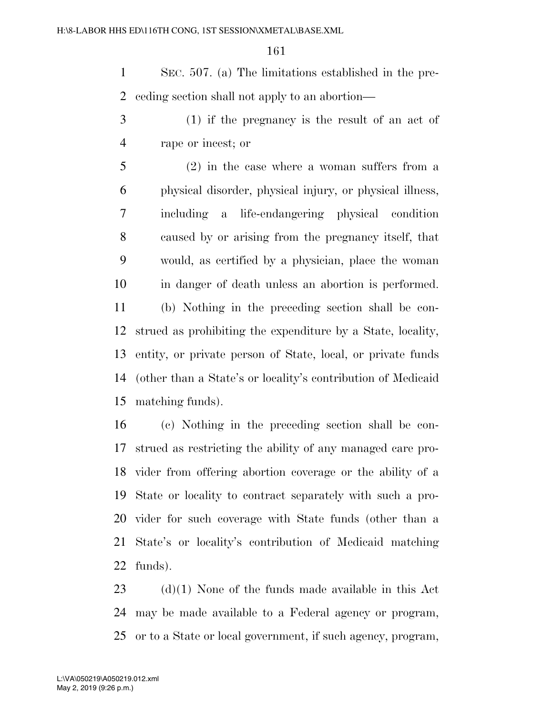SEC. 507. (a) The limitations established in the pre-ceding section shall not apply to an abortion—

 (1) if the pregnancy is the result of an act of rape or incest; or

 (2) in the case where a woman suffers from a physical disorder, physical injury, or physical illness, including a life-endangering physical condition caused by or arising from the pregnancy itself, that would, as certified by a physician, place the woman in danger of death unless an abortion is performed. (b) Nothing in the preceding section shall be con- strued as prohibiting the expenditure by a State, locality, entity, or private person of State, local, or private funds (other than a State's or locality's contribution of Medicaid matching funds).

 (c) Nothing in the preceding section shall be con- strued as restricting the ability of any managed care pro- vider from offering abortion coverage or the ability of a State or locality to contract separately with such a pro- vider for such coverage with State funds (other than a State's or locality's contribution of Medicaid matching funds).

 (d)(1) None of the funds made available in this Act may be made available to a Federal agency or program, or to a State or local government, if such agency, program,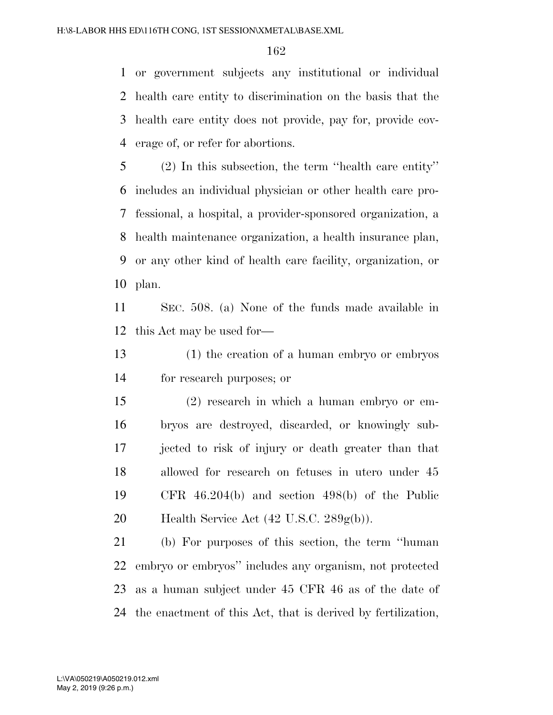or government subjects any institutional or individual health care entity to discrimination on the basis that the health care entity does not provide, pay for, provide cov-erage of, or refer for abortions.

 (2) In this subsection, the term ''health care entity'' includes an individual physician or other health care pro- fessional, a hospital, a provider-sponsored organization, a health maintenance organization, a health insurance plan, or any other kind of health care facility, organization, or plan.

 SEC. 508. (a) None of the funds made available in this Act may be used for—

 (1) the creation of a human embryo or embryos for research purposes; or

 (2) research in which a human embryo or em- bryos are destroyed, discarded, or knowingly sub- jected to risk of injury or death greater than that allowed for research on fetuses in utero under 45 CFR 46.204(b) and section 498(b) of the Public 20 Health Service Act  $(42 \text{ U.S.C. } 289 \text{g(b)})$ .

 (b) For purposes of this section, the term ''human embryo or embryos'' includes any organism, not protected as a human subject under 45 CFR 46 as of the date of the enactment of this Act, that is derived by fertilization,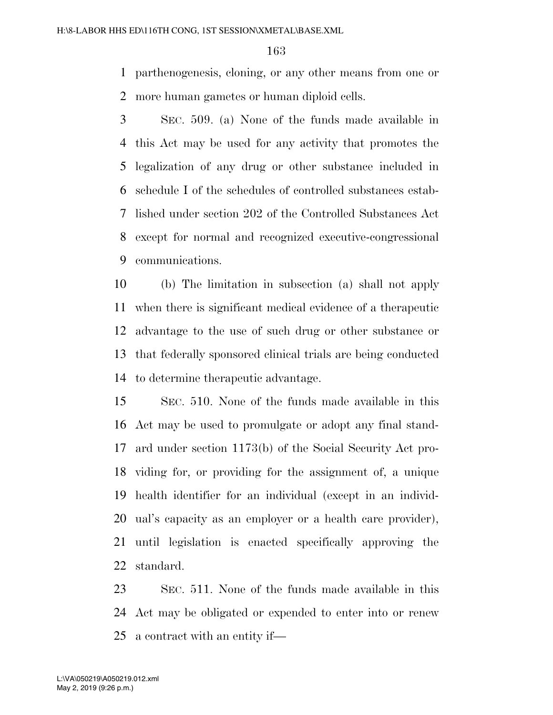parthenogenesis, cloning, or any other means from one or more human gametes or human diploid cells.

 SEC. 509. (a) None of the funds made available in this Act may be used for any activity that promotes the legalization of any drug or other substance included in schedule I of the schedules of controlled substances estab- lished under section 202 of the Controlled Substances Act except for normal and recognized executive-congressional communications.

 (b) The limitation in subsection (a) shall not apply when there is significant medical evidence of a therapeutic advantage to the use of such drug or other substance or that federally sponsored clinical trials are being conducted to determine therapeutic advantage.

 SEC. 510. None of the funds made available in this Act may be used to promulgate or adopt any final stand- ard under section 1173(b) of the Social Security Act pro- viding for, or providing for the assignment of, a unique health identifier for an individual (except in an individ- ual's capacity as an employer or a health care provider), until legislation is enacted specifically approving the standard.

 SEC. 511. None of the funds made available in this Act may be obligated or expended to enter into or renew a contract with an entity if—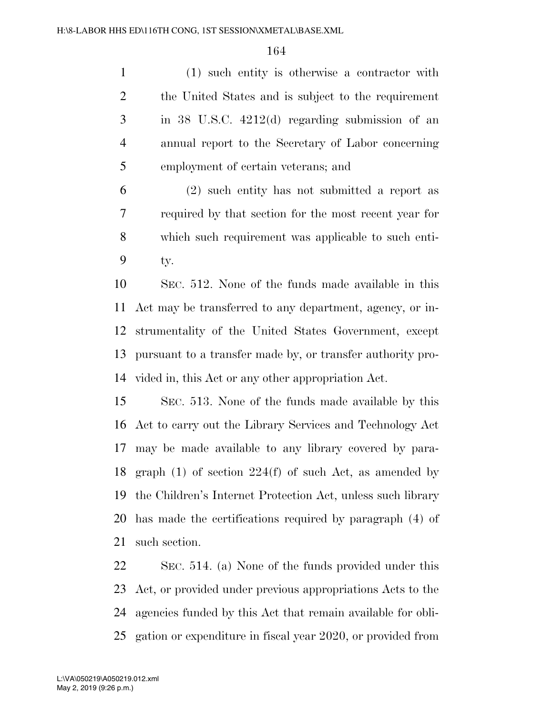(1) such entity is otherwise a contractor with the United States and is subject to the requirement in 38 U.S.C. 4212(d) regarding submission of an annual report to the Secretary of Labor concerning employment of certain veterans; and

 (2) such entity has not submitted a report as required by that section for the most recent year for which such requirement was applicable to such enti-ty.

 SEC. 512. None of the funds made available in this Act may be transferred to any department, agency, or in- strumentality of the United States Government, except pursuant to a transfer made by, or transfer authority pro-vided in, this Act or any other appropriation Act.

 SEC. 513. None of the funds made available by this Act to carry out the Library Services and Technology Act may be made available to any library covered by para-18 graph (1) of section  $224(f)$  of such Act, as amended by the Children's Internet Protection Act, unless such library has made the certifications required by paragraph (4) of such section.

 SEC. 514. (a) None of the funds provided under this Act, or provided under previous appropriations Acts to the agencies funded by this Act that remain available for obli-gation or expenditure in fiscal year 2020, or provided from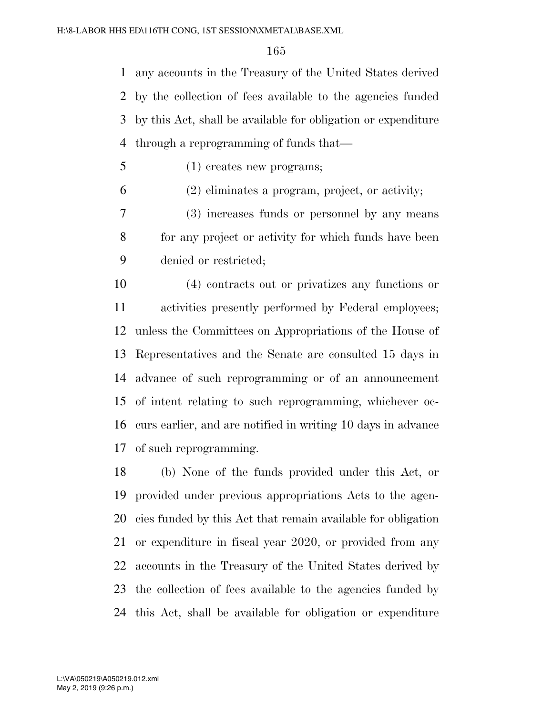any accounts in the Treasury of the United States derived by the collection of fees available to the agencies funded by this Act, shall be available for obligation or expenditure through a reprogramming of funds that—

(1) creates new programs;

(2) eliminates a program, project, or activity;

 (3) increases funds or personnel by any means for any project or activity for which funds have been denied or restricted;

 (4) contracts out or privatizes any functions or activities presently performed by Federal employees; unless the Committees on Appropriations of the House of Representatives and the Senate are consulted 15 days in advance of such reprogramming or of an announcement of intent relating to such reprogramming, whichever oc- curs earlier, and are notified in writing 10 days in advance of such reprogramming.

 (b) None of the funds provided under this Act, or provided under previous appropriations Acts to the agen- cies funded by this Act that remain available for obligation or expenditure in fiscal year 2020, or provided from any accounts in the Treasury of the United States derived by the collection of fees available to the agencies funded by this Act, shall be available for obligation or expenditure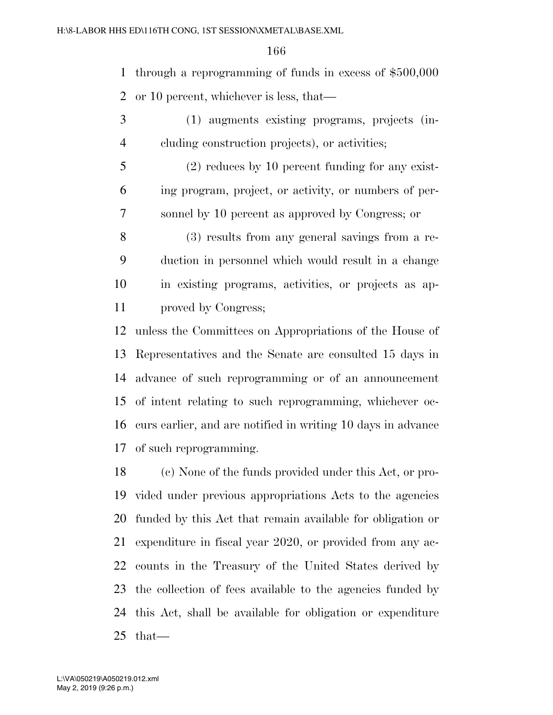through a reprogramming of funds in excess of \$500,000 or 10 percent, whichever is less, that—

- (1) augments existing programs, projects (in-cluding construction projects), or activities;
- (2) reduces by 10 percent funding for any exist- ing program, project, or activity, or numbers of per-sonnel by 10 percent as approved by Congress; or
- (3) results from any general savings from a re- duction in personnel which would result in a change in existing programs, activities, or projects as ap-proved by Congress;

 unless the Committees on Appropriations of the House of Representatives and the Senate are consulted 15 days in advance of such reprogramming or of an announcement of intent relating to such reprogramming, whichever oc- curs earlier, and are notified in writing 10 days in advance of such reprogramming.

 (c) None of the funds provided under this Act, or pro- vided under previous appropriations Acts to the agencies funded by this Act that remain available for obligation or expenditure in fiscal year 2020, or provided from any ac- counts in the Treasury of the United States derived by the collection of fees available to the agencies funded by this Act, shall be available for obligation or expenditure that—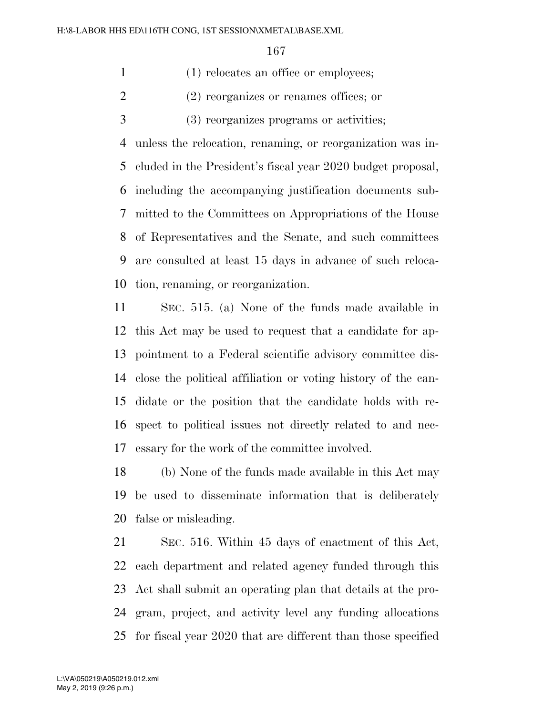- (1) relocates an office or employees;
- (2) reorganizes or renames offices; or
- (3) reorganizes programs or activities;

 unless the relocation, renaming, or reorganization was in- cluded in the President's fiscal year 2020 budget proposal, including the accompanying justification documents sub- mitted to the Committees on Appropriations of the House of Representatives and the Senate, and such committees are consulted at least 15 days in advance of such reloca-tion, renaming, or reorganization.

 SEC. 515. (a) None of the funds made available in this Act may be used to request that a candidate for ap- pointment to a Federal scientific advisory committee dis- close the political affiliation or voting history of the can- didate or the position that the candidate holds with re- spect to political issues not directly related to and nec-essary for the work of the committee involved.

 (b) None of the funds made available in this Act may be used to disseminate information that is deliberately false or misleading.

 SEC. 516. Within 45 days of enactment of this Act, each department and related agency funded through this Act shall submit an operating plan that details at the pro- gram, project, and activity level any funding allocations for fiscal year 2020 that are different than those specified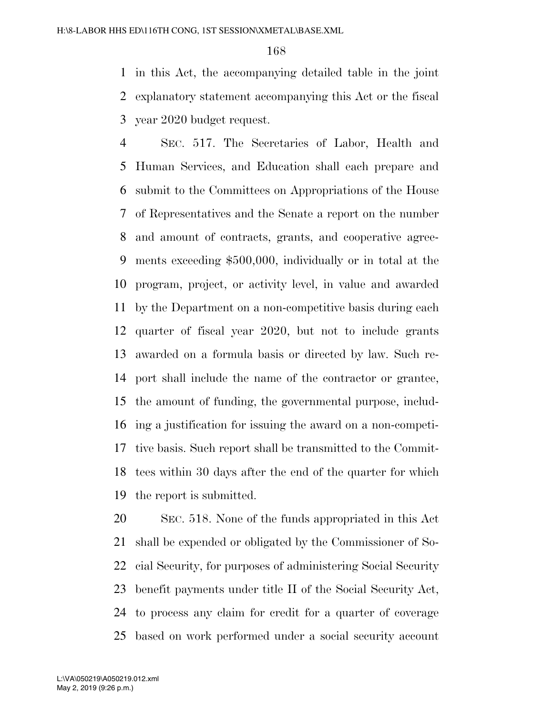in this Act, the accompanying detailed table in the joint explanatory statement accompanying this Act or the fiscal year 2020 budget request.

 SEC. 517. The Secretaries of Labor, Health and Human Services, and Education shall each prepare and submit to the Committees on Appropriations of the House of Representatives and the Senate a report on the number and amount of contracts, grants, and cooperative agree- ments exceeding \$500,000, individually or in total at the program, project, or activity level, in value and awarded by the Department on a non-competitive basis during each quarter of fiscal year 2020, but not to include grants awarded on a formula basis or directed by law. Such re- port shall include the name of the contractor or grantee, the amount of funding, the governmental purpose, includ- ing a justification for issuing the award on a non-competi- tive basis. Such report shall be transmitted to the Commit- tees within 30 days after the end of the quarter for which the report is submitted.

 SEC. 518. None of the funds appropriated in this Act shall be expended or obligated by the Commissioner of So- cial Security, for purposes of administering Social Security benefit payments under title II of the Social Security Act, to process any claim for credit for a quarter of coverage based on work performed under a social security account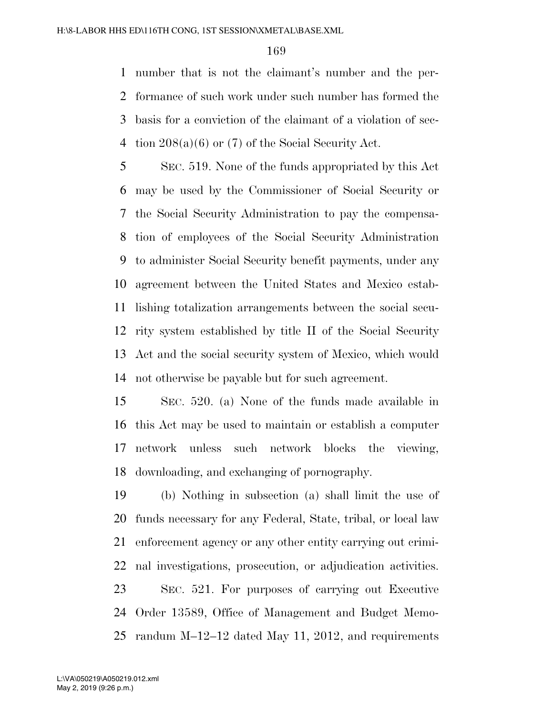number that is not the claimant's number and the per- formance of such work under such number has formed the basis for a conviction of the claimant of a violation of sec-tion 208(a)(6) or (7) of the Social Security Act.

 SEC. 519. None of the funds appropriated by this Act may be used by the Commissioner of Social Security or the Social Security Administration to pay the compensa- tion of employees of the Social Security Administration to administer Social Security benefit payments, under any agreement between the United States and Mexico estab- lishing totalization arrangements between the social secu- rity system established by title II of the Social Security Act and the social security system of Mexico, which would not otherwise be payable but for such agreement.

 SEC. 520. (a) None of the funds made available in this Act may be used to maintain or establish a computer network unless such network blocks the viewing, downloading, and exchanging of pornography.

 (b) Nothing in subsection (a) shall limit the use of funds necessary for any Federal, State, tribal, or local law enforcement agency or any other entity carrying out crimi- nal investigations, prosecution, or adjudication activities. SEC. 521. For purposes of carrying out Executive Order 13589, Office of Management and Budget Memo-randum M–12–12 dated May 11, 2012, and requirements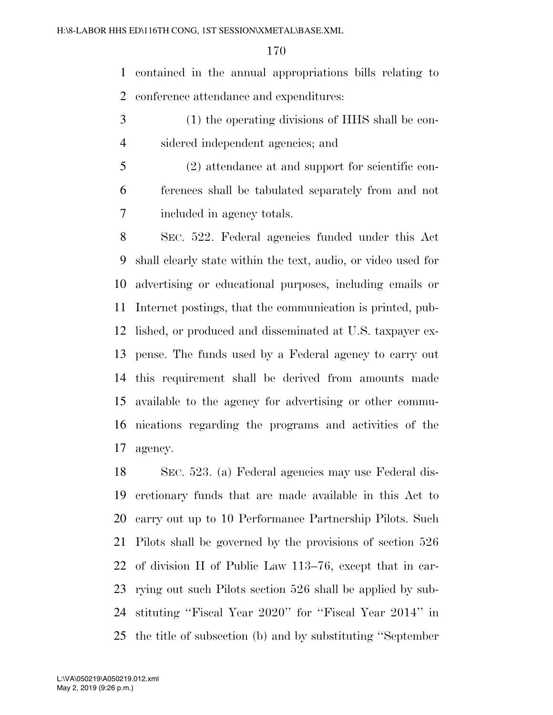contained in the annual appropriations bills relating to conference attendance and expenditures:

- (1) the operating divisions of HHS shall be con-sidered independent agencies; and
- (2) attendance at and support for scientific con- ferences shall be tabulated separately from and not included in agency totals.

 SEC. 522. Federal agencies funded under this Act shall clearly state within the text, audio, or video used for advertising or educational purposes, including emails or Internet postings, that the communication is printed, pub- lished, or produced and disseminated at U.S. taxpayer ex- pense. The funds used by a Federal agency to carry out this requirement shall be derived from amounts made available to the agency for advertising or other commu- nications regarding the programs and activities of the agency.

 SEC. 523. (a) Federal agencies may use Federal dis- cretionary funds that are made available in this Act to carry out up to 10 Performance Partnership Pilots. Such Pilots shall be governed by the provisions of section 526 of division H of Public Law 113–76, except that in car- rying out such Pilots section 526 shall be applied by sub- stituting ''Fiscal Year 2020'' for ''Fiscal Year 2014'' in the title of subsection (b) and by substituting ''September

May 2, 2019 (9:26 p.m.) L:\VA\050219\A050219.012.xml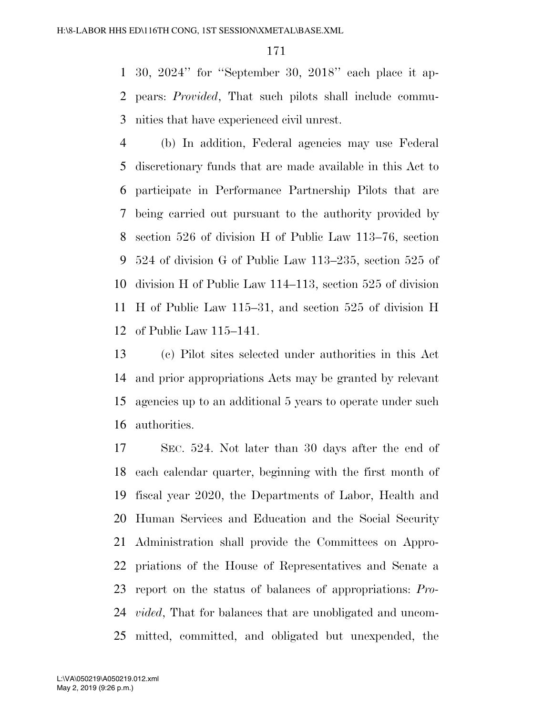30, 2024'' for ''September 30, 2018'' each place it ap- pears: *Provided*, That such pilots shall include commu-nities that have experienced civil unrest.

 (b) In addition, Federal agencies may use Federal discretionary funds that are made available in this Act to participate in Performance Partnership Pilots that are being carried out pursuant to the authority provided by section 526 of division H of Public Law 113–76, section 524 of division G of Public Law 113–235, section 525 of division H of Public Law 114–113, section 525 of division H of Public Law 115–31, and section 525 of division H of Public Law 115–141.

 (c) Pilot sites selected under authorities in this Act and prior appropriations Acts may be granted by relevant agencies up to an additional 5 years to operate under such authorities.

 SEC. 524. Not later than 30 days after the end of each calendar quarter, beginning with the first month of fiscal year 2020, the Departments of Labor, Health and Human Services and Education and the Social Security Administration shall provide the Committees on Appro- priations of the House of Representatives and Senate a report on the status of balances of appropriations: *Pro- vided*, That for balances that are unobligated and uncom-mitted, committed, and obligated but unexpended, the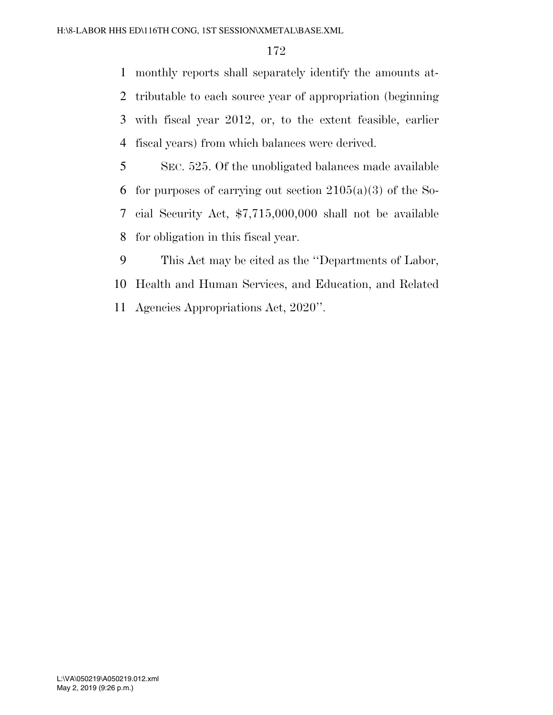monthly reports shall separately identify the amounts at- tributable to each source year of appropriation (beginning with fiscal year 2012, or, to the extent feasible, earlier fiscal years) from which balances were derived.

 SEC. 525. Of the unobligated balances made available 6 for purposes of carrying out section  $2105(a)(3)$  of the So- cial Security Act, \$7,715,000,000 shall not be available for obligation in this fiscal year.

 This Act may be cited as the ''Departments of Labor, Health and Human Services, and Education, and Related Agencies Appropriations Act, 2020''.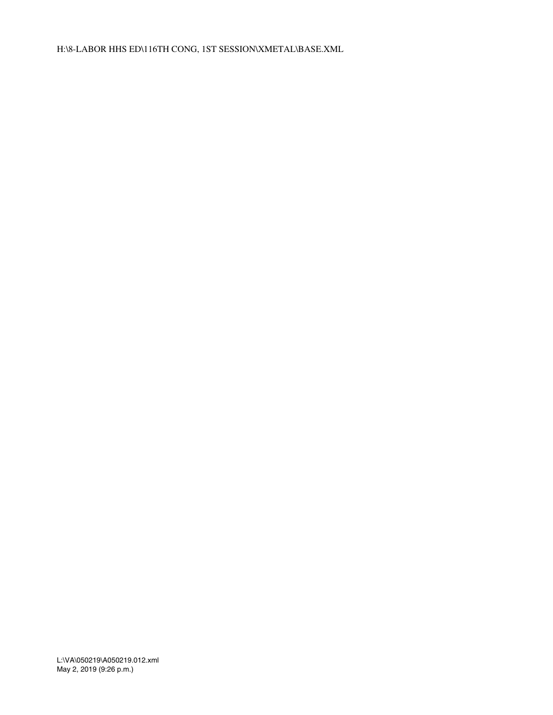H:\8-LABOR HHS ED\116TH CONG, 1ST SESSION\XMETAL\BASE.XML

May 2, 2019 (9:26 p.m.) L:\VA\050219\A050219.012.xml